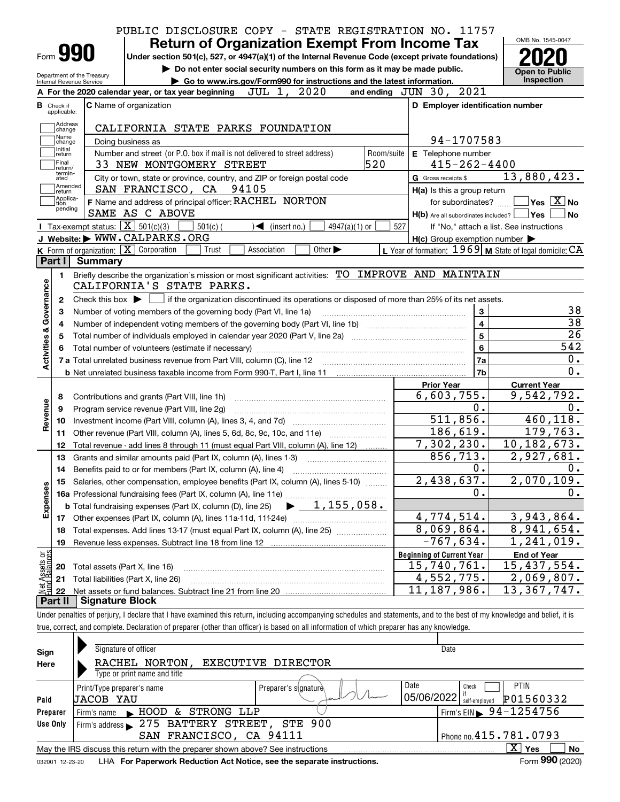|                                            |                                                                                                                                                        |                        | PUBLIC DISCLOSURE COPY - STATE REGISTRATION NO. 11757     |                                                                                                                                                                                          |
|--------------------------------------------|--------------------------------------------------------------------------------------------------------------------------------------------------------|------------------------|-----------------------------------------------------------|------------------------------------------------------------------------------------------------------------------------------------------------------------------------------------------|
|                                            | <b>Return of Organization Exempt From Income Tax</b>                                                                                                   |                        |                                                           | OMB No. 1545-0047                                                                                                                                                                        |
| Form 990                                   | Under section 501(c), 527, or 4947(a)(1) of the Internal Revenue Code (except private foundations)                                                     |                        |                                                           |                                                                                                                                                                                          |
| Department of the Treasury                 | Do not enter social security numbers on this form as it may be made public.                                                                            |                        |                                                           | <b>Open to Public</b>                                                                                                                                                                    |
| Internal Revenue Service                   | Go to www.irs.gov/Form990 for instructions and the latest information.<br>2020<br>JUL 1,<br>A For the 2020 calendar year, or tax year beginning        |                        | and ending JUN 30, 2021                                   | Inspection                                                                                                                                                                               |
|                                            |                                                                                                                                                        |                        |                                                           |                                                                                                                                                                                          |
| <b>B</b> Check if<br>applicable:           | <b>C</b> Name of organization                                                                                                                          |                        | D Employer identification number                          |                                                                                                                                                                                          |
| Address<br>change                          | CALIFORNIA STATE PARKS FOUNDATION                                                                                                                      |                        |                                                           |                                                                                                                                                                                          |
| Name<br>change                             | Doing business as                                                                                                                                      |                        | 94-1707583                                                |                                                                                                                                                                                          |
| Initial<br>return                          | Number and street (or P.O. box if mail is not delivered to street address)                                                                             | Room/suite             | E Telephone number                                        |                                                                                                                                                                                          |
| Final<br>return/                           | 33 NEW MONTGOMERY STREET                                                                                                                               | 520                    | $415 - 262 - 4400$                                        |                                                                                                                                                                                          |
| termin-<br>ated                            | City or town, state or province, country, and ZIP or foreign postal code                                                                               |                        | G Gross receipts \$                                       | 13,880,423.                                                                                                                                                                              |
| Amended<br>return                          | SAN FRANCISCO, CA 94105                                                                                                                                |                        | H(a) Is this a group return                               |                                                                                                                                                                                          |
| Applica-<br>tion                           | F Name and address of principal officer: RACHEL NORTON                                                                                                 |                        | for subordinates?                                         | $\overline{\ }$ Yes $\overline{\phantom{X}}$ No                                                                                                                                          |
| pending                                    | SAME AS C ABOVE                                                                                                                                        |                        | $H(b)$ Are all subordinates included?                     | Yes <br>l No                                                                                                                                                                             |
|                                            | Tax-exempt status: $\boxed{\mathbf{X}}$ 501(c)(3)<br>$501(c)$ (<br>$\blacktriangleleft$ (insert no.)                                                   | $4947(a)(1)$ or<br>527 |                                                           | If "No," attach a list. See instructions                                                                                                                                                 |
|                                            | J Website: WWW.CALPARKS.ORG                                                                                                                            |                        | $H(c)$ Group exemption number $\blacktriangleright$       |                                                                                                                                                                                          |
|                                            | K Form of organization: $X$ Corporation<br>Other $\blacktriangleright$<br>Trust<br>Association                                                         |                        | L Year of formation: $1969$ M State of legal domicile: CA |                                                                                                                                                                                          |
| Part I                                     | <b>Summary</b><br>Briefly describe the organization's mission or most significant activities: TO IMPROVE AND MAINTAIN                                  |                        |                                                           |                                                                                                                                                                                          |
| Activities & Governance<br>2<br>з<br>4     | Check this box $\blacktriangleright$ $\Box$ if the organization discontinued its operations or disposed of more than 25% of its net assets.            |                        | 3<br>$\overline{\mathbf{4}}$                              | 38<br>38                                                                                                                                                                                 |
| 5                                          |                                                                                                                                                        |                        | $\overline{5}$                                            | 26                                                                                                                                                                                       |
|                                            |                                                                                                                                                        |                        | $6\phantom{a}$                                            |                                                                                                                                                                                          |
|                                            |                                                                                                                                                        |                        |                                                           |                                                                                                                                                                                          |
|                                            |                                                                                                                                                        |                        | 7a                                                        |                                                                                                                                                                                          |
|                                            |                                                                                                                                                        |                        | 7b                                                        |                                                                                                                                                                                          |
|                                            |                                                                                                                                                        |                        | <b>Prior Year</b>                                         | <b>Current Year</b>                                                                                                                                                                      |
| 8                                          | Contributions and grants (Part VIII, line 1h)                                                                                                          |                        | 6,603,755.                                                |                                                                                                                                                                                          |
| 9                                          | Program service revenue (Part VIII, line 2g)                                                                                                           |                        | 0.                                                        |                                                                                                                                                                                          |
| 10                                         |                                                                                                                                                        |                        | 511,856.                                                  |                                                                                                                                                                                          |
| 11                                         | Other revenue (Part VIII, column (A), lines 5, 6d, 8c, 9c, 10c, and 11e)                                                                               |                        | 186,619.                                                  |                                                                                                                                                                                          |
| 12                                         | Total revenue - add lines 8 through 11 (must equal Part VIII, column (A), line 12)                                                                     |                        | 7,302,230.                                                |                                                                                                                                                                                          |
| 13                                         | Grants and similar amounts paid (Part IX, column (A), lines 1-3)                                                                                       |                        | 856, 713.<br>0.                                           |                                                                                                                                                                                          |
|                                            |                                                                                                                                                        |                        |                                                           |                                                                                                                                                                                          |
| 15                                         | Salaries, other compensation, employee benefits (Part IX, column (A), lines 5-10)<br>16a Professional fundraising fees (Part IX, column (A), line 11e) |                        | 438, 637.<br>$\overline{2}$ ,<br>0.                       |                                                                                                                                                                                          |
|                                            | $\blacktriangleright$ 1,155,058.<br><b>b</b> Total fundraising expenses (Part IX, column (D), line 25)                                                 |                        |                                                           |                                                                                                                                                                                          |
|                                            | 17 Other expenses (Part IX, column (A), lines 11a-11d, 11f-24e)                                                                                        |                        | 4,774,514.                                                |                                                                                                                                                                                          |
| 18                                         | Total expenses. Add lines 13-17 (must equal Part IX, column (A), line 25)                                                                              |                        | 8,069,864.                                                |                                                                                                                                                                                          |
| 19                                         | Revenue less expenses. Subtract line 18 from line 12                                                                                                   |                        | $-767, 634.$                                              |                                                                                                                                                                                          |
|                                            |                                                                                                                                                        |                        | <b>Beginning of Current Year</b>                          | <b>End of Year</b>                                                                                                                                                                       |
| Revenue<br>Expenses<br>20                  | Total assets (Part X, line 16)                                                                                                                         |                        | 15,740,761.                                               | 542<br>0.<br>0.<br>9,542,792.<br>0.<br>460, 118.<br>179,763.<br>10, 182, 673.<br>2,927,681.<br>0.<br>2,070,109<br>$\mathbf 0$ .<br>3,943,864.<br>8,941,654.<br>1,241,019.<br>15,437,554. |
| t Assets or<br>d Balances<br>21<br>鲳<br>22 | Total liabilities (Part X, line 26)                                                                                                                    |                        | 4,552,775.<br>11, 187, 986.                               | 2,069,807.<br>13,367,747.                                                                                                                                                                |

Under penalties of perjury, I declare that I have examined this return, including accompanying schedules and statements, and to the best of my knowledge and belief, it is true, correct, and complete. Declaration of preparer (other than officer) is based on all information of which preparer has any knowledge.

| Sign<br>Here                                                                                                                                                                                                           | Signature of officer<br>RACHEL NORTON,<br>EXECUTIVE DIRECTOR<br>Type or print name and title                                                                                                            | Date                                                                                                                                         |  |  |  |  |  |  |
|------------------------------------------------------------------------------------------------------------------------------------------------------------------------------------------------------------------------|---------------------------------------------------------------------------------------------------------------------------------------------------------------------------------------------------------|----------------------------------------------------------------------------------------------------------------------------------------------|--|--|--|--|--|--|
| Paid<br>Preparer<br>Use Only                                                                                                                                                                                           | Print/Type preparer's name<br>Preparer's slanature<br>UACOB YAU<br>STRONG LLP<br>$\blacktriangleright$ HOOD &<br>Firm's name<br>Firm's address > 275 BATTERY STREET, STE 900<br>SAN FRANCISCO, CA 94111 | Date<br><b>PTIN</b><br>Check<br>05/06/2022<br>P01560332<br>self-emploved<br>Firm's EIN $\triangleright$ 94-1254756<br>Phone no. 415.781.0793 |  |  |  |  |  |  |
| $X \mid Y$ es<br>No<br>May the IRS discuss this return with the preparer shown above? See instructions<br>Form 990 (2020)<br>LHA For Paperwork Reduction Act Notice, see the separate instructions.<br>032001 12-23-20 |                                                                                                                                                                                                         |                                                                                                                                              |  |  |  |  |  |  |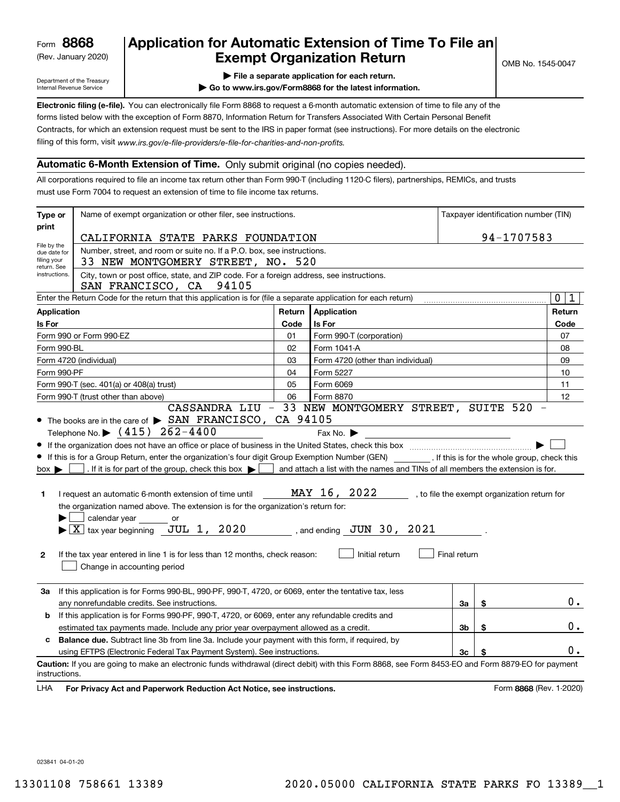(Rev. January 2020)

## **Application for Automatic Extension of Time To File an Exempt Organization Return**

Department of the Treasury Internal Revenue Service

**| File a separate application for each return.**

**| Go to www.irs.gov/Form8868 for the latest information.**

**Electronic filing (e-file).**  You can electronically file Form 8868 to request a 6-month automatic extension of time to file any of the filing of this form, visit www.irs.gov/e-file-providers/e-file-for-charities-and-non-profits. forms listed below with the exception of Form 8870, Information Return for Transfers Associated With Certain Personal Benefit Contracts, for which an extension request must be sent to the IRS in paper format (see instructions). For more details on the electronic

### **Automatic 6-Month Extension of Time.** Only submit original (no copies needed).

All corporations required to file an income tax return other than Form 990-T (including 1120-C filers), partnerships, REMICs, and trusts must use Form 7004 to request an extension of time to file income tax returns.

| Type or                                                                                                                                 | Name of exempt organization or other filer, see instructions.                                                                                                                                                                                                                                                                                                                                                                                                                                                                                                                                               | Taxpayer identification number (TIN) |                                                                                                                                               |              |                                              |                         |  |  |
|-----------------------------------------------------------------------------------------------------------------------------------------|-------------------------------------------------------------------------------------------------------------------------------------------------------------------------------------------------------------------------------------------------------------------------------------------------------------------------------------------------------------------------------------------------------------------------------------------------------------------------------------------------------------------------------------------------------------------------------------------------------------|--------------------------------------|-----------------------------------------------------------------------------------------------------------------------------------------------|--------------|----------------------------------------------|-------------------------|--|--|
| print                                                                                                                                   | CALIFORNIA STATE PARKS FOUNDATION                                                                                                                                                                                                                                                                                                                                                                                                                                                                                                                                                                           |                                      | 94-1707583                                                                                                                                    |              |                                              |                         |  |  |
| File by the<br>due date for                                                                                                             | Number, street, and room or suite no. If a P.O. box, see instructions.                                                                                                                                                                                                                                                                                                                                                                                                                                                                                                                                      |                                      |                                                                                                                                               |              |                                              |                         |  |  |
| filing your<br>return. See                                                                                                              | 33 NEW MONTGOMERY STREET, NO. 520                                                                                                                                                                                                                                                                                                                                                                                                                                                                                                                                                                           |                                      |                                                                                                                                               |              |                                              |                         |  |  |
| City, town or post office, state, and ZIP code. For a foreign address, see instructions.<br>instructions.<br>SAN FRANCISCO, CA<br>94105 |                                                                                                                                                                                                                                                                                                                                                                                                                                                                                                                                                                                                             |                                      |                                                                                                                                               |              |                                              |                         |  |  |
|                                                                                                                                         | Enter the Return Code for the return that this application is for (file a separate application for each return)                                                                                                                                                                                                                                                                                                                                                                                                                                                                                             |                                      |                                                                                                                                               |              |                                              | $\mathbf 0$<br>1        |  |  |
| <b>Application</b>                                                                                                                      |                                                                                                                                                                                                                                                                                                                                                                                                                                                                                                                                                                                                             | Return                               | Application                                                                                                                                   |              |                                              | Return                  |  |  |
| Is For                                                                                                                                  |                                                                                                                                                                                                                                                                                                                                                                                                                                                                                                                                                                                                             | Code                                 | Is For                                                                                                                                        |              |                                              | Code                    |  |  |
|                                                                                                                                         | Form 990 or Form 990-EZ                                                                                                                                                                                                                                                                                                                                                                                                                                                                                                                                                                                     | 01                                   | Form 990-T (corporation)                                                                                                                      |              |                                              | 07                      |  |  |
| Form 990-BL                                                                                                                             |                                                                                                                                                                                                                                                                                                                                                                                                                                                                                                                                                                                                             | 02                                   | Form 1041-A                                                                                                                                   |              |                                              | 08                      |  |  |
|                                                                                                                                         | Form 4720 (individual)                                                                                                                                                                                                                                                                                                                                                                                                                                                                                                                                                                                      | 03                                   | Form 4720 (other than individual)                                                                                                             |              |                                              | 09                      |  |  |
| Form 990-PF                                                                                                                             |                                                                                                                                                                                                                                                                                                                                                                                                                                                                                                                                                                                                             | 04                                   | Form 5227                                                                                                                                     |              |                                              | 10                      |  |  |
|                                                                                                                                         | Form 990-T (sec. 401(a) or 408(a) trust)                                                                                                                                                                                                                                                                                                                                                                                                                                                                                                                                                                    | 05                                   | Form 6069                                                                                                                                     |              |                                              | 11                      |  |  |
|                                                                                                                                         | Form 990-T (trust other than above)                                                                                                                                                                                                                                                                                                                                                                                                                                                                                                                                                                         | 06                                   | Form 8870<br>CASSANDRA LIU - 33 NEW MONTGOMERY STREET, SUITE 520                                                                              |              |                                              | 12                      |  |  |
| $box \blacktriangleright$<br>1.<br>$\mathbf{2}$                                                                                         | • If this is for a Group Return, enter the organization's four digit Group Exemption Number (GEN) [16] If this is for the whole group, check this<br>. If it is for part of the group, check this box $\blacktriangleright$<br>I request an automatic 6-month extension of time until<br>the organization named above. The extension is for the organization's return for:<br>calendar year<br>or<br>$\blacktriangleright$ $\boxed{\text{X}}$ tax year beginning $\boxed{\text{JUL}}$ 1, 2020<br>If the tax year entered in line 1 is for less than 12 months, check reason:<br>Change in accounting period |                                      | and attach a list with the names and TINs of all members the extension is for.<br>MAY 16, 2022<br>, and ending JUN 30, 2021<br>Initial return | Final return | , to file the exempt organization return for |                         |  |  |
| За                                                                                                                                      | If this application is for Forms 990-BL, 990-PF, 990-T, 4720, or 6069, enter the tentative tax, less<br>any nonrefundable credits. See instructions.                                                                                                                                                                                                                                                                                                                                                                                                                                                        |                                      |                                                                                                                                               | За           | \$                                           | 0.                      |  |  |
| b                                                                                                                                       | If this application is for Forms 990-PF, 990-T, 4720, or 6069, enter any refundable credits and                                                                                                                                                                                                                                                                                                                                                                                                                                                                                                             |                                      |                                                                                                                                               |              |                                              |                         |  |  |
|                                                                                                                                         | Зb<br>\$<br>estimated tax payments made. Include any prior year overpayment allowed as a credit.                                                                                                                                                                                                                                                                                                                                                                                                                                                                                                            |                                      |                                                                                                                                               |              |                                              | 0.                      |  |  |
| c.                                                                                                                                      | Balance due. Subtract line 3b from line 3a. Include your payment with this form, if required, by                                                                                                                                                                                                                                                                                                                                                                                                                                                                                                            |                                      |                                                                                                                                               |              |                                              |                         |  |  |
| using EFTPS (Electronic Federal Tax Payment System). See instructions.<br>Зс<br>\$                                                      |                                                                                                                                                                                                                                                                                                                                                                                                                                                                                                                                                                                                             |                                      |                                                                                                                                               |              |                                              |                         |  |  |
| instructions.                                                                                                                           | Caution: If you are going to make an electronic funds withdrawal (direct debit) with this Form 8868, see Form 8453-EO and Form 8879-EO for payment                                                                                                                                                                                                                                                                                                                                                                                                                                                          |                                      |                                                                                                                                               |              |                                              |                         |  |  |
| LHA                                                                                                                                     | For Privacy Act and Paperwork Reduction Act Notice, see instructions.                                                                                                                                                                                                                                                                                                                                                                                                                                                                                                                                       |                                      |                                                                                                                                               |              |                                              | Form 8868 (Rev. 1-2020) |  |  |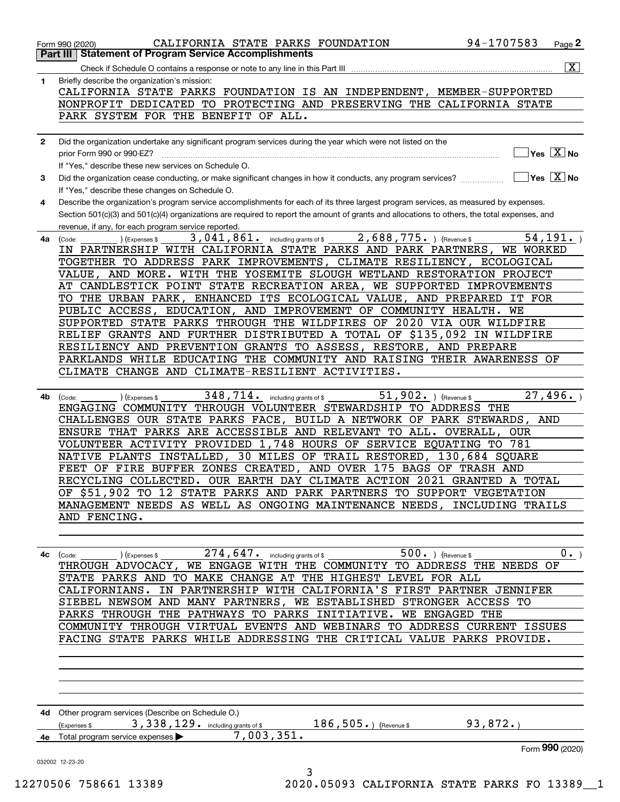| NONPROFIT DEDICATED TO PROTECTING AND PRESERVING THE CALIFORNIA STATE<br>PARK SYSTEM FOR THE BENEFIT OF ALL.<br>Did the organization undertake any significant program services during the year which were not listed on the<br>$]$ Yes $[\overline{\mathrm{X}}]$ No<br>If "Yes," describe these new services on Schedule O.<br>$\overline{\mathsf{Yes} \mathbb{X}}$ No<br>Did the organization cease conducting, or make significant changes in how it conducts, any program services?<br>3<br>If "Yes," describe these changes on Schedule O.<br>Describe the organization's program service accomplishments for each of its three largest program services, as measured by expenses.<br>Section 501(c)(3) and 501(c)(4) organizations are required to report the amount of grants and allocations to others, the total expenses, and<br>revenue, if any, for each program service reported.<br>2,688,775. ) (Revenue \$<br>54, 191.<br>3,041,861. including grants of \$<br>(Expenses \$<br>(Code:<br>IN PARTNERSHIP WITH CALIFORNIA STATE PARKS AND PARK PARTNERS,<br>WE WORKED<br>TOGETHER TO ADDRESS PARK IMPROVEMENTS, CLIMATE RESILIENCY, ECOLOGICAL<br>VALUE, AND MORE. WITH THE YOSEMITE SLOUGH WETLAND RESTORATION PROJECT<br>AT CANDLESTICK POINT STATE RECREATION AREA, WE SUPPORTED IMPROVEMENTS<br>TO THE URBAN PARK, ENHANCED ITS ECOLOGICAL VALUE, AND PREPARED IT FOR<br>PUBLIC ACCESS, EDUCATION, AND IMPROVEMENT OF COMMUNITY HEALTH.<br>WE<br>SUPPORTED STATE PARKS THROUGH THE WILDFIRES OF 2020 VIA OUR WILDFIRE<br>RELIEF GRANTS AND FURTHER DISTRIBUTED A TOTAL OF \$135,092 IN WILDFIRE<br>RESILIENCY AND PREVENTION GRANTS TO ASSESS, RESTORE, AND PREPARE<br>PARKLANDS WHILE EDUCATING THE COMMUNITY AND RAISING THEIR AWARENESS OF<br>CLIMATE CHANGE AND CLIMATE-RESILIENT ACTIVITIES.<br>$\overline{51}$ , 902. ) (Revenue \$<br>27,496.<br>$348,714$ . including grants of \$<br>4b<br>(Expenses \$<br>(Code:<br>ENGAGING COMMUNITY THROUGH VOLUNTEER STEWARDSHIP TO ADDRESS THE<br>CHALLENGES OUR STATE PARKS FACE, BUILD A NETWORK OF PARK STEWARDS,<br>AND<br>ENSURE THAT PARKS ARE ACCESSIBLE AND RELEVANT TO ALL. OVERALL,<br>OUR<br>VOLUNTEER ACTIVITY PROVIDED 1,748 HOURS OF SERVICE EQUATING TO 781<br>NATIVE PLANTS INSTALLED, 30 MILES OF TRAIL RESTORED, 130,684 SQUARE<br>FEET OF FIRE BUFFER ZONES CREATED, AND OVER 175 BAGS OF TRASH AND<br>RECYCLING COLLECTED. OUR EARTH DAY CLIMATE ACTION 2021 GRANTED A TOTAL<br>OF \$51,902 TO 12 STATE PARKS AND PARK PARTNERS TO SUPPORT VEGETATION<br>MANAGEMENT NEEDS AS WELL AS ONGOING MAINTENANCE NEEDS, INCLUDING TRAILS<br>AND FENCING.<br>$\overline{500.}$ ) (Revenue \$<br>274, 647. including grants of \$<br>$0 \cdot$ )<br>(Expenses \$<br>4c<br>(Code:<br>THROUGH ADVOCACY, WE ENGAGE WITH THE COMMUNITY TO ADDRESS THE NEEDS OF<br>STATE PARKS AND TO MAKE CHANGE AT THE HIGHEST LEVEL FOR ALL<br>CALIFORNIANS. IN PARTNERSHIP WITH CALIFORNIA'S FIRST PARTNER JENNIFER<br>SIEBEL NEWSOM AND MANY PARTNERS, WE ESTABLISHED STRONGER ACCESS TO<br>PARKS THROUGH THE PATHWAYS TO PARKS INITIATIVE. WE ENGAGED THE<br>COMMUNITY THROUGH VIRTUAL EVENTS AND WEBINARS TO ADDRESS CURRENT ISSUES<br>FACING STATE PARKS WHILE ADDRESSING THE CRITICAL VALUE PARKS PROVIDE.<br>4d Other program services (Describe on Schedule O.)<br>93, 872.<br>3, 338, 129. including grants of \$<br>$186, 505.$ (Revenue \$<br>(Expenses \$<br>7,003,351.<br>4e Total program service expenses<br>032002 12-23-20<br>3<br>2020.05093 CALIFORNIA STATE PARKS FO 13389 1<br>12270506 758661 13389 | 1            | Briefly describe the organization's mission:                          |
|------------------------------------------------------------------------------------------------------------------------------------------------------------------------------------------------------------------------------------------------------------------------------------------------------------------------------------------------------------------------------------------------------------------------------------------------------------------------------------------------------------------------------------------------------------------------------------------------------------------------------------------------------------------------------------------------------------------------------------------------------------------------------------------------------------------------------------------------------------------------------------------------------------------------------------------------------------------------------------------------------------------------------------------------------------------------------------------------------------------------------------------------------------------------------------------------------------------------------------------------------------------------------------------------------------------------------------------------------------------------------------------------------------------------------------------------------------------------------------------------------------------------------------------------------------------------------------------------------------------------------------------------------------------------------------------------------------------------------------------------------------------------------------------------------------------------------------------------------------------------------------------------------------------------------------------------------------------------------------------------------------------------------------------------------------------------------------------------------------------------------------------------------------------------------------------------------------------------------------------------------------------------------------------------------------------------------------------------------------------------------------------------------------------------------------------------------------------------------------------------------------------------------------------------------------------------------------------------------------------------------------------------------------------------------------------------------------------------------------------------------------------------------------------------------------------------------------------------------------------------------------------------------------------------------------------------------------------------------------------------------------------------------------------------------------------------------------------------------------------------------------------------------------------------------------------------------------------------------------------------------------------------------------------------------------------------------------------------------------------------------------------------------------------------------------------------------------------------------------------------------------------------------------------------------------------------------------|--------------|-----------------------------------------------------------------------|
|                                                                                                                                                                                                                                                                                                                                                                                                                                                                                                                                                                                                                                                                                                                                                                                                                                                                                                                                                                                                                                                                                                                                                                                                                                                                                                                                                                                                                                                                                                                                                                                                                                                                                                                                                                                                                                                                                                                                                                                                                                                                                                                                                                                                                                                                                                                                                                                                                                                                                                                                                                                                                                                                                                                                                                                                                                                                                                                                                                                                                                                                                                                                                                                                                                                                                                                                                                                                                                                                                                                                                                                    |              | CALIFORNIA STATE PARKS FOUNDATION IS AN INDEPENDENT, MEMBER-SUPPORTED |
|                                                                                                                                                                                                                                                                                                                                                                                                                                                                                                                                                                                                                                                                                                                                                                                                                                                                                                                                                                                                                                                                                                                                                                                                                                                                                                                                                                                                                                                                                                                                                                                                                                                                                                                                                                                                                                                                                                                                                                                                                                                                                                                                                                                                                                                                                                                                                                                                                                                                                                                                                                                                                                                                                                                                                                                                                                                                                                                                                                                                                                                                                                                                                                                                                                                                                                                                                                                                                                                                                                                                                                                    |              |                                                                       |
|                                                                                                                                                                                                                                                                                                                                                                                                                                                                                                                                                                                                                                                                                                                                                                                                                                                                                                                                                                                                                                                                                                                                                                                                                                                                                                                                                                                                                                                                                                                                                                                                                                                                                                                                                                                                                                                                                                                                                                                                                                                                                                                                                                                                                                                                                                                                                                                                                                                                                                                                                                                                                                                                                                                                                                                                                                                                                                                                                                                                                                                                                                                                                                                                                                                                                                                                                                                                                                                                                                                                                                                    |              |                                                                       |
|                                                                                                                                                                                                                                                                                                                                                                                                                                                                                                                                                                                                                                                                                                                                                                                                                                                                                                                                                                                                                                                                                                                                                                                                                                                                                                                                                                                                                                                                                                                                                                                                                                                                                                                                                                                                                                                                                                                                                                                                                                                                                                                                                                                                                                                                                                                                                                                                                                                                                                                                                                                                                                                                                                                                                                                                                                                                                                                                                                                                                                                                                                                                                                                                                                                                                                                                                                                                                                                                                                                                                                                    | $\mathbf{2}$ |                                                                       |
|                                                                                                                                                                                                                                                                                                                                                                                                                                                                                                                                                                                                                                                                                                                                                                                                                                                                                                                                                                                                                                                                                                                                                                                                                                                                                                                                                                                                                                                                                                                                                                                                                                                                                                                                                                                                                                                                                                                                                                                                                                                                                                                                                                                                                                                                                                                                                                                                                                                                                                                                                                                                                                                                                                                                                                                                                                                                                                                                                                                                                                                                                                                                                                                                                                                                                                                                                                                                                                                                                                                                                                                    |              |                                                                       |
|                                                                                                                                                                                                                                                                                                                                                                                                                                                                                                                                                                                                                                                                                                                                                                                                                                                                                                                                                                                                                                                                                                                                                                                                                                                                                                                                                                                                                                                                                                                                                                                                                                                                                                                                                                                                                                                                                                                                                                                                                                                                                                                                                                                                                                                                                                                                                                                                                                                                                                                                                                                                                                                                                                                                                                                                                                                                                                                                                                                                                                                                                                                                                                                                                                                                                                                                                                                                                                                                                                                                                                                    |              |                                                                       |
|                                                                                                                                                                                                                                                                                                                                                                                                                                                                                                                                                                                                                                                                                                                                                                                                                                                                                                                                                                                                                                                                                                                                                                                                                                                                                                                                                                                                                                                                                                                                                                                                                                                                                                                                                                                                                                                                                                                                                                                                                                                                                                                                                                                                                                                                                                                                                                                                                                                                                                                                                                                                                                                                                                                                                                                                                                                                                                                                                                                                                                                                                                                                                                                                                                                                                                                                                                                                                                                                                                                                                                                    |              |                                                                       |
|                                                                                                                                                                                                                                                                                                                                                                                                                                                                                                                                                                                                                                                                                                                                                                                                                                                                                                                                                                                                                                                                                                                                                                                                                                                                                                                                                                                                                                                                                                                                                                                                                                                                                                                                                                                                                                                                                                                                                                                                                                                                                                                                                                                                                                                                                                                                                                                                                                                                                                                                                                                                                                                                                                                                                                                                                                                                                                                                                                                                                                                                                                                                                                                                                                                                                                                                                                                                                                                                                                                                                                                    | 4            |                                                                       |
|                                                                                                                                                                                                                                                                                                                                                                                                                                                                                                                                                                                                                                                                                                                                                                                                                                                                                                                                                                                                                                                                                                                                                                                                                                                                                                                                                                                                                                                                                                                                                                                                                                                                                                                                                                                                                                                                                                                                                                                                                                                                                                                                                                                                                                                                                                                                                                                                                                                                                                                                                                                                                                                                                                                                                                                                                                                                                                                                                                                                                                                                                                                                                                                                                                                                                                                                                                                                                                                                                                                                                                                    |              |                                                                       |
|                                                                                                                                                                                                                                                                                                                                                                                                                                                                                                                                                                                                                                                                                                                                                                                                                                                                                                                                                                                                                                                                                                                                                                                                                                                                                                                                                                                                                                                                                                                                                                                                                                                                                                                                                                                                                                                                                                                                                                                                                                                                                                                                                                                                                                                                                                                                                                                                                                                                                                                                                                                                                                                                                                                                                                                                                                                                                                                                                                                                                                                                                                                                                                                                                                                                                                                                                                                                                                                                                                                                                                                    |              |                                                                       |
|                                                                                                                                                                                                                                                                                                                                                                                                                                                                                                                                                                                                                                                                                                                                                                                                                                                                                                                                                                                                                                                                                                                                                                                                                                                                                                                                                                                                                                                                                                                                                                                                                                                                                                                                                                                                                                                                                                                                                                                                                                                                                                                                                                                                                                                                                                                                                                                                                                                                                                                                                                                                                                                                                                                                                                                                                                                                                                                                                                                                                                                                                                                                                                                                                                                                                                                                                                                                                                                                                                                                                                                    | 4a           |                                                                       |
|                                                                                                                                                                                                                                                                                                                                                                                                                                                                                                                                                                                                                                                                                                                                                                                                                                                                                                                                                                                                                                                                                                                                                                                                                                                                                                                                                                                                                                                                                                                                                                                                                                                                                                                                                                                                                                                                                                                                                                                                                                                                                                                                                                                                                                                                                                                                                                                                                                                                                                                                                                                                                                                                                                                                                                                                                                                                                                                                                                                                                                                                                                                                                                                                                                                                                                                                                                                                                                                                                                                                                                                    |              |                                                                       |
|                                                                                                                                                                                                                                                                                                                                                                                                                                                                                                                                                                                                                                                                                                                                                                                                                                                                                                                                                                                                                                                                                                                                                                                                                                                                                                                                                                                                                                                                                                                                                                                                                                                                                                                                                                                                                                                                                                                                                                                                                                                                                                                                                                                                                                                                                                                                                                                                                                                                                                                                                                                                                                                                                                                                                                                                                                                                                                                                                                                                                                                                                                                                                                                                                                                                                                                                                                                                                                                                                                                                                                                    |              |                                                                       |
|                                                                                                                                                                                                                                                                                                                                                                                                                                                                                                                                                                                                                                                                                                                                                                                                                                                                                                                                                                                                                                                                                                                                                                                                                                                                                                                                                                                                                                                                                                                                                                                                                                                                                                                                                                                                                                                                                                                                                                                                                                                                                                                                                                                                                                                                                                                                                                                                                                                                                                                                                                                                                                                                                                                                                                                                                                                                                                                                                                                                                                                                                                                                                                                                                                                                                                                                                                                                                                                                                                                                                                                    |              |                                                                       |
|                                                                                                                                                                                                                                                                                                                                                                                                                                                                                                                                                                                                                                                                                                                                                                                                                                                                                                                                                                                                                                                                                                                                                                                                                                                                                                                                                                                                                                                                                                                                                                                                                                                                                                                                                                                                                                                                                                                                                                                                                                                                                                                                                                                                                                                                                                                                                                                                                                                                                                                                                                                                                                                                                                                                                                                                                                                                                                                                                                                                                                                                                                                                                                                                                                                                                                                                                                                                                                                                                                                                                                                    |              |                                                                       |
|                                                                                                                                                                                                                                                                                                                                                                                                                                                                                                                                                                                                                                                                                                                                                                                                                                                                                                                                                                                                                                                                                                                                                                                                                                                                                                                                                                                                                                                                                                                                                                                                                                                                                                                                                                                                                                                                                                                                                                                                                                                                                                                                                                                                                                                                                                                                                                                                                                                                                                                                                                                                                                                                                                                                                                                                                                                                                                                                                                                                                                                                                                                                                                                                                                                                                                                                                                                                                                                                                                                                                                                    |              |                                                                       |
|                                                                                                                                                                                                                                                                                                                                                                                                                                                                                                                                                                                                                                                                                                                                                                                                                                                                                                                                                                                                                                                                                                                                                                                                                                                                                                                                                                                                                                                                                                                                                                                                                                                                                                                                                                                                                                                                                                                                                                                                                                                                                                                                                                                                                                                                                                                                                                                                                                                                                                                                                                                                                                                                                                                                                                                                                                                                                                                                                                                                                                                                                                                                                                                                                                                                                                                                                                                                                                                                                                                                                                                    |              |                                                                       |
|                                                                                                                                                                                                                                                                                                                                                                                                                                                                                                                                                                                                                                                                                                                                                                                                                                                                                                                                                                                                                                                                                                                                                                                                                                                                                                                                                                                                                                                                                                                                                                                                                                                                                                                                                                                                                                                                                                                                                                                                                                                                                                                                                                                                                                                                                                                                                                                                                                                                                                                                                                                                                                                                                                                                                                                                                                                                                                                                                                                                                                                                                                                                                                                                                                                                                                                                                                                                                                                                                                                                                                                    |              |                                                                       |
|                                                                                                                                                                                                                                                                                                                                                                                                                                                                                                                                                                                                                                                                                                                                                                                                                                                                                                                                                                                                                                                                                                                                                                                                                                                                                                                                                                                                                                                                                                                                                                                                                                                                                                                                                                                                                                                                                                                                                                                                                                                                                                                                                                                                                                                                                                                                                                                                                                                                                                                                                                                                                                                                                                                                                                                                                                                                                                                                                                                                                                                                                                                                                                                                                                                                                                                                                                                                                                                                                                                                                                                    |              |                                                                       |
|                                                                                                                                                                                                                                                                                                                                                                                                                                                                                                                                                                                                                                                                                                                                                                                                                                                                                                                                                                                                                                                                                                                                                                                                                                                                                                                                                                                                                                                                                                                                                                                                                                                                                                                                                                                                                                                                                                                                                                                                                                                                                                                                                                                                                                                                                                                                                                                                                                                                                                                                                                                                                                                                                                                                                                                                                                                                                                                                                                                                                                                                                                                                                                                                                                                                                                                                                                                                                                                                                                                                                                                    |              |                                                                       |
|                                                                                                                                                                                                                                                                                                                                                                                                                                                                                                                                                                                                                                                                                                                                                                                                                                                                                                                                                                                                                                                                                                                                                                                                                                                                                                                                                                                                                                                                                                                                                                                                                                                                                                                                                                                                                                                                                                                                                                                                                                                                                                                                                                                                                                                                                                                                                                                                                                                                                                                                                                                                                                                                                                                                                                                                                                                                                                                                                                                                                                                                                                                                                                                                                                                                                                                                                                                                                                                                                                                                                                                    |              |                                                                       |
|                                                                                                                                                                                                                                                                                                                                                                                                                                                                                                                                                                                                                                                                                                                                                                                                                                                                                                                                                                                                                                                                                                                                                                                                                                                                                                                                                                                                                                                                                                                                                                                                                                                                                                                                                                                                                                                                                                                                                                                                                                                                                                                                                                                                                                                                                                                                                                                                                                                                                                                                                                                                                                                                                                                                                                                                                                                                                                                                                                                                                                                                                                                                                                                                                                                                                                                                                                                                                                                                                                                                                                                    |              |                                                                       |
|                                                                                                                                                                                                                                                                                                                                                                                                                                                                                                                                                                                                                                                                                                                                                                                                                                                                                                                                                                                                                                                                                                                                                                                                                                                                                                                                                                                                                                                                                                                                                                                                                                                                                                                                                                                                                                                                                                                                                                                                                                                                                                                                                                                                                                                                                                                                                                                                                                                                                                                                                                                                                                                                                                                                                                                                                                                                                                                                                                                                                                                                                                                                                                                                                                                                                                                                                                                                                                                                                                                                                                                    |              |                                                                       |
|                                                                                                                                                                                                                                                                                                                                                                                                                                                                                                                                                                                                                                                                                                                                                                                                                                                                                                                                                                                                                                                                                                                                                                                                                                                                                                                                                                                                                                                                                                                                                                                                                                                                                                                                                                                                                                                                                                                                                                                                                                                                                                                                                                                                                                                                                                                                                                                                                                                                                                                                                                                                                                                                                                                                                                                                                                                                                                                                                                                                                                                                                                                                                                                                                                                                                                                                                                                                                                                                                                                                                                                    |              |                                                                       |
|                                                                                                                                                                                                                                                                                                                                                                                                                                                                                                                                                                                                                                                                                                                                                                                                                                                                                                                                                                                                                                                                                                                                                                                                                                                                                                                                                                                                                                                                                                                                                                                                                                                                                                                                                                                                                                                                                                                                                                                                                                                                                                                                                                                                                                                                                                                                                                                                                                                                                                                                                                                                                                                                                                                                                                                                                                                                                                                                                                                                                                                                                                                                                                                                                                                                                                                                                                                                                                                                                                                                                                                    |              |                                                                       |
|                                                                                                                                                                                                                                                                                                                                                                                                                                                                                                                                                                                                                                                                                                                                                                                                                                                                                                                                                                                                                                                                                                                                                                                                                                                                                                                                                                                                                                                                                                                                                                                                                                                                                                                                                                                                                                                                                                                                                                                                                                                                                                                                                                                                                                                                                                                                                                                                                                                                                                                                                                                                                                                                                                                                                                                                                                                                                                                                                                                                                                                                                                                                                                                                                                                                                                                                                                                                                                                                                                                                                                                    |              |                                                                       |
|                                                                                                                                                                                                                                                                                                                                                                                                                                                                                                                                                                                                                                                                                                                                                                                                                                                                                                                                                                                                                                                                                                                                                                                                                                                                                                                                                                                                                                                                                                                                                                                                                                                                                                                                                                                                                                                                                                                                                                                                                                                                                                                                                                                                                                                                                                                                                                                                                                                                                                                                                                                                                                                                                                                                                                                                                                                                                                                                                                                                                                                                                                                                                                                                                                                                                                                                                                                                                                                                                                                                                                                    |              |                                                                       |
|                                                                                                                                                                                                                                                                                                                                                                                                                                                                                                                                                                                                                                                                                                                                                                                                                                                                                                                                                                                                                                                                                                                                                                                                                                                                                                                                                                                                                                                                                                                                                                                                                                                                                                                                                                                                                                                                                                                                                                                                                                                                                                                                                                                                                                                                                                                                                                                                                                                                                                                                                                                                                                                                                                                                                                                                                                                                                                                                                                                                                                                                                                                                                                                                                                                                                                                                                                                                                                                                                                                                                                                    |              |                                                                       |
|                                                                                                                                                                                                                                                                                                                                                                                                                                                                                                                                                                                                                                                                                                                                                                                                                                                                                                                                                                                                                                                                                                                                                                                                                                                                                                                                                                                                                                                                                                                                                                                                                                                                                                                                                                                                                                                                                                                                                                                                                                                                                                                                                                                                                                                                                                                                                                                                                                                                                                                                                                                                                                                                                                                                                                                                                                                                                                                                                                                                                                                                                                                                                                                                                                                                                                                                                                                                                                                                                                                                                                                    |              |                                                                       |
|                                                                                                                                                                                                                                                                                                                                                                                                                                                                                                                                                                                                                                                                                                                                                                                                                                                                                                                                                                                                                                                                                                                                                                                                                                                                                                                                                                                                                                                                                                                                                                                                                                                                                                                                                                                                                                                                                                                                                                                                                                                                                                                                                                                                                                                                                                                                                                                                                                                                                                                                                                                                                                                                                                                                                                                                                                                                                                                                                                                                                                                                                                                                                                                                                                                                                                                                                                                                                                                                                                                                                                                    |              |                                                                       |
|                                                                                                                                                                                                                                                                                                                                                                                                                                                                                                                                                                                                                                                                                                                                                                                                                                                                                                                                                                                                                                                                                                                                                                                                                                                                                                                                                                                                                                                                                                                                                                                                                                                                                                                                                                                                                                                                                                                                                                                                                                                                                                                                                                                                                                                                                                                                                                                                                                                                                                                                                                                                                                                                                                                                                                                                                                                                                                                                                                                                                                                                                                                                                                                                                                                                                                                                                                                                                                                                                                                                                                                    |              |                                                                       |
|                                                                                                                                                                                                                                                                                                                                                                                                                                                                                                                                                                                                                                                                                                                                                                                                                                                                                                                                                                                                                                                                                                                                                                                                                                                                                                                                                                                                                                                                                                                                                                                                                                                                                                                                                                                                                                                                                                                                                                                                                                                                                                                                                                                                                                                                                                                                                                                                                                                                                                                                                                                                                                                                                                                                                                                                                                                                                                                                                                                                                                                                                                                                                                                                                                                                                                                                                                                                                                                                                                                                                                                    |              |                                                                       |
|                                                                                                                                                                                                                                                                                                                                                                                                                                                                                                                                                                                                                                                                                                                                                                                                                                                                                                                                                                                                                                                                                                                                                                                                                                                                                                                                                                                                                                                                                                                                                                                                                                                                                                                                                                                                                                                                                                                                                                                                                                                                                                                                                                                                                                                                                                                                                                                                                                                                                                                                                                                                                                                                                                                                                                                                                                                                                                                                                                                                                                                                                                                                                                                                                                                                                                                                                                                                                                                                                                                                                                                    |              |                                                                       |
|                                                                                                                                                                                                                                                                                                                                                                                                                                                                                                                                                                                                                                                                                                                                                                                                                                                                                                                                                                                                                                                                                                                                                                                                                                                                                                                                                                                                                                                                                                                                                                                                                                                                                                                                                                                                                                                                                                                                                                                                                                                                                                                                                                                                                                                                                                                                                                                                                                                                                                                                                                                                                                                                                                                                                                                                                                                                                                                                                                                                                                                                                                                                                                                                                                                                                                                                                                                                                                                                                                                                                                                    |              |                                                                       |
|                                                                                                                                                                                                                                                                                                                                                                                                                                                                                                                                                                                                                                                                                                                                                                                                                                                                                                                                                                                                                                                                                                                                                                                                                                                                                                                                                                                                                                                                                                                                                                                                                                                                                                                                                                                                                                                                                                                                                                                                                                                                                                                                                                                                                                                                                                                                                                                                                                                                                                                                                                                                                                                                                                                                                                                                                                                                                                                                                                                                                                                                                                                                                                                                                                                                                                                                                                                                                                                                                                                                                                                    |              |                                                                       |
|                                                                                                                                                                                                                                                                                                                                                                                                                                                                                                                                                                                                                                                                                                                                                                                                                                                                                                                                                                                                                                                                                                                                                                                                                                                                                                                                                                                                                                                                                                                                                                                                                                                                                                                                                                                                                                                                                                                                                                                                                                                                                                                                                                                                                                                                                                                                                                                                                                                                                                                                                                                                                                                                                                                                                                                                                                                                                                                                                                                                                                                                                                                                                                                                                                                                                                                                                                                                                                                                                                                                                                                    |              |                                                                       |
|                                                                                                                                                                                                                                                                                                                                                                                                                                                                                                                                                                                                                                                                                                                                                                                                                                                                                                                                                                                                                                                                                                                                                                                                                                                                                                                                                                                                                                                                                                                                                                                                                                                                                                                                                                                                                                                                                                                                                                                                                                                                                                                                                                                                                                                                                                                                                                                                                                                                                                                                                                                                                                                                                                                                                                                                                                                                                                                                                                                                                                                                                                                                                                                                                                                                                                                                                                                                                                                                                                                                                                                    |              |                                                                       |
|                                                                                                                                                                                                                                                                                                                                                                                                                                                                                                                                                                                                                                                                                                                                                                                                                                                                                                                                                                                                                                                                                                                                                                                                                                                                                                                                                                                                                                                                                                                                                                                                                                                                                                                                                                                                                                                                                                                                                                                                                                                                                                                                                                                                                                                                                                                                                                                                                                                                                                                                                                                                                                                                                                                                                                                                                                                                                                                                                                                                                                                                                                                                                                                                                                                                                                                                                                                                                                                                                                                                                                                    |              |                                                                       |
|                                                                                                                                                                                                                                                                                                                                                                                                                                                                                                                                                                                                                                                                                                                                                                                                                                                                                                                                                                                                                                                                                                                                                                                                                                                                                                                                                                                                                                                                                                                                                                                                                                                                                                                                                                                                                                                                                                                                                                                                                                                                                                                                                                                                                                                                                                                                                                                                                                                                                                                                                                                                                                                                                                                                                                                                                                                                                                                                                                                                                                                                                                                                                                                                                                                                                                                                                                                                                                                                                                                                                                                    |              |                                                                       |
|                                                                                                                                                                                                                                                                                                                                                                                                                                                                                                                                                                                                                                                                                                                                                                                                                                                                                                                                                                                                                                                                                                                                                                                                                                                                                                                                                                                                                                                                                                                                                                                                                                                                                                                                                                                                                                                                                                                                                                                                                                                                                                                                                                                                                                                                                                                                                                                                                                                                                                                                                                                                                                                                                                                                                                                                                                                                                                                                                                                                                                                                                                                                                                                                                                                                                                                                                                                                                                                                                                                                                                                    |              |                                                                       |
|                                                                                                                                                                                                                                                                                                                                                                                                                                                                                                                                                                                                                                                                                                                                                                                                                                                                                                                                                                                                                                                                                                                                                                                                                                                                                                                                                                                                                                                                                                                                                                                                                                                                                                                                                                                                                                                                                                                                                                                                                                                                                                                                                                                                                                                                                                                                                                                                                                                                                                                                                                                                                                                                                                                                                                                                                                                                                                                                                                                                                                                                                                                                                                                                                                                                                                                                                                                                                                                                                                                                                                                    |              |                                                                       |
|                                                                                                                                                                                                                                                                                                                                                                                                                                                                                                                                                                                                                                                                                                                                                                                                                                                                                                                                                                                                                                                                                                                                                                                                                                                                                                                                                                                                                                                                                                                                                                                                                                                                                                                                                                                                                                                                                                                                                                                                                                                                                                                                                                                                                                                                                                                                                                                                                                                                                                                                                                                                                                                                                                                                                                                                                                                                                                                                                                                                                                                                                                                                                                                                                                                                                                                                                                                                                                                                                                                                                                                    |              |                                                                       |
|                                                                                                                                                                                                                                                                                                                                                                                                                                                                                                                                                                                                                                                                                                                                                                                                                                                                                                                                                                                                                                                                                                                                                                                                                                                                                                                                                                                                                                                                                                                                                                                                                                                                                                                                                                                                                                                                                                                                                                                                                                                                                                                                                                                                                                                                                                                                                                                                                                                                                                                                                                                                                                                                                                                                                                                                                                                                                                                                                                                                                                                                                                                                                                                                                                                                                                                                                                                                                                                                                                                                                                                    |              |                                                                       |
|                                                                                                                                                                                                                                                                                                                                                                                                                                                                                                                                                                                                                                                                                                                                                                                                                                                                                                                                                                                                                                                                                                                                                                                                                                                                                                                                                                                                                                                                                                                                                                                                                                                                                                                                                                                                                                                                                                                                                                                                                                                                                                                                                                                                                                                                                                                                                                                                                                                                                                                                                                                                                                                                                                                                                                                                                                                                                                                                                                                                                                                                                                                                                                                                                                                                                                                                                                                                                                                                                                                                                                                    |              |                                                                       |
|                                                                                                                                                                                                                                                                                                                                                                                                                                                                                                                                                                                                                                                                                                                                                                                                                                                                                                                                                                                                                                                                                                                                                                                                                                                                                                                                                                                                                                                                                                                                                                                                                                                                                                                                                                                                                                                                                                                                                                                                                                                                                                                                                                                                                                                                                                                                                                                                                                                                                                                                                                                                                                                                                                                                                                                                                                                                                                                                                                                                                                                                                                                                                                                                                                                                                                                                                                                                                                                                                                                                                                                    |              |                                                                       |
|                                                                                                                                                                                                                                                                                                                                                                                                                                                                                                                                                                                                                                                                                                                                                                                                                                                                                                                                                                                                                                                                                                                                                                                                                                                                                                                                                                                                                                                                                                                                                                                                                                                                                                                                                                                                                                                                                                                                                                                                                                                                                                                                                                                                                                                                                                                                                                                                                                                                                                                                                                                                                                                                                                                                                                                                                                                                                                                                                                                                                                                                                                                                                                                                                                                                                                                                                                                                                                                                                                                                                                                    |              |                                                                       |
|                                                                                                                                                                                                                                                                                                                                                                                                                                                                                                                                                                                                                                                                                                                                                                                                                                                                                                                                                                                                                                                                                                                                                                                                                                                                                                                                                                                                                                                                                                                                                                                                                                                                                                                                                                                                                                                                                                                                                                                                                                                                                                                                                                                                                                                                                                                                                                                                                                                                                                                                                                                                                                                                                                                                                                                                                                                                                                                                                                                                                                                                                                                                                                                                                                                                                                                                                                                                                                                                                                                                                                                    |              | Form 990 (2020)                                                       |
|                                                                                                                                                                                                                                                                                                                                                                                                                                                                                                                                                                                                                                                                                                                                                                                                                                                                                                                                                                                                                                                                                                                                                                                                                                                                                                                                                                                                                                                                                                                                                                                                                                                                                                                                                                                                                                                                                                                                                                                                                                                                                                                                                                                                                                                                                                                                                                                                                                                                                                                                                                                                                                                                                                                                                                                                                                                                                                                                                                                                                                                                                                                                                                                                                                                                                                                                                                                                                                                                                                                                                                                    |              |                                                                       |
|                                                                                                                                                                                                                                                                                                                                                                                                                                                                                                                                                                                                                                                                                                                                                                                                                                                                                                                                                                                                                                                                                                                                                                                                                                                                                                                                                                                                                                                                                                                                                                                                                                                                                                                                                                                                                                                                                                                                                                                                                                                                                                                                                                                                                                                                                                                                                                                                                                                                                                                                                                                                                                                                                                                                                                                                                                                                                                                                                                                                                                                                                                                                                                                                                                                                                                                                                                                                                                                                                                                                                                                    |              |                                                                       |

Form 990 (2020) CALIFORNIA STATE PARKS FOUNDATION 94-1707583 <sub>Page</sub> **2**<br>Part III | Statement of Program Service Accomplishments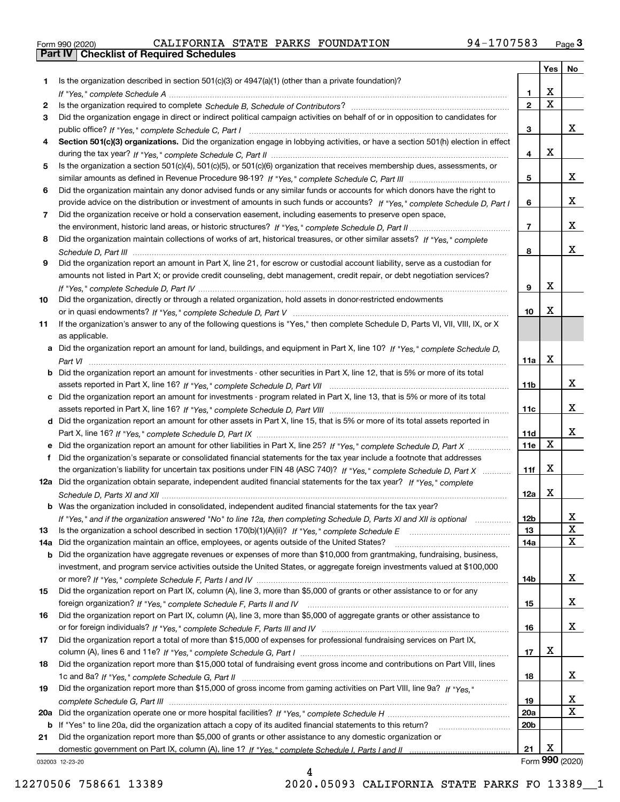|  | Form 990 (2020) |
|--|-----------------|

|     |                                                                                                                                                                                                                                           |                        | Yes         | No |
|-----|-------------------------------------------------------------------------------------------------------------------------------------------------------------------------------------------------------------------------------------------|------------------------|-------------|----|
| 1   | Is the organization described in section $501(c)(3)$ or $4947(a)(1)$ (other than a private foundation)?                                                                                                                                   |                        |             |    |
|     |                                                                                                                                                                                                                                           | 1                      | X           |    |
| 2   |                                                                                                                                                                                                                                           | $\overline{2}$         | $\mathbf X$ |    |
| 3   | Did the organization engage in direct or indirect political campaign activities on behalf of or in opposition to candidates for                                                                                                           |                        |             |    |
|     |                                                                                                                                                                                                                                           | 3                      |             | x  |
| 4   | Section 501(c)(3) organizations. Did the organization engage in lobbying activities, or have a section 501(h) election in effect                                                                                                          |                        | X           |    |
|     |                                                                                                                                                                                                                                           | 4                      |             |    |
| 5   | Is the organization a section 501(c)(4), 501(c)(5), or 501(c)(6) organization that receives membership dues, assessments, or                                                                                                              | 5                      |             | x  |
|     | Did the organization maintain any donor advised funds or any similar funds or accounts for which donors have the right to                                                                                                                 |                        |             |    |
| 6   |                                                                                                                                                                                                                                           | 6                      |             | х  |
| 7   | provide advice on the distribution or investment of amounts in such funds or accounts? If "Yes," complete Schedule D, Part I<br>Did the organization receive or hold a conservation easement, including easements to preserve open space, |                        |             |    |
|     |                                                                                                                                                                                                                                           | $\overline{7}$         |             | х  |
| 8   | Did the organization maintain collections of works of art, historical treasures, or other similar assets? If "Yes," complete                                                                                                              |                        |             |    |
|     |                                                                                                                                                                                                                                           | 8                      |             | х  |
| 9   | Did the organization report an amount in Part X, line 21, for escrow or custodial account liability, serve as a custodian for                                                                                                             |                        |             |    |
|     | amounts not listed in Part X; or provide credit counseling, debt management, credit repair, or debt negotiation services?                                                                                                                 |                        |             |    |
|     |                                                                                                                                                                                                                                           | 9                      | х           |    |
| 10  | Did the organization, directly or through a related organization, hold assets in donor-restricted endowments                                                                                                                              |                        |             |    |
|     |                                                                                                                                                                                                                                           | 10                     | х           |    |
| 11  | If the organization's answer to any of the following questions is "Yes," then complete Schedule D, Parts VI, VII, VIII, IX, or X                                                                                                          |                        |             |    |
|     | as applicable.                                                                                                                                                                                                                            |                        |             |    |
|     | a Did the organization report an amount for land, buildings, and equipment in Part X, line 10? If "Yes," complete Schedule D.                                                                                                             |                        |             |    |
|     |                                                                                                                                                                                                                                           | 11a                    | X           |    |
| b   | Did the organization report an amount for investments - other securities in Part X, line 12, that is 5% or more of its total                                                                                                              |                        |             |    |
|     |                                                                                                                                                                                                                                           | 11 <sub>b</sub>        |             | x  |
| c   | Did the organization report an amount for investments - program related in Part X, line 13, that is 5% or more of its total                                                                                                               |                        |             |    |
|     |                                                                                                                                                                                                                                           | 11c                    |             | x  |
|     | d Did the organization report an amount for other assets in Part X, line 15, that is 5% or more of its total assets reported in                                                                                                           |                        |             |    |
|     |                                                                                                                                                                                                                                           | 11d                    |             | x  |
|     | Did the organization report an amount for other liabilities in Part X, line 25? If "Yes," complete Schedule D, Part X                                                                                                                     | 11e                    | X           |    |
| f   | Did the organization's separate or consolidated financial statements for the tax year include a footnote that addresses                                                                                                                   |                        |             |    |
|     | the organization's liability for uncertain tax positions under FIN 48 (ASC 740)? If "Yes," complete Schedule D, Part X                                                                                                                    | 11f                    | X           |    |
|     | 12a Did the organization obtain separate, independent audited financial statements for the tax year? If "Yes," complete                                                                                                                   |                        |             |    |
|     |                                                                                                                                                                                                                                           | 12a                    | х           |    |
|     | <b>b</b> Was the organization included in consolidated, independent audited financial statements for the tax year?                                                                                                                        |                        |             |    |
|     | If "Yes," and if the organization answered "No" to line 12a, then completing Schedule D, Parts XI and XII is optional                                                                                                                     | 12D                    |             | ᅀ  |
| 13  | Is the organization a school described in section $170(b)(1)(A)(ii)?$ If "Yes," complete Schedule E                                                                                                                                       | 13                     |             | X  |
| 14a | Did the organization maintain an office, employees, or agents outside of the United States?                                                                                                                                               | 14a                    |             | X  |
| b   | Did the organization have aggregate revenues or expenses of more than \$10,000 from grantmaking, fundraising, business,                                                                                                                   |                        |             |    |
|     | investment, and program service activities outside the United States, or aggregate foreign investments valued at \$100,000                                                                                                                |                        |             |    |
|     |                                                                                                                                                                                                                                           | 14b                    |             | x  |
| 15  | Did the organization report on Part IX, column (A), line 3, more than \$5,000 of grants or other assistance to or for any                                                                                                                 |                        |             |    |
|     |                                                                                                                                                                                                                                           | 15                     |             | x  |
| 16  | Did the organization report on Part IX, column (A), line 3, more than \$5,000 of aggregate grants or other assistance to                                                                                                                  |                        |             |    |
|     |                                                                                                                                                                                                                                           | 16                     |             | X  |
| 17  | Did the organization report a total of more than \$15,000 of expenses for professional fundraising services on Part IX,                                                                                                                   |                        |             |    |
|     |                                                                                                                                                                                                                                           | 17                     | х           |    |
| 18  | Did the organization report more than \$15,000 total of fundraising event gross income and contributions on Part VIII, lines                                                                                                              |                        |             |    |
|     |                                                                                                                                                                                                                                           | 18                     |             | x  |
| 19  | Did the organization report more than \$15,000 of gross income from gaming activities on Part VIII, line 9a? If "Yes."                                                                                                                    |                        |             |    |
|     |                                                                                                                                                                                                                                           | 19                     |             | x  |
| 20a |                                                                                                                                                                                                                                           | 20a<br>20 <sub>b</sub> |             | X  |
| b   |                                                                                                                                                                                                                                           |                        |             |    |
|     | If "Yes" to line 20a, did the organization attach a copy of its audited financial statements to this return?                                                                                                                              |                        |             |    |
| 21  | Did the organization report more than \$5,000 of grants or other assistance to any domestic organization or                                                                                                                               | 21                     | Х           |    |

4

032003 12-23-20

12270506 758661 13389 2020.05093 CALIFORNIA STATE PARKS FO 13389\_\_1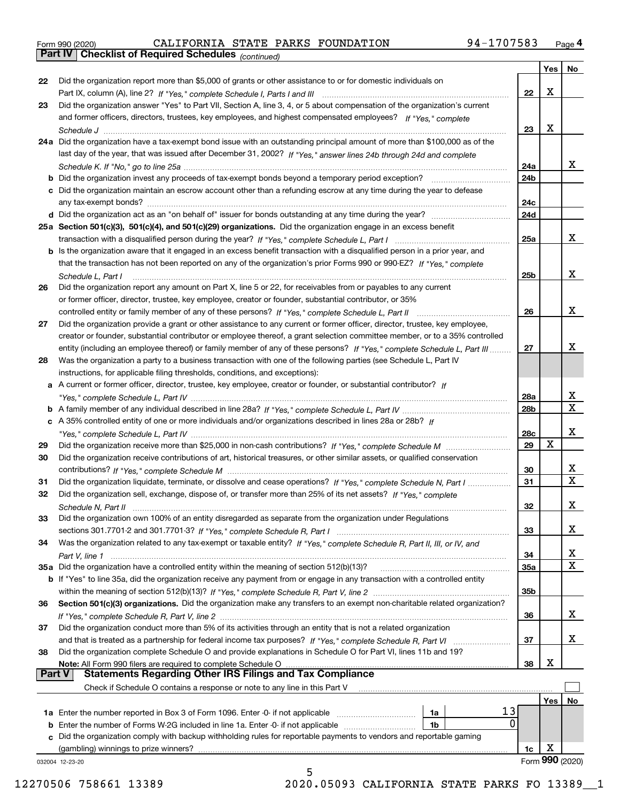|  | Form 990 (2020) |
|--|-----------------|
|  |                 |

*(continued)*

|               |                                                                                                                                                                             |                 | Yes | No                      |
|---------------|-----------------------------------------------------------------------------------------------------------------------------------------------------------------------------|-----------------|-----|-------------------------|
| 22            | Did the organization report more than \$5,000 of grants or other assistance to or for domestic individuals on                                                               |                 |     |                         |
|               | Part IX, column (A), line 2? If "Yes," complete Schedule I, Parts I and III [11] [11] [12] [12] Part IX, column (A), line 2? If "Yes," complete Schedule I, Parts I and III | 22              | х   |                         |
| 23            | Did the organization answer "Yes" to Part VII, Section A, line 3, 4, or 5 about compensation of the organization's current                                                  |                 |     |                         |
|               | and former officers, directors, trustees, key employees, and highest compensated employees? If "Yes," complete                                                              |                 |     |                         |
|               |                                                                                                                                                                             | 23              | х   |                         |
|               | 24a Did the organization have a tax-exempt bond issue with an outstanding principal amount of more than \$100,000 as of the                                                 |                 |     |                         |
|               | last day of the year, that was issued after December 31, 2002? If "Yes," answer lines 24b through 24d and complete                                                          |                 |     |                         |
|               |                                                                                                                                                                             | 24a             |     | X.                      |
|               | b Did the organization invest any proceeds of tax-exempt bonds beyond a temporary period exception?                                                                         | 24b             |     |                         |
|               | c Did the organization maintain an escrow account other than a refunding escrow at any time during the year to defease                                                      |                 |     |                         |
|               | any tax-exempt bonds?                                                                                                                                                       | 24 <sub>c</sub> |     |                         |
|               | d Did the organization act as an "on behalf of" issuer for bonds outstanding at any time during the year?                                                                   | 24d             |     |                         |
|               |                                                                                                                                                                             |                 |     |                         |
|               | 25a Section 501(c)(3), 501(c)(4), and 501(c)(29) organizations. Did the organization engage in an excess benefit                                                            |                 |     |                         |
|               |                                                                                                                                                                             | 25a             |     | X.                      |
|               | b Is the organization aware that it engaged in an excess benefit transaction with a disqualified person in a prior year, and                                                |                 |     |                         |
|               | that the transaction has not been reported on any of the organization's prior Forms 990 or 990-EZ? If "Yes." complete                                                       |                 |     |                         |
|               | Schedule L, Part I                                                                                                                                                          | 25b             |     | x                       |
| 26            | Did the organization report any amount on Part X, line 5 or 22, for receivables from or payables to any current                                                             |                 |     |                         |
|               | or former officer, director, trustee, key employee, creator or founder, substantial contributor, or 35%                                                                     |                 |     |                         |
|               |                                                                                                                                                                             | 26              |     | x                       |
| 27            | Did the organization provide a grant or other assistance to any current or former officer, director, trustee, key employee,                                                 |                 |     |                         |
|               | creator or founder, substantial contributor or employee thereof, a grant selection committee member, or to a 35% controlled                                                 |                 |     |                         |
|               | entity (including an employee thereof) or family member of any of these persons? If "Yes," complete Schedule L, Part III                                                    | 27              |     | x                       |
| 28            | Was the organization a party to a business transaction with one of the following parties (see Schedule L, Part IV                                                           |                 |     |                         |
|               | instructions, for applicable filing thresholds, conditions, and exceptions):                                                                                                |                 |     |                         |
|               | a A current or former officer, director, trustee, key employee, creator or founder, or substantial contributor? If                                                          |                 |     |                         |
|               |                                                                                                                                                                             | 28a             |     | x                       |
|               |                                                                                                                                                                             | 28b             |     | X                       |
|               | c A 35% controlled entity of one or more individuals and/or organizations described in lines 28a or 28b? If                                                                 |                 |     |                         |
|               |                                                                                                                                                                             | 28c             |     | x                       |
| 29            |                                                                                                                                                                             | 29              | X   |                         |
| 30            | Did the organization receive contributions of art, historical treasures, or other similar assets, or qualified conservation                                                 |                 |     |                         |
|               |                                                                                                                                                                             | 30              |     | X.                      |
| 31            | Did the organization liquidate, terminate, or dissolve and cease operations? If "Yes," complete Schedule N, Part I                                                          | 31              |     | $\overline{\mathbf{x}}$ |
| 32            | Did the organization sell, exchange, dispose of, or transfer more than 25% of its net assets? If "Yes." complete                                                            |                 |     |                         |
|               |                                                                                                                                                                             | 32              |     | x                       |
|               | Schedule N, Part II<br>Did the organization own 100% of an entity disregarded as separate from the organization under Regulations                                           |                 |     |                         |
| 33            |                                                                                                                                                                             |                 |     | X                       |
|               |                                                                                                                                                                             | 33              |     |                         |
| 34            | Was the organization related to any tax-exempt or taxable entity? If "Yes," complete Schedule R, Part II, III, or IV, and                                                   |                 |     |                         |
|               |                                                                                                                                                                             | 34              |     | х<br>X                  |
|               | 35a Did the organization have a controlled entity within the meaning of section 512(b)(13)?                                                                                 | 35a             |     |                         |
|               | b If "Yes" to line 35a, did the organization receive any payment from or engage in any transaction with a controlled entity                                                 |                 |     |                         |
|               |                                                                                                                                                                             | 35b             |     |                         |
| 36            | Section 501(c)(3) organizations. Did the organization make any transfers to an exempt non-charitable related organization?                                                  |                 |     |                         |
|               |                                                                                                                                                                             | 36              |     | x                       |
| 37            | Did the organization conduct more than 5% of its activities through an entity that is not a related organization                                                            |                 |     |                         |
|               | and that is treated as a partnership for federal income tax purposes? If "Yes," complete Schedule R, Part VI                                                                | 37              |     | x                       |
| 38            | Did the organization complete Schedule O and provide explanations in Schedule O for Part VI, lines 11b and 19?                                                              |                 |     |                         |
|               | Note: All Form 990 filers are required to complete Schedule O                                                                                                               | 38              | х   |                         |
| <b>Part V</b> | <b>Statements Regarding Other IRS Filings and Tax Compliance</b>                                                                                                            |                 |     |                         |
|               | Check if Schedule O contains a response or note to any line in this Part V                                                                                                  |                 |     |                         |
|               |                                                                                                                                                                             |                 | Yes | No                      |
|               | 13<br>1a Enter the number reported in Box 3 of Form 1096. Enter -0- if not applicable<br>1a                                                                                 |                 |     |                         |
|               | 0<br><b>b</b> Enter the number of Forms W-2G included in line 1a. Enter -0- if not applicable <i>manumumumum</i><br>1b                                                      |                 |     |                         |
|               | c Did the organization comply with backup withholding rules for reportable payments to vendors and reportable gaming                                                        |                 |     |                         |
|               | (gambling) winnings to prize winners?                                                                                                                                       | 1c              | X   |                         |
|               | 032004 12-23-20                                                                                                                                                             |                 |     | Form 990 (2020)         |
|               | 5                                                                                                                                                                           |                 |     |                         |

12270506 758661 13389 2020.05093 CALIFORNIA STATE PARKS FO 13389\_\_1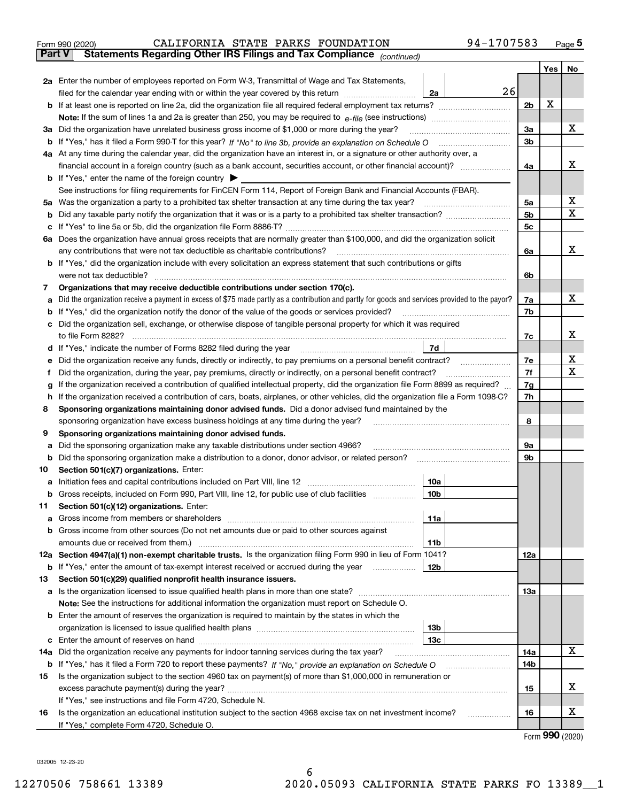|               | 94-1707583<br>CALIFORNIA STATE PARKS FOUNDATION<br>Form 990 (2020)                                                                                                         |     |     | $_{\text{Page}}$ 5 |  |  |  |
|---------------|----------------------------------------------------------------------------------------------------------------------------------------------------------------------------|-----|-----|--------------------|--|--|--|
| <b>Part V</b> | Statements Regarding Other IRS Filings and Tax Compliance (continued)                                                                                                      |     |     |                    |  |  |  |
|               |                                                                                                                                                                            |     | Yes | No                 |  |  |  |
|               | 2a Enter the number of employees reported on Form W-3, Transmittal of Wage and Tax Statements,                                                                             |     |     |                    |  |  |  |
|               | 26<br>filed for the calendar year ending with or within the year covered by this return<br>2a                                                                              |     |     |                    |  |  |  |
|               |                                                                                                                                                                            | 2b  | х   |                    |  |  |  |
|               |                                                                                                                                                                            |     |     |                    |  |  |  |
|               | 3a Did the organization have unrelated business gross income of \$1,000 or more during the year?                                                                           | 3a  |     | х                  |  |  |  |
|               |                                                                                                                                                                            | 3b  |     |                    |  |  |  |
|               | 4a At any time during the calendar year, did the organization have an interest in, or a signature or other authority over, a                                               |     |     |                    |  |  |  |
|               |                                                                                                                                                                            | 4a  |     | х                  |  |  |  |
|               | <b>b</b> If "Yes," enter the name of the foreign country $\blacktriangleright$                                                                                             |     |     |                    |  |  |  |
|               | See instructions for filing requirements for FinCEN Form 114, Report of Foreign Bank and Financial Accounts (FBAR).                                                        |     |     |                    |  |  |  |
|               |                                                                                                                                                                            | 5a  |     | х                  |  |  |  |
| b             |                                                                                                                                                                            | 5b  |     | X                  |  |  |  |
| c             |                                                                                                                                                                            | 5c  |     |                    |  |  |  |
|               | 6a Does the organization have annual gross receipts that are normally greater than \$100,000, and did the organization solicit                                             |     |     |                    |  |  |  |
|               |                                                                                                                                                                            | 6a  |     | х                  |  |  |  |
|               | <b>b</b> If "Yes," did the organization include with every solicitation an express statement that such contributions or gifts                                              |     |     |                    |  |  |  |
|               | were not tax deductible?                                                                                                                                                   | 6b  |     |                    |  |  |  |
| 7             | Organizations that may receive deductible contributions under section 170(c).                                                                                              |     |     |                    |  |  |  |
| а             | Did the organization receive a payment in excess of \$75 made partly as a contribution and partly for goods and services provided to the payor?                            | 7a  |     | х                  |  |  |  |
|               | <b>b</b> If "Yes," did the organization notify the donor of the value of the goods or services provided?                                                                   | 7b  |     |                    |  |  |  |
|               | c Did the organization sell, exchange, or otherwise dispose of tangible personal property for which it was required                                                        |     |     |                    |  |  |  |
|               |                                                                                                                                                                            | 7c  |     | х                  |  |  |  |
|               | 7d                                                                                                                                                                         |     |     |                    |  |  |  |
| е             | Did the organization receive any funds, directly or indirectly, to pay premiums on a personal benefit contract?                                                            | 7e  |     | х                  |  |  |  |
| f             | Did the organization, during the year, pay premiums, directly or indirectly, on a personal benefit contract?                                                               | 7f  |     | х                  |  |  |  |
| g             | If the organization received a contribution of qualified intellectual property, did the organization file Form 8899 as required?                                           | 7g  |     |                    |  |  |  |
| h.            | If the organization received a contribution of cars, boats, airplanes, or other vehicles, did the organization file a Form 1098-C?                                         |     |     |                    |  |  |  |
| 8             | Sponsoring organizations maintaining donor advised funds. Did a donor advised fund maintained by the                                                                       |     |     |                    |  |  |  |
|               | sponsoring organization have excess business holdings at any time during the year?                                                                                         | 8   |     |                    |  |  |  |
| 9             | Sponsoring organizations maintaining donor advised funds.                                                                                                                  |     |     |                    |  |  |  |
| а             | Did the sponsoring organization make any taxable distributions under section 4966?                                                                                         | 9а  |     |                    |  |  |  |
| b             | Did the sponsoring organization make a distribution to a donor, donor advisor, or related person?                                                                          | 9b  |     |                    |  |  |  |
| 10            | Section 501(c)(7) organizations. Enter:                                                                                                                                    |     |     |                    |  |  |  |
|               | 10a<br>a Initiation fees and capital contributions included on Part VIII, line 12 [111] [11] [11] Initiation fees and capital contributions included on Part VIII, line 12 |     |     |                    |  |  |  |
|               | 10 <sub>b</sub>  <br>Gross receipts, included on Form 990, Part VIII, line 12, for public use of club facilities                                                           |     |     |                    |  |  |  |
| 11            | Section 501(c)(12) organizations. Enter:                                                                                                                                   |     |     |                    |  |  |  |
| a             | 11a                                                                                                                                                                        |     |     |                    |  |  |  |
|               | b Gross income from other sources (Do not net amounts due or paid to other sources against                                                                                 |     |     |                    |  |  |  |
|               | <b>11b</b>                                                                                                                                                                 |     |     |                    |  |  |  |
|               | 12a Section 4947(a)(1) non-exempt charitable trusts. Is the organization filing Form 990 in lieu of Form 1041?                                                             | 12a |     |                    |  |  |  |
|               | 12b<br><b>b</b> If "Yes," enter the amount of tax-exempt interest received or accrued during the year <i>manument</i>                                                      |     |     |                    |  |  |  |
| 13            | Section 501(c)(29) qualified nonprofit health insurance issuers.                                                                                                           |     |     |                    |  |  |  |
|               | a Is the organization licensed to issue qualified health plans in more than one state?                                                                                     | 13a |     |                    |  |  |  |
|               | Note: See the instructions for additional information the organization must report on Schedule O.                                                                          |     |     |                    |  |  |  |
|               | <b>b</b> Enter the amount of reserves the organization is required to maintain by the states in which the                                                                  |     |     |                    |  |  |  |
|               | 13b                                                                                                                                                                        |     |     |                    |  |  |  |
|               | 13с                                                                                                                                                                        |     |     |                    |  |  |  |
| 14a           | Did the organization receive any payments for indoor tanning services during the tax year?                                                                                 | 14a |     | х                  |  |  |  |
|               | <b>b</b> If "Yes," has it filed a Form 720 to report these payments? If "No," provide an explanation on Schedule O                                                         | 14b |     |                    |  |  |  |
| 15            | Is the organization subject to the section 4960 tax on payment(s) of more than \$1,000,000 in remuneration or                                                              |     |     |                    |  |  |  |
|               |                                                                                                                                                                            | 15  |     | x                  |  |  |  |
|               | If "Yes," see instructions and file Form 4720, Schedule N.                                                                                                                 |     |     | х                  |  |  |  |
| 16            | Is the organization an educational institution subject to the section 4968 excise tax on net investment income?                                                            | 16  |     |                    |  |  |  |
|               | If "Yes," complete Form 4720, Schedule O.                                                                                                                                  |     |     |                    |  |  |  |

Form (2020) **990**

032005 12-23-20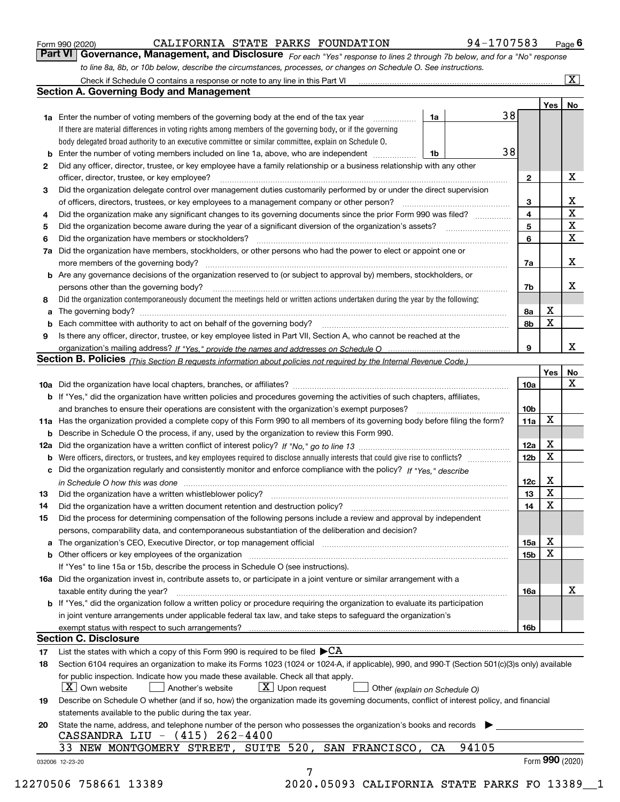|  | Form 990 (2020) |
|--|-----------------|
|  |                 |

*For each "Yes" response to lines 2 through 7b below, and for a "No" response to line 8a, 8b, or 10b below, describe the circumstances, processes, or changes on Schedule O. See instructions.* Form 990 (2020) **CALIFORNIA STATE PARKS FOUNDATION** 94-1707583 Page 6<br>**Part VI Governance, Management, and Disclosure** *For each "Yes" response to lines 2 through 7b below, and for a "No" response* 

|              |                                                                                                                                                                               |    |       |    |                              | Yes | No                      |
|--------------|-------------------------------------------------------------------------------------------------------------------------------------------------------------------------------|----|-------|----|------------------------------|-----|-------------------------|
|              | <b>1a</b> Enter the number of voting members of the governing body at the end of the tax year                                                                                 | 1a |       | 38 |                              |     |                         |
|              | If there are material differences in voting rights among members of the governing body, or if the governing                                                                   |    |       |    |                              |     |                         |
|              | body delegated broad authority to an executive committee or similar committee, explain on Schedule O.                                                                         |    |       |    |                              |     |                         |
|              |                                                                                                                                                                               | 1b |       | 38 |                              |     |                         |
| $\mathbf{2}$ | Did any officer, director, trustee, or key employee have a family relationship or a business relationship with any other                                                      |    |       |    |                              |     | X                       |
|              | officer, director, trustee, or key employee?<br>Did the organization delegate control over management duties customarily performed by or under the direct supervision         |    |       |    | $\mathbf{2}$                 |     |                         |
| 3            |                                                                                                                                                                               |    |       |    |                              |     | X                       |
|              | Did the organization make any significant changes to its governing documents since the prior Form 990 was filed?                                                              |    |       |    | 3<br>$\overline{\mathbf{4}}$ |     | $\overline{\textbf{X}}$ |
| 4            |                                                                                                                                                                               |    |       |    |                              |     | $\mathbf X$             |
| 5            |                                                                                                                                                                               |    |       |    | 5                            |     | $\mathbf x$             |
| 6            | Did the organization have members or stockholders?                                                                                                                            |    |       |    | 6                            |     |                         |
|              | 7a Did the organization have members, stockholders, or other persons who had the power to elect or appoint one or                                                             |    |       |    |                              |     | x                       |
|              |                                                                                                                                                                               |    |       |    | 7a                           |     |                         |
|              | <b>b</b> Are any governance decisions of the organization reserved to (or subject to approval by) members, stockholders, or                                                   |    |       |    |                              |     |                         |
|              | persons other than the governing body?                                                                                                                                        |    |       |    | 7b                           |     | х                       |
| 8            | Did the organization contemporaneously document the meetings held or written actions undertaken during the year by the following:                                             |    |       |    |                              |     |                         |
| a            |                                                                                                                                                                               |    |       |    | 8a                           | X   |                         |
|              |                                                                                                                                                                               |    |       |    | 8b                           | X   |                         |
| 9            | Is there any officer, director, trustee, or key employee listed in Part VII, Section A, who cannot be reached at the                                                          |    |       |    |                              |     |                         |
|              |                                                                                                                                                                               |    |       |    | 9                            |     | х                       |
|              | Section B. Policies (This Section B requests information about policies not required by the Internal Revenue Code.)                                                           |    |       |    |                              |     |                         |
|              |                                                                                                                                                                               |    |       |    |                              | Yes | No                      |
|              |                                                                                                                                                                               |    |       |    | 10a                          |     | X                       |
|              | <b>b</b> If "Yes," did the organization have written policies and procedures governing the activities of such chapters, affiliates,                                           |    |       |    |                              |     |                         |
|              |                                                                                                                                                                               |    |       |    | 10 <sub>b</sub>              |     |                         |
|              | 11a Has the organization provided a complete copy of this Form 990 to all members of its governing body before filing the form?                                               |    |       |    | 11a                          | X   |                         |
|              | <b>b</b> Describe in Schedule O the process, if any, used by the organization to review this Form 990.                                                                        |    |       |    |                              |     |                         |
|              |                                                                                                                                                                               |    |       |    | 12a                          | X   |                         |
| b            |                                                                                                                                                                               |    |       |    | 12b                          | X   |                         |
|              | c Did the organization regularly and consistently monitor and enforce compliance with the policy? If "Yes," describe                                                          |    |       |    |                              |     |                         |
|              | in Schedule O how this was done manufactured and continuum control of the Schedule O how this was done manufactured and continuum control of the Schedule O how this was done |    |       |    | 12c                          | х   |                         |
| 13           |                                                                                                                                                                               |    |       |    | 13                           | X   |                         |
| 14           | Did the organization have a written document retention and destruction policy? manufactured and the organization have a written document retention and destruction policy?    |    |       |    | 14                           | X   |                         |
| 15           | Did the process for determining compensation of the following persons include a review and approval by independent                                                            |    |       |    |                              |     |                         |
|              | persons, comparability data, and contemporaneous substantiation of the deliberation and decision?                                                                             |    |       |    |                              |     |                         |
|              |                                                                                                                                                                               |    |       |    | 15a                          | X   |                         |
|              |                                                                                                                                                                               |    |       |    | 15b                          | X   |                         |
|              | If "Yes" to line 15a or 15b, describe the process in Schedule O (see instructions).                                                                                           |    |       |    |                              |     |                         |
|              | 16a Did the organization invest in, contribute assets to, or participate in a joint venture or similar arrangement with a                                                     |    |       |    |                              |     |                         |
|              | taxable entity during the year?                                                                                                                                               |    |       |    | 16a                          |     | X                       |
|              | b If "Yes," did the organization follow a written policy or procedure requiring the organization to evaluate its participation                                                |    |       |    |                              |     |                         |
|              | in joint venture arrangements under applicable federal tax law, and take steps to safeguard the organization's                                                                |    |       |    |                              |     |                         |
|              | exempt status with respect to such arrangements?                                                                                                                              |    |       |    | 16b                          |     |                         |
|              | <b>Section C. Disclosure</b>                                                                                                                                                  |    |       |    |                              |     |                         |
| 17           | List the states with which a copy of this Form 990 is required to be filed $\blacktriangleright$ CA                                                                           |    |       |    |                              |     |                         |
| 18           | Section 6104 requires an organization to make its Forms 1023 (1024 or 1024-A, if applicable), 990, and 990-T (Section 501(c)(3)s only) available                              |    |       |    |                              |     |                         |
|              | for public inspection. Indicate how you made these available. Check all that apply.                                                                                           |    |       |    |                              |     |                         |
|              | $\lfloor X \rfloor$ Own website<br>$X$ Upon request<br>Another's website<br>Other (explain on Schedule O)                                                                     |    |       |    |                              |     |                         |
| 19           | Describe on Schedule O whether (and if so, how) the organization made its governing documents, conflict of interest policy, and financial                                     |    |       |    |                              |     |                         |
|              | statements available to the public during the tax year.                                                                                                                       |    |       |    |                              |     |                         |
| 20           | State the name, address, and telephone number of the person who possesses the organization's books and records                                                                |    |       |    |                              |     |                         |
|              | CASSANDRA LIU - (415) 262-4400                                                                                                                                                |    |       |    |                              |     |                         |
|              | 33 NEW MONTGOMERY STREET, SUITE 520, SAN FRANCISCO,                                                                                                                           | CA | 94105 |    |                              |     |                         |
|              |                                                                                                                                                                               |    |       |    |                              |     | Form 990 (2020)         |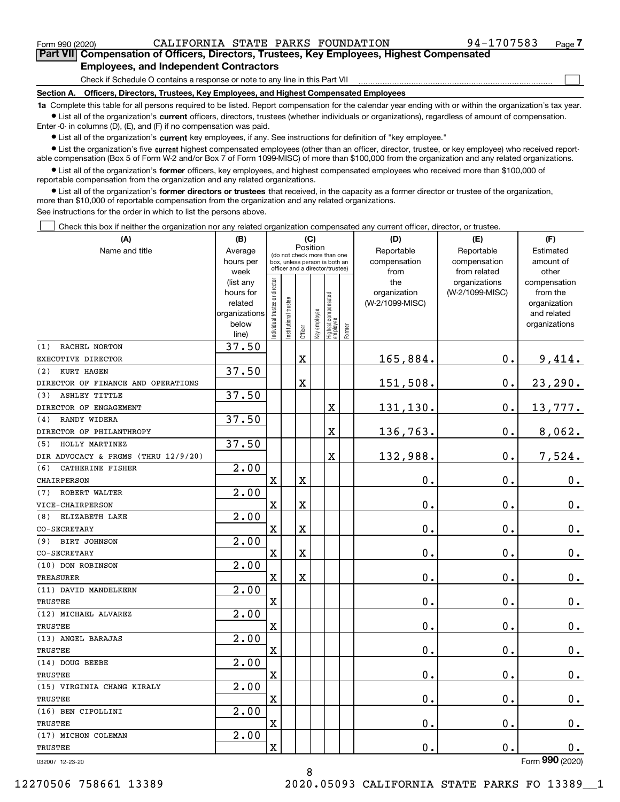Form 990 (2020) CALIFORNIA STATE PARKS FOUNDATION 94-1707583 Page

 $\mathcal{L}^{\text{max}}$ 

**7Part VII Compensation of Officers, Directors, Trustees, Key Employees, Highest Compensated Employees, and Independent Contractors**

Check if Schedule O contains a response or note to any line in this Part VII

**Section A. Officers, Directors, Trustees, Key Employees, and Highest Compensated Employees**

**1a**  Complete this table for all persons required to be listed. Report compensation for the calendar year ending with or within the organization's tax year. **•** List all of the organization's current officers, directors, trustees (whether individuals or organizations), regardless of amount of compensation.

Enter -0- in columns (D), (E), and (F) if no compensation was paid.

 $\bullet$  List all of the organization's  $\,$ current key employees, if any. See instructions for definition of "key employee."

**•** List the organization's five current highest compensated employees (other than an officer, director, trustee, or key employee) who received reportable compensation (Box 5 of Form W-2 and/or Box 7 of Form 1099-MISC) of more than \$100,000 from the organization and any related organizations.

**•** List all of the organization's former officers, key employees, and highest compensated employees who received more than \$100,000 of reportable compensation from the organization and any related organizations.

**former directors or trustees**  ¥ List all of the organization's that received, in the capacity as a former director or trustee of the organization, more than \$10,000 of reportable compensation from the organization and any related organizations.

See instructions for the order in which to list the persons above.

Check this box if neither the organization nor any related organization compensated any current officer, director, or trustee.  $\mathcal{L}^{\text{max}}$ 

| (A)                                 | (C)<br>(B)             |                                                                          |                                 |             |              |                                  |              | (D)                 | (E)                              | (F)                             |
|-------------------------------------|------------------------|--------------------------------------------------------------------------|---------------------------------|-------------|--------------|----------------------------------|--------------|---------------------|----------------------------------|---------------------------------|
| Name and title                      | Average                | Position<br>(do not check more than one<br>box, unless person is both an |                                 |             |              |                                  |              | Reportable          | Reportable                       | Estimated                       |
|                                     | hours per              |                                                                          |                                 |             |              |                                  |              | compensation        | compensation                     | amount of                       |
|                                     | week                   |                                                                          | officer and a director/trustee) |             |              | from                             | from related | other               |                                  |                                 |
|                                     | (list any<br>hours for |                                                                          |                                 |             |              |                                  |              | the<br>organization | organizations<br>(W-2/1099-MISC) | compensation<br>from the        |
|                                     | related                |                                                                          |                                 |             |              |                                  |              | (W-2/1099-MISC)     |                                  | organization                    |
|                                     | organizations          |                                                                          |                                 |             |              |                                  |              |                     |                                  | and related                     |
|                                     | below                  | ndividual trustee or director                                            | In stitutional trustee          |             | Key employee |                                  |              |                     |                                  | organizations                   |
|                                     | line)                  |                                                                          |                                 | Officer     |              | Highest compensated<br> employee | Former       |                     |                                  |                                 |
| RACHEL NORTON<br>(1)                | 37.50                  |                                                                          |                                 |             |              |                                  |              |                     |                                  |                                 |
| EXECUTIVE DIRECTOR                  |                        |                                                                          |                                 | $\mathbf X$ |              |                                  |              | 165,884.            | $\mathbf 0$ .                    | 9,414.                          |
| (2)<br>KURT HAGEN                   | 37.50                  |                                                                          |                                 |             |              |                                  |              |                     |                                  |                                 |
| DIRECTOR OF FINANCE AND OPERATIONS  |                        |                                                                          |                                 | X           |              |                                  |              | 151,508.            | $\mathbf 0$ .                    | 23,290.                         |
| ASHLEY TITTLE<br>(3)                | 37.50                  |                                                                          |                                 |             |              |                                  |              |                     |                                  |                                 |
| DIRECTOR OF ENGAGEMENT              |                        |                                                                          |                                 |             |              | $\mathbf X$                      |              | 131,130.            | $\mathbf 0$ .                    | 13,777.                         |
| RANDY WIDERA<br>(4)                 | 37.50                  |                                                                          |                                 |             |              |                                  |              |                     |                                  |                                 |
| DIRECTOR OF PHILANTHROPY            |                        |                                                                          |                                 |             |              | X                                |              | 136,763.            | $\mathbf 0$ .                    | 8,062.                          |
| (5)<br>HOLLY MARTINEZ               | 37.50                  |                                                                          |                                 |             |              |                                  |              |                     |                                  |                                 |
| DIR ADVOCACY & PRGMS (THRU 12/9/20) |                        |                                                                          |                                 |             |              | $\overline{\mathbf{X}}$          |              | 132,988.            | $\mathbf 0$ .                    | 7,524.                          |
| (6)<br>CATHERINE FISHER             | 2.00                   |                                                                          |                                 |             |              |                                  |              |                     |                                  |                                 |
| CHAIRPERSON                         |                        | $\mathbf X$                                                              |                                 | X           |              |                                  |              | 0.                  | 0.                               | 0.                              |
| (7)<br>ROBERT WALTER                | 2.00                   |                                                                          |                                 |             |              |                                  |              |                     |                                  |                                 |
| VICE-CHAIRPERSON                    |                        | X                                                                        |                                 | Χ           |              |                                  |              | 0.                  | $\mathbf 0$ .                    | $0_{.}$                         |
| ELIZABETH LAKE<br>(8)               | $\overline{2.00}$      |                                                                          |                                 |             |              |                                  |              |                     |                                  |                                 |
| CO-SECRETARY                        |                        | $\mathbf x$                                                              |                                 | X           |              |                                  |              | 0.                  | $\mathbf 0$ .                    | $0_{\cdot}$                     |
| BIRT JOHNSON<br>(9)                 | 2.00                   |                                                                          |                                 |             |              |                                  |              |                     |                                  |                                 |
| CO-SECRETARY                        |                        | $\mathbf X$                                                              |                                 | Χ           |              |                                  |              | 0.                  | $\mathbf 0$ .                    | 0.                              |
| (10) DON ROBINSON                   | 2.00                   |                                                                          |                                 |             |              |                                  |              |                     |                                  |                                 |
| TREASURER                           |                        | $\mathbf x$                                                              |                                 | $\mathbf X$ |              |                                  |              | 0.                  | $\mathbf 0$ .                    | $\mathbf 0$ .                   |
| (11) DAVID MANDELKERN               | 2.00                   |                                                                          |                                 |             |              |                                  |              |                     |                                  |                                 |
| TRUSTEE                             |                        | X                                                                        |                                 |             |              |                                  |              | 0.                  | О.                               | 0.                              |
| (12) MICHAEL ALVAREZ                | 2.00                   |                                                                          |                                 |             |              |                                  |              |                     |                                  |                                 |
| TRUSTEE                             |                        | $\overline{\text{X}}$                                                    |                                 |             |              |                                  |              | 0.                  | $\mathbf 0$ .                    | $\mathbf 0$ .                   |
| (13) ANGEL BARAJAS                  | $\overline{2.00}$      |                                                                          |                                 |             |              |                                  |              |                     |                                  |                                 |
| TRUSTEE                             |                        | X                                                                        |                                 |             |              |                                  |              | 0.                  | $\mathbf 0$ .                    | $\mathbf 0$ .                   |
| (14) DOUG BEEBE                     | 2.00                   |                                                                          |                                 |             |              |                                  |              |                     |                                  |                                 |
| TRUSTEE                             |                        | $\mathbf x$                                                              |                                 |             |              |                                  |              | 0.                  | $\mathbf 0$ .                    | $0_{.}$                         |
| (15) VIRGINIA CHANG KIRALY          | $\overline{2.00}$      |                                                                          |                                 |             |              |                                  |              |                     |                                  |                                 |
| TRUSTEE                             |                        | X                                                                        |                                 |             |              |                                  |              | 0.                  | $\mathbf 0$ .                    | $0_{.}$                         |
| (16) BEN CIPOLLINI                  | 2.00                   |                                                                          |                                 |             |              |                                  |              |                     |                                  |                                 |
| TRUSTEE                             |                        | $\overline{\text{X}}$                                                    |                                 |             |              |                                  |              | 0.                  | $\mathbf 0$ .                    | $\mathbf 0$ .                   |
| (17) MICHON COLEMAN                 | $\overline{2.00}$      |                                                                          |                                 |             |              |                                  |              |                     |                                  |                                 |
| TRUSTEE                             |                        | X                                                                        |                                 |             |              |                                  |              | 0.                  | $\mathbf 0$ .                    | $\mathbf 0$ .<br>$\overline{2}$ |

8

032007 12-23-20

Form (2020) **990**

12270506 758661 13389 2020.05093 CALIFORNIA STATE PARKS FO 13389\_\_1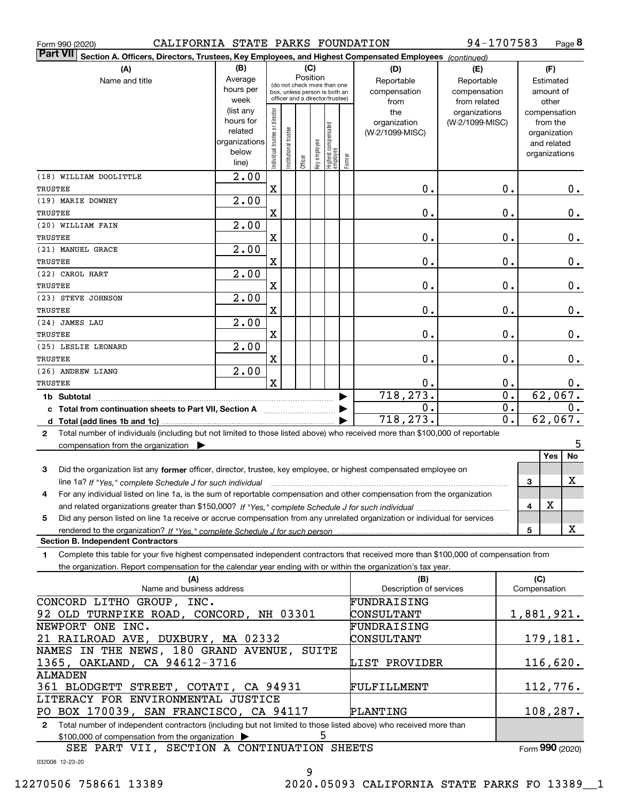| CALIFORNIA STATE PARKS FOUNDATION<br>Form 990 (2020)                                                                                         |                        |                                |                       |          |              |                                                              |        |                         | 94-1707583      |                           |              |               | Page 8    |
|----------------------------------------------------------------------------------------------------------------------------------------------|------------------------|--------------------------------|-----------------------|----------|--------------|--------------------------------------------------------------|--------|-------------------------|-----------------|---------------------------|--------------|---------------|-----------|
| <b>Part VII</b><br>Section A. Officers, Directors, Trustees, Key Employees, and Highest Compensated Employees (continued)                    |                        |                                |                       |          |              |                                                              |        |                         |                 |                           |              |               |           |
| (A)                                                                                                                                          | (B)                    |                                |                       | (C)      |              |                                                              |        | (D)                     | (E)             |                           |              | (F)           |           |
| Name and title                                                                                                                               | Average                |                                |                       | Position |              |                                                              |        | Reportable              | Reportable      |                           |              | Estimated     |           |
|                                                                                                                                              | hours per              |                                |                       |          |              | (do not check more than one<br>box, unless person is both an |        | compensation            | compensation    |                           |              | amount of     |           |
|                                                                                                                                              | week                   |                                |                       |          |              | officer and a director/trustee)                              |        | from                    | from related    |                           |              | other         |           |
|                                                                                                                                              | (list any              |                                |                       |          |              |                                                              |        | the                     | organizations   |                           | compensation |               |           |
|                                                                                                                                              | hours for              |                                |                       |          |              |                                                              |        | organization            | (W-2/1099-MISC) |                           |              | from the      |           |
|                                                                                                                                              | related                |                                |                       |          |              |                                                              |        | (W-2/1099-MISC)         |                 |                           |              | organization  |           |
|                                                                                                                                              | organizations<br>below |                                |                       |          |              |                                                              |        |                         |                 |                           |              | and related   |           |
|                                                                                                                                              | line)                  | Individual trustee or director | Institutional trustee | Officer  | Key employee | Highest compensated<br>employee                              | Former |                         |                 |                           |              | organizations |           |
| (18) WILLIAM DOOLITTLE                                                                                                                       | $\overline{2.00}$      |                                |                       |          |              |                                                              |        |                         |                 |                           |              |               |           |
| TRUSTEE                                                                                                                                      |                        | X                              |                       |          |              |                                                              |        | 0.                      |                 | 0.                        |              |               |           |
| (19) MARIE DOWNEY                                                                                                                            | $\overline{2.00}$      |                                |                       |          |              |                                                              |        |                         |                 |                           |              |               | $0$ .     |
| TRUSTEE                                                                                                                                      |                        | X                              |                       |          |              |                                                              |        | 0.                      |                 | 0.                        |              |               | 0.        |
| (20) WILLIAM FAIN                                                                                                                            | $\overline{2.00}$      |                                |                       |          |              |                                                              |        |                         |                 |                           |              |               |           |
| TRUSTEE                                                                                                                                      |                        | X                              |                       |          |              |                                                              |        | 0.                      |                 | 0.                        |              |               | 0.        |
| (21) MANUEL GRACE                                                                                                                            | $\overline{2.00}$      |                                |                       |          |              |                                                              |        |                         |                 |                           |              |               |           |
| <b>TRUSTEE</b>                                                                                                                               |                        | X                              |                       |          |              |                                                              |        | 0.                      |                 | 0.                        |              |               | 0.        |
| (22) CAROL HART                                                                                                                              | $\overline{2.00}$      |                                |                       |          |              |                                                              |        |                         |                 |                           |              |               |           |
| <b>TRUSTEE</b>                                                                                                                               |                        | X                              |                       |          |              |                                                              |        | 0.                      |                 | 0.                        |              |               | 0.        |
| (23) STEVE JOHNSON                                                                                                                           | $\overline{2.00}$      |                                |                       |          |              |                                                              |        |                         |                 |                           |              |               |           |
| <b>TRUSTEE</b>                                                                                                                               |                        | X                              |                       |          |              |                                                              |        | 0.                      |                 | 0.                        |              |               | 0.        |
| (24) JAMES LAU                                                                                                                               | $\overline{2.00}$      |                                |                       |          |              |                                                              |        |                         |                 |                           |              |               |           |
| <b>TRUSTEE</b>                                                                                                                               |                        | х                              |                       |          |              |                                                              |        | 0.                      |                 | 0.                        |              |               | 0.        |
| (25) LESLIE LEONARD                                                                                                                          | $\overline{2.00}$      |                                |                       |          |              |                                                              |        |                         |                 |                           |              |               |           |
| <b>TRUSTEE</b>                                                                                                                               |                        | X                              |                       |          |              |                                                              |        | 0.                      |                 | 0.                        |              |               | 0.        |
| (26) ANDREW LIANG                                                                                                                            | $\overline{2.00}$      |                                |                       |          |              |                                                              |        |                         |                 |                           |              |               |           |
| <b>TRUSTEE</b>                                                                                                                               |                        | X                              |                       |          |              |                                                              |        | 0.                      |                 | 0.                        |              |               | $0$ .     |
| 1b Subtotal                                                                                                                                  |                        |                                |                       |          |              |                                                              |        | 718, 273.               |                 | $\overline{\mathbf{0}}$ . |              |               | 62,067.   |
| c Total from continuation sheets to Part VII, Section A                                                                                      |                        |                                |                       |          |              |                                                              |        | 0.                      |                 | $\overline{0}$ .          |              |               | 0.        |
|                                                                                                                                              |                        |                                |                       |          |              |                                                              |        | 718,273.                |                 | $\overline{0}$ .          |              |               | 62,067.   |
| Total number of individuals (including but not limited to those listed above) who received more than \$100,000 of reportable<br>$\mathbf{2}$ |                        |                                |                       |          |              |                                                              |        |                         |                 |                           |              |               |           |
| compensation from the organization $\blacktriangleright$                                                                                     |                        |                                |                       |          |              |                                                              |        |                         |                 |                           |              |               | 5         |
|                                                                                                                                              |                        |                                |                       |          |              |                                                              |        |                         |                 |                           |              | Yes           | No        |
| 3<br>Did the organization list any former officer, director, trustee, key employee, or highest compensated employee on                       |                        |                                |                       |          |              |                                                              |        |                         |                 |                           |              |               |           |
| line 1a? If "Yes," complete Schedule J for such individual manufactured contained and the Ves," complete Schedule J for such individual      |                        |                                |                       |          |              |                                                              |        |                         |                 |                           | 3            |               | X         |
| For any individual listed on line 1a, is the sum of reportable compensation and other compensation from the organization                     |                        |                                |                       |          |              |                                                              |        |                         |                 |                           |              |               |           |
|                                                                                                                                              |                        |                                |                       |          |              |                                                              |        |                         |                 |                           | 4            | X             |           |
| Did any person listed on line 1a receive or accrue compensation from any unrelated organization or individual for services<br>5              |                        |                                |                       |          |              |                                                              |        |                         |                 |                           |              |               |           |
| rendered to the organization? If "Yes." complete Schedule J for such person                                                                  |                        |                                |                       |          |              |                                                              |        |                         |                 |                           | 5            |               | X         |
| <b>Section B. Independent Contractors</b>                                                                                                    |                        |                                |                       |          |              |                                                              |        |                         |                 |                           |              |               |           |
| Complete this table for your five highest compensated independent contractors that received more than \$100,000 of compensation from<br>1.   |                        |                                |                       |          |              |                                                              |        |                         |                 |                           |              |               |           |
| the organization. Report compensation for the calendar year ending with or within the organization's tax year.                               |                        |                                |                       |          |              |                                                              |        |                         |                 |                           |              |               |           |
| (A)                                                                                                                                          |                        |                                |                       |          |              |                                                              |        | (B)                     |                 |                           | (C)          |               |           |
| Name and business address                                                                                                                    |                        |                                |                       |          |              |                                                              |        | Description of services |                 |                           | Compensation |               |           |
| CONCORD LITHO GROUP, INC.                                                                                                                    |                        |                                |                       |          |              |                                                              |        | FUNDRAISING             |                 |                           |              |               |           |
| 92 OLD TURNPIKE ROAD, CONCORD, NH 03301                                                                                                      |                        |                                |                       |          |              |                                                              |        | CONSULTANT              |                 |                           | 1,881,921.   |               |           |
| NEWPORT ONE INC.                                                                                                                             |                        |                                |                       |          |              |                                                              |        | FUNDRAISING             |                 |                           |              |               |           |
| 21 RAILROAD AVE, DUXBURY, MA 02332                                                                                                           |                        |                                |                       |          |              |                                                              |        | CONSULTANT              |                 |                           |              |               | 179, 181. |
| NAMES IN THE NEWS, 180 GRAND AVENUE,                                                                                                         |                        |                                |                       |          |              | SUITE                                                        |        |                         |                 |                           |              |               |           |
| 1365, OAKLAND, CA 94612-3716                                                                                                                 |                        |                                |                       |          |              |                                                              |        | LIST PROVIDER           |                 |                           |              |               | 116,620.  |
| ALMADEN                                                                                                                                      |                        |                                |                       |          |              |                                                              |        |                         |                 |                           |              |               |           |
| 361 BLODGETT STREET, COTATI, CA 94931                                                                                                        |                        |                                |                       |          |              |                                                              |        | FULFILLMENT             |                 |                           |              |               | 112,776.  |
| LITERACY FOR ENVIRONMENTAL JUSTICE                                                                                                           |                        |                                |                       |          |              |                                                              |        |                         |                 |                           |              |               |           |
| PO BOX 170039, SAN FRANCISCO, CA 94117                                                                                                       |                        |                                |                       |          |              |                                                              |        | <b>PLANTING</b>         |                 |                           |              |               | 108,287.  |

**2**Total number of independent contractors (including but not limited to those listed above) who received more than  $$100,000$  of compensation from the organization  $\quadblacktriangleright$   $\qquad \qquad$   $\qquad \qquad$   $\qquad \qquad$   $\qquad \qquad$ 

Form (2020) **990**

032008 12-23-20

9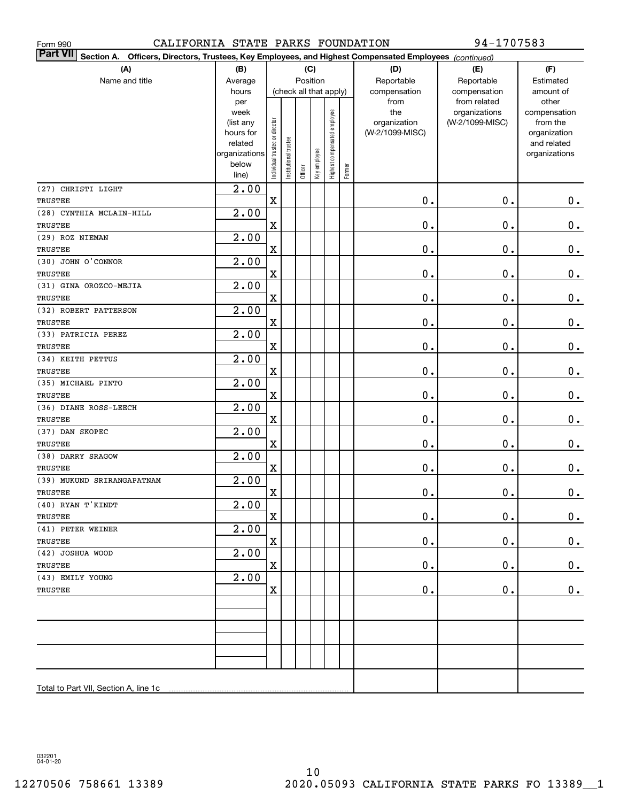| CALIFORNIA STATE PARKS FOUNDATION<br>Form 990                                                                                |                        |                                |                       |         |                        |                              |        |                 | 94-1707583                    |                       |
|------------------------------------------------------------------------------------------------------------------------------|------------------------|--------------------------------|-----------------------|---------|------------------------|------------------------------|--------|-----------------|-------------------------------|-----------------------|
| <b>Part VII</b><br>Section A.<br>Officers, Directors, Trustees, Key Employees, and Highest Compensated Employees (continued) |                        |                                |                       |         |                        |                              |        |                 |                               |                       |
| (A)                                                                                                                          | (B)                    |                                | (C)                   |         |                        |                              |        | (D)             | (E)                           | (F)                   |
| Name and title                                                                                                               | Average                |                                |                       |         | Position               |                              |        | Reportable      | Reportable                    | Estimated             |
|                                                                                                                              | hours                  |                                |                       |         | (check all that apply) |                              |        | compensation    | compensation                  | amount of             |
|                                                                                                                              | per<br>week            |                                |                       |         |                        |                              |        | from<br>the     | from related<br>organizations | other<br>compensation |
|                                                                                                                              | (list any              |                                |                       |         |                        |                              |        | organization    | (W-2/1099-MISC)               | from the              |
|                                                                                                                              | hours for              |                                |                       |         |                        |                              |        | (W-2/1099-MISC) |                               | organization          |
|                                                                                                                              | related                |                                |                       |         |                        |                              |        |                 |                               | and related           |
|                                                                                                                              | organizations<br>below |                                |                       |         |                        |                              |        |                 |                               | organizations         |
|                                                                                                                              | line)                  | Individual trustee or director | Institutional trustee | Officer | Key employee           | Highest compensated employee | Former |                 |                               |                       |
| (27) CHRISTI LIGHT                                                                                                           | 2.00                   |                                |                       |         |                        |                              |        |                 |                               |                       |
| TRUSTEE                                                                                                                      |                        | $\mathbf X$                    |                       |         |                        |                              |        | $\mathbf 0$ .   | 0.                            | $0_{.}$               |
| (28) CYNTHIA MCLAIN-HILL                                                                                                     | 2.00                   |                                |                       |         |                        |                              |        |                 |                               |                       |
| TRUSTEE                                                                                                                      |                        | $\mathbf X$                    |                       |         |                        |                              |        | $\mathbf 0$ .   | 0.                            | $\mathbf 0$ .         |
| (29) ROZ NIEMAN                                                                                                              | 2.00                   |                                |                       |         |                        |                              |        |                 |                               |                       |
| TRUSTEE                                                                                                                      |                        | $\mathbf X$                    |                       |         |                        |                              |        | $\mathbf 0$ .   | 0.                            | $\mathbf 0$ .         |
| (30) JOHN O'CONNOR                                                                                                           | 2.00                   |                                |                       |         |                        |                              |        |                 |                               |                       |
| TRUSTEE                                                                                                                      |                        | $\mathbf X$                    |                       |         |                        |                              |        | $\mathbf 0$ .   | 0.                            | $\mathbf 0$ .         |
| (31) GINA OROZCO-MEJIA                                                                                                       | 2.00                   |                                |                       |         |                        |                              |        |                 |                               |                       |
| TRUSTEE                                                                                                                      |                        | $\mathbf X$                    |                       |         |                        |                              |        | $\mathbf 0$ .   | 0.                            | $\mathbf 0$ .         |
| (32) ROBERT PATTERSON                                                                                                        | 2.00                   |                                |                       |         |                        |                              |        |                 |                               |                       |
| <b>TRUSTEE</b>                                                                                                               |                        | $\mathbf X$                    |                       |         |                        |                              |        | $\mathbf 0$ .   | 0.                            | $\mathbf 0$ .         |
| (33) PATRICIA PEREZ                                                                                                          | 2.00                   |                                |                       |         |                        |                              |        |                 |                               |                       |
| TRUSTEE                                                                                                                      |                        | $\mathbf X$                    |                       |         |                        |                              |        | $\mathbf 0$ .   | 0.                            | $\mathbf 0$ .         |
| (34) KEITH PETTUS                                                                                                            | 2.00                   |                                |                       |         |                        |                              |        |                 |                               |                       |
| TRUSTEE                                                                                                                      | 2.00                   | $\mathbf X$                    |                       |         |                        |                              |        | $\mathbf 0$ .   | 0.                            | $\mathbf 0$ .         |
| (35) MICHAEL PINTO<br>TRUSTEE                                                                                                |                        | $\mathbf X$                    |                       |         |                        |                              |        | $\mathbf 0$ .   | 0.                            | $\mathbf 0$ .         |
| (36) DIANE ROSS-LEECH                                                                                                        | 2.00                   |                                |                       |         |                        |                              |        |                 |                               |                       |
| TRUSTEE                                                                                                                      |                        | $\mathbf X$                    |                       |         |                        |                              |        | $\mathbf 0$ .   | 0.                            | $\mathbf 0$ .         |
| (37) DAN SKOPEC                                                                                                              | 2.00                   |                                |                       |         |                        |                              |        |                 |                               |                       |
| <b>TRUSTEE</b>                                                                                                               |                        | $\mathbf X$                    |                       |         |                        |                              |        | $\mathbf 0$ .   | 0.                            | $0\,.$                |
| (38) DARRY SRAGOW                                                                                                            | 2.00                   |                                |                       |         |                        |                              |        |                 |                               |                       |
| TRUSTEE                                                                                                                      |                        | $\mathbf X$                    |                       |         |                        |                              |        | $\mathbf 0$ .   | 0.                            | 0.                    |
| (39) MUKUND SRIRANGAPATNAM                                                                                                   | 2.00                   |                                |                       |         |                        |                              |        |                 |                               |                       |
| TRUSTEE                                                                                                                      |                        | X                              |                       |         |                        |                              |        | $\mathbf 0$ .   | $0$ .                         | $\mathbf{0}$ .        |
| $(40)$ RYAN T'KINDT                                                                                                          | 2.00                   |                                |                       |         |                        |                              |        |                 |                               |                       |
| TRUSTEE                                                                                                                      |                        | $\mathbf X$                    |                       |         |                        |                              |        | $\mathbf 0$ .   | 0.                            | $0_{.}$               |
| (41) PETER WEINER                                                                                                            | 2.00                   |                                |                       |         |                        |                              |        |                 |                               |                       |
| TRUSTEE                                                                                                                      |                        | $\mathbf X$                    |                       |         |                        |                              |        | $\mathbf 0$ .   | $\mathbf 0$ .                 | 0.                    |
| (42) JOSHUA WOOD                                                                                                             | 2.00                   |                                |                       |         |                        |                              |        |                 |                               |                       |
| TRUSTEE                                                                                                                      |                        | X                              |                       |         |                        |                              |        | $\mathbf 0$ .   | $\mathbf 0$ .                 | 0.                    |
| (43) EMILY YOUNG                                                                                                             | 2.00                   |                                |                       |         |                        |                              |        |                 |                               |                       |
| TRUSTEE                                                                                                                      |                        | $\mathbf X$                    |                       |         |                        |                              |        | $\mathbf 0$ .   | $\mathbf 0$ .                 | 0.                    |
|                                                                                                                              |                        |                                |                       |         |                        |                              |        |                 |                               |                       |
|                                                                                                                              |                        |                                |                       |         |                        |                              |        |                 |                               |                       |
|                                                                                                                              |                        |                                |                       |         |                        |                              |        |                 |                               |                       |
|                                                                                                                              |                        |                                |                       |         |                        |                              |        |                 |                               |                       |
|                                                                                                                              |                        |                                |                       |         |                        |                              |        |                 |                               |                       |
|                                                                                                                              |                        |                                |                       |         |                        |                              |        |                 |                               |                       |
| Total to Part VII, Section A, line 1c                                                                                        |                        |                                |                       |         |                        |                              |        |                 |                               |                       |
|                                                                                                                              |                        |                                |                       |         |                        |                              |        |                 |                               |                       |

032201 04-01-20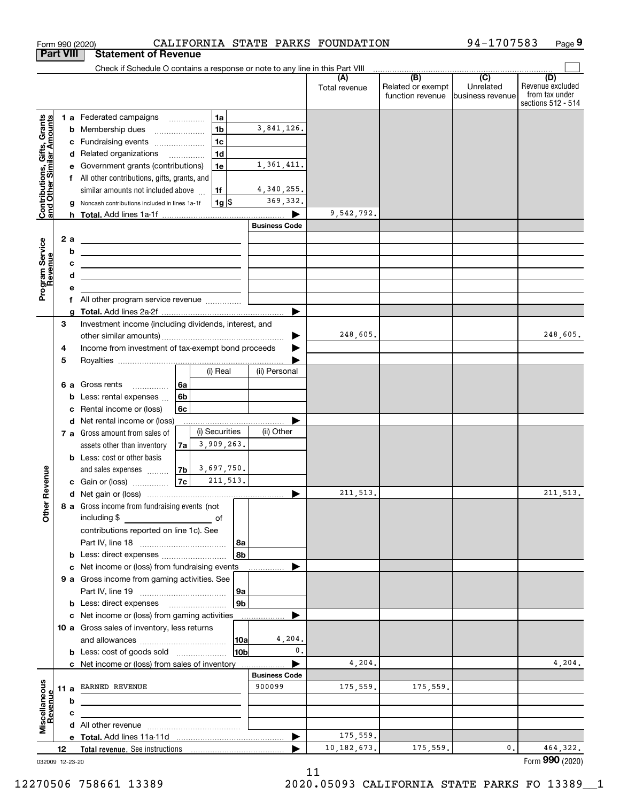|                                                           |                 | Form 990 (2020)                                                                                                                                                                                                                      |                      |                 |                      | CALIFORNIA STATE PARKS FOUNDATION |                                                     | 94-1707583                    | Page 9                                                          |
|-----------------------------------------------------------|-----------------|--------------------------------------------------------------------------------------------------------------------------------------------------------------------------------------------------------------------------------------|----------------------|-----------------|----------------------|-----------------------------------|-----------------------------------------------------|-------------------------------|-----------------------------------------------------------------|
| <b>Part VIII</b>                                          |                 | <b>Statement of Revenue</b>                                                                                                                                                                                                          |                      |                 |                      |                                   |                                                     |                               |                                                                 |
|                                                           |                 | Check if Schedule O contains a response or note to any line in this Part VIII                                                                                                                                                        |                      |                 |                      |                                   | $\overline{(\mathsf{B})}$ $\overline{(\mathsf{C})}$ |                               |                                                                 |
|                                                           |                 |                                                                                                                                                                                                                                      |                      |                 |                      | (A)<br>Total revenue              | Related or exempt<br>function revenue               | Unrelated<br>business revenue | (D)<br>Revenue excluded<br>from tax under<br>sections 512 - 514 |
|                                                           |                 | 1 a Federated campaigns                                                                                                                                                                                                              |                      | 1a              |                      |                                   |                                                     |                               |                                                                 |
|                                                           |                 | <b>b</b> Membership dues                                                                                                                                                                                                             |                      | 1 <sub>b</sub>  | 3,841,126.           |                                   |                                                     |                               |                                                                 |
|                                                           |                 | c Fundraising events                                                                                                                                                                                                                 |                      | 1 <sub>c</sub>  |                      |                                   |                                                     |                               |                                                                 |
|                                                           |                 | d Related organizations                                                                                                                                                                                                              |                      | 1 <sub>d</sub>  |                      |                                   |                                                     |                               |                                                                 |
|                                                           |                 | e Government grants (contributions)                                                                                                                                                                                                  |                      | 1e              | 1,361,411.           |                                   |                                                     |                               |                                                                 |
|                                                           |                 | f All other contributions, gifts, grants, and                                                                                                                                                                                        |                      |                 |                      |                                   |                                                     |                               |                                                                 |
| Contributions, Gifts, Grants<br>and Other Similar Amounts |                 | similar amounts not included above                                                                                                                                                                                                   |                      | 1f              | 4,340,255.           |                                   |                                                     |                               |                                                                 |
|                                                           | g               | Noncash contributions included in lines 1a-1f                                                                                                                                                                                        |                      | $1g$ \$         | 369, 332.            |                                   |                                                     |                               |                                                                 |
|                                                           |                 |                                                                                                                                                                                                                                      |                      |                 |                      | 9,542,792.                        |                                                     |                               |                                                                 |
|                                                           |                 |                                                                                                                                                                                                                                      |                      |                 | <b>Business Code</b> |                                   |                                                     |                               |                                                                 |
|                                                           | 2a              | <u> 2008 - An Dùbhlachd ann an Dùbhlachd ann an Dùbhlachd ann an Dùbhlachd ann an Dùbhlachd ann an Dùbhlachd ann an Dùbhlachd ann an Dùbhlachd ann an Dùbhlachd ann an Dùbhlachd ann an Dùbhlachd ann an Dùbhlachd ann an Dùbhla</u> |                      |                 |                      |                                   |                                                     |                               |                                                                 |
|                                                           | b               | <u> 1989 - Johann Barbara, martin amerikan basar dan bagian dalam pengaran bagian dalam pengaran bagian dalam pe</u>                                                                                                                 |                      |                 |                      |                                   |                                                     |                               |                                                                 |
|                                                           | c               | <u> Alexandro Alexandro Alexandro Alexandro Alexandro Alexandro Alexandro Alexandro Alexandro Alexandro Alexandro A</u>                                                                                                              |                      |                 |                      |                                   |                                                     |                               |                                                                 |
| Program Service<br>Revenue                                | d               | <u> 1989 - Johann Barn, mars ann an t-Amhair ann an t-Amhair an t-Amhair ann an t-Amhair an t-Amhair ann an t-A</u>                                                                                                                  |                      |                 |                      |                                   |                                                     |                               |                                                                 |
|                                                           | е               |                                                                                                                                                                                                                                      |                      |                 |                      |                                   |                                                     |                               |                                                                 |
|                                                           |                 | f All other program service revenue                                                                                                                                                                                                  |                      |                 |                      |                                   |                                                     |                               |                                                                 |
|                                                           | g               |                                                                                                                                                                                                                                      |                      |                 |                      |                                   |                                                     |                               |                                                                 |
|                                                           | 3               | Investment income (including dividends, interest, and                                                                                                                                                                                |                      |                 |                      |                                   |                                                     |                               |                                                                 |
|                                                           |                 |                                                                                                                                                                                                                                      |                      |                 |                      | 248,605.                          |                                                     |                               | 248,605.                                                        |
|                                                           | 4               | Income from investment of tax-exempt bond proceeds                                                                                                                                                                                   |                      |                 |                      |                                   |                                                     |                               |                                                                 |
|                                                           | 5               |                                                                                                                                                                                                                                      |                      |                 |                      |                                   |                                                     |                               |                                                                 |
|                                                           |                 |                                                                                                                                                                                                                                      |                      | (i) Real        | (ii) Personal        |                                   |                                                     |                               |                                                                 |
|                                                           |                 | 6 a Gross rents                                                                                                                                                                                                                      | 6a                   |                 |                      |                                   |                                                     |                               |                                                                 |
|                                                           | b               | Less: rental expenses                                                                                                                                                                                                                | 6b                   |                 |                      |                                   |                                                     |                               |                                                                 |
|                                                           | c               | Rental income or (loss)                                                                                                                                                                                                              | 6c                   |                 |                      |                                   |                                                     |                               |                                                                 |
|                                                           |                 | d Net rental income or (loss)                                                                                                                                                                                                        |                      |                 |                      |                                   |                                                     |                               |                                                                 |
|                                                           |                 | 7 a Gross amount from sales of                                                                                                                                                                                                       |                      | (i) Securities  | (ii) Other           |                                   |                                                     |                               |                                                                 |
|                                                           |                 | assets other than inventory                                                                                                                                                                                                          | 7a                   | 3,909,263.      |                      |                                   |                                                     |                               |                                                                 |
|                                                           |                 | <b>b</b> Less: cost or other basis                                                                                                                                                                                                   |                      |                 |                      |                                   |                                                     |                               |                                                                 |
|                                                           |                 | and sales expenses                                                                                                                                                                                                                   | $7b \mid 3,697,750.$ | 211, 513.       |                      |                                   |                                                     |                               |                                                                 |
| evenue                                                    |                 | c Gain or (loss)                                                                                                                                                                                                                     | 7c                   |                 |                      | 211, 513.                         |                                                     |                               |                                                                 |
| Other <sub>R</sub>                                        |                 |                                                                                                                                                                                                                                      |                      |                 |                      |                                   |                                                     |                               | 211, 513.                                                       |
|                                                           |                 | 8 a Gross income from fundraising events (not<br>including \$                                                                                                                                                                        |                      |                 |                      |                                   |                                                     |                               |                                                                 |
|                                                           |                 | <u>of</u> of<br>contributions reported on line 1c). See                                                                                                                                                                              |                      |                 |                      |                                   |                                                     |                               |                                                                 |
|                                                           |                 |                                                                                                                                                                                                                                      |                      | 8a              |                      |                                   |                                                     |                               |                                                                 |
|                                                           |                 | <b>b</b> Less: direct expenses <i></i>                                                                                                                                                                                               |                      | 8b              |                      |                                   |                                                     |                               |                                                                 |
|                                                           |                 | c Net income or (loss) from fundraising events                                                                                                                                                                                       |                      |                 |                      |                                   |                                                     |                               |                                                                 |
|                                                           |                 | 9 a Gross income from gaming activities. See                                                                                                                                                                                         |                      |                 |                      |                                   |                                                     |                               |                                                                 |
|                                                           |                 |                                                                                                                                                                                                                                      |                      | 9a              |                      |                                   |                                                     |                               |                                                                 |
|                                                           |                 | <b>b</b> Less: direct expenses <b>manually</b>                                                                                                                                                                                       |                      | 9 <sub>b</sub>  |                      |                                   |                                                     |                               |                                                                 |
|                                                           |                 | c Net income or (loss) from gaming activities                                                                                                                                                                                        |                      |                 |                      |                                   |                                                     |                               |                                                                 |
|                                                           |                 | 10 a Gross sales of inventory, less returns                                                                                                                                                                                          |                      |                 |                      |                                   |                                                     |                               |                                                                 |
|                                                           |                 |                                                                                                                                                                                                                                      |                      | 10a             | 4,204.               |                                   |                                                     |                               |                                                                 |
|                                                           |                 | <b>b</b> Less: cost of goods sold                                                                                                                                                                                                    |                      | 10 <sub>b</sub> | 0.                   |                                   |                                                     |                               |                                                                 |
|                                                           |                 | c Net income or (loss) from sales of inventory                                                                                                                                                                                       |                      |                 | ▶                    | 4,204.                            |                                                     |                               | 4,204.                                                          |
|                                                           |                 |                                                                                                                                                                                                                                      |                      |                 | <b>Business Code</b> |                                   |                                                     |                               |                                                                 |
|                                                           |                 | 11 a EARNED REVENUE                                                                                                                                                                                                                  |                      |                 | 900099               | 175,559.                          | 175,559.                                            |                               |                                                                 |
| evenue                                                    | b               |                                                                                                                                                                                                                                      |                      |                 |                      |                                   |                                                     |                               |                                                                 |
|                                                           | c               | the control of the control of the control of the control of the control of the control of                                                                                                                                            |                      |                 |                      |                                   |                                                     |                               |                                                                 |
| Miscellaneous                                             |                 |                                                                                                                                                                                                                                      |                      |                 |                      |                                   |                                                     |                               |                                                                 |
|                                                           |                 |                                                                                                                                                                                                                                      |                      |                 | ▶                    | 175,559.                          |                                                     |                               |                                                                 |
|                                                           | 12              |                                                                                                                                                                                                                                      |                      |                 |                      | 10, 182, 673.                     | 175,559.                                            | 0.                            | 464,322.                                                        |
|                                                           | 032009 12-23-20 |                                                                                                                                                                                                                                      |                      |                 |                      |                                   |                                                     |                               | Form 990 (2020)                                                 |

032009 12-23-20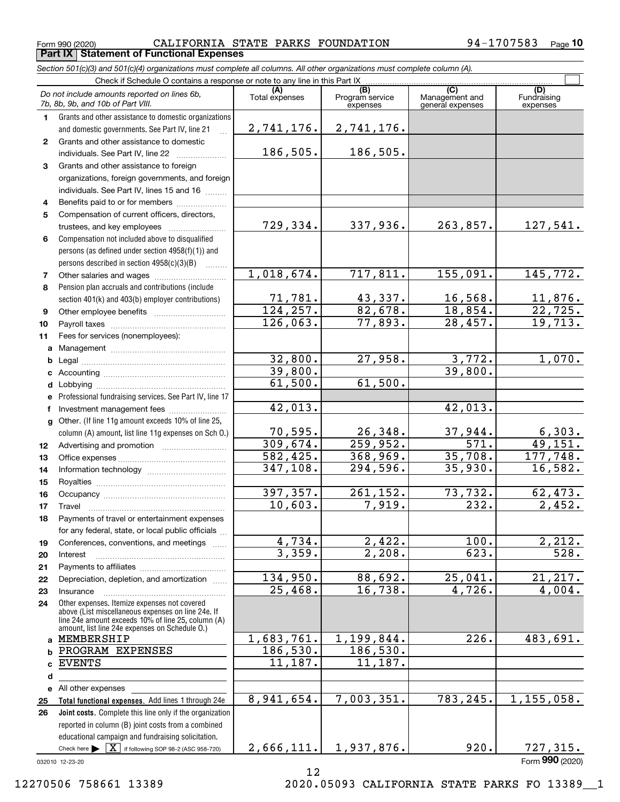Form 990 (2020) CALIFORNIA STATE PARKS FOUNDATION 94-1707583 <sub>Page</sub> **Part IX Statement of Functional Expenses**

*Section 501(c)(3) and 501(c)(4) organizations must complete all columns. All other organizations must complete column (A).*

|              | Check if Schedule O contains a response or note to any line in this Part IX                          |                       |                                    |                                           |                                |
|--------------|------------------------------------------------------------------------------------------------------|-----------------------|------------------------------------|-------------------------------------------|--------------------------------|
|              | Do not include amounts reported on lines 6b,<br>7b, 8b, 9b, and 10b of Part VIII.                    | (A)<br>Total expenses | (B)<br>Program service<br>expenses | (C)<br>Management and<br>general expenses | (D)<br>Fundraising<br>expenses |
| 1.           | Grants and other assistance to domestic organizations                                                |                       |                                    |                                           |                                |
|              | and domestic governments. See Part IV, line 21                                                       | 2,741,176.            | 2,741,176.                         |                                           |                                |
| $\mathbf{2}$ | Grants and other assistance to domestic                                                              |                       |                                    |                                           |                                |
|              | individuals. See Part IV, line 22                                                                    | 186,505.              | 186,505.                           |                                           |                                |
| 3            | Grants and other assistance to foreign                                                               |                       |                                    |                                           |                                |
|              | organizations, foreign governments, and foreign                                                      |                       |                                    |                                           |                                |
|              | individuals. See Part IV, lines 15 and 16                                                            |                       |                                    |                                           |                                |
| 4            | Benefits paid to or for members                                                                      |                       |                                    |                                           |                                |
| 5            | Compensation of current officers, directors,                                                         |                       |                                    |                                           |                                |
|              |                                                                                                      | 729,334.              | 337,936.                           | 263,857.                                  | 127,541.                       |
| 6            | Compensation not included above to disqualified                                                      |                       |                                    |                                           |                                |
|              | persons (as defined under section 4958(f)(1)) and                                                    |                       |                                    |                                           |                                |
|              | persons described in section 4958(c)(3)(B)                                                           |                       |                                    |                                           |                                |
| 7            |                                                                                                      | 1,018,674.            | 717,811.                           | 155,091.                                  | 145,772.                       |
| 8            | Pension plan accruals and contributions (include                                                     |                       |                                    |                                           |                                |
|              | section 401(k) and 403(b) employer contributions)                                                    | 71,781.               | 43,337.                            | 16,568.                                   | 11,876.                        |
| 9            |                                                                                                      | 124, 257.             | 82,678.                            | 18,854.                                   | 22,725.                        |
| 10           |                                                                                                      | 126,063.              | 77,893.                            | 28,457.                                   | 19,713.                        |
| 11           | Fees for services (nonemployees):                                                                    |                       |                                    |                                           |                                |
| a            |                                                                                                      |                       |                                    |                                           |                                |
| b            |                                                                                                      | 32,800.               | 27,958.                            | 3,772.                                    | 1,070.                         |
| c            |                                                                                                      | 39,800.               |                                    | 39,800.                                   |                                |
| d            |                                                                                                      | 61,500.               | 61,500.                            |                                           |                                |
| е            | Professional fundraising services. See Part IV, line 17                                              |                       |                                    |                                           |                                |
| f            |                                                                                                      | 42,013.               |                                    | 42,013.                                   |                                |
| g            | Other. (If line 11g amount exceeds 10% of line 25,                                                   |                       |                                    |                                           |                                |
|              | column (A) amount, list line 11g expenses on Sch O.)                                                 | 70, 595.              | 26,348.                            | 37,944.                                   | $\frac{6,303.}{49,151.}$       |
| 12           |                                                                                                      | 309,674.              | 259,952.                           | $\overline{571}$ .                        |                                |
| 13           |                                                                                                      | 582,425.              | 368,969.                           | 35,708.                                   | 177,748.                       |
| 14           |                                                                                                      | 347,108.              | 294,596.                           | 35,930.                                   | 16,582.                        |
| 15           |                                                                                                      |                       | 261, 152.                          |                                           |                                |
| 16           |                                                                                                      | 397,357.<br>10,603.   | 7,919.                             | 73,732.<br>232.                           | 62,473.<br>2,452.              |
| 17           |                                                                                                      |                       |                                    |                                           |                                |
| 18           | Payments of travel or entertainment expenses                                                         |                       |                                    |                                           |                                |
|              | for any federal, state, or local public officials                                                    | 4,734.                | 2,422.                             | 100.                                      | $\overline{2,212.}$            |
| 19<br>20     | Conferences, conventions, and meetings<br>Interest                                                   | 3,359.                | 2,208.                             | 623.                                      | 528.                           |
| 21           |                                                                                                      |                       |                                    |                                           |                                |
| 22           | Depreciation, depletion, and amortization                                                            | 134,950.              | 88,692.                            | 25,041.                                   | 21, 217.                       |
| 23           | Insurance                                                                                            | 25,468.               | 16,738.                            | 4,726.                                    | 4,004.                         |
| 24           | Other expenses. Itemize expenses not covered                                                         |                       |                                    |                                           |                                |
|              | above (List miscellaneous expenses on line 24e. If                                                   |                       |                                    |                                           |                                |
|              | line 24e amount exceeds 10% of line 25, column (A)<br>amount, list line 24e expenses on Schedule O.) |                       |                                    |                                           |                                |
|              | a MEMBERSHIP                                                                                         | 1,683,761.            | 1,199,844.                         | 226.                                      | 483,691.                       |
|              | <b>b PROGRAM EXPENSES</b>                                                                            | 186, 530.             | 186,530.                           |                                           |                                |
| c            | <b>EVENTS</b>                                                                                        | 11,187.               | 11,187.                            |                                           |                                |
| d            |                                                                                                      |                       |                                    |                                           |                                |
| е            | All other expenses                                                                                   |                       |                                    |                                           |                                |
| 25           | Total functional expenses. Add lines 1 through 24e                                                   | 8,941,654.            | 7,003,351.                         | 783,245.                                  | 1, 155, 058.                   |
| 26           | Joint costs. Complete this line only if the organization                                             |                       |                                    |                                           |                                |
|              | reported in column (B) joint costs from a combined                                                   |                       |                                    |                                           |                                |
|              | educational campaign and fundraising solicitation.                                                   |                       |                                    |                                           |                                |
|              | Check here $\blacktriangleright \boxed{\textbf{X}}$ if following SOP 98-2 (ASC 958-720)              | 2,666,111.            | 1,937,876.                         | 920.                                      | 727, 315.                      |

032010 12-23-20

12

Form (2020) **990**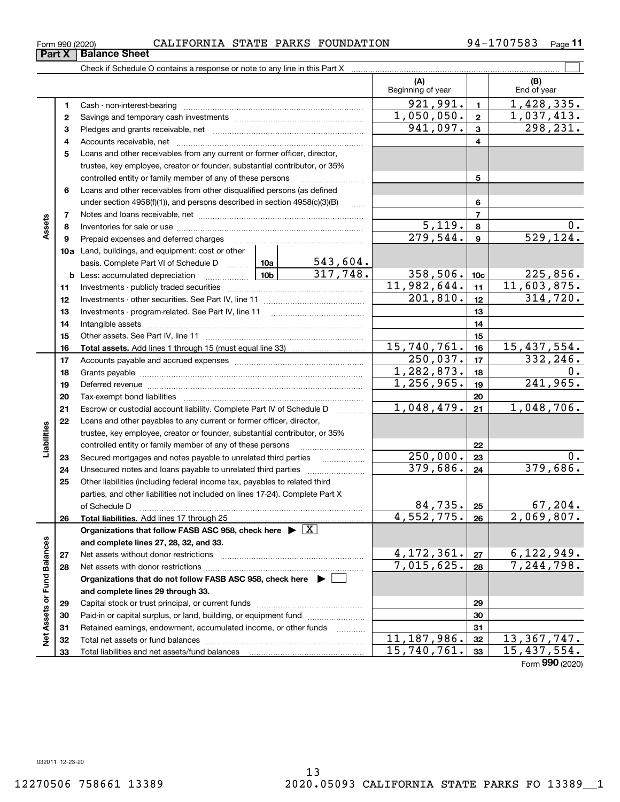**Part X Balance Sheet**<br>**Part X Balance Sheet** 

### Form 990 (2020) CALIFORNIA STATE PARKS FOUNDATION 94-1707583 <sub>Page</sub>

**11**

|                             |    |                                                                                            |                 |          | (A)<br>Beginning of year     |                 | (B)<br>End of year           |
|-----------------------------|----|--------------------------------------------------------------------------------------------|-----------------|----------|------------------------------|-----------------|------------------------------|
|                             | 1  |                                                                                            |                 |          | 921,991.                     | $\blacksquare$  | 1,428,335.                   |
|                             | 2  |                                                                                            |                 |          | 1,050,050.                   | $\mathbf{2}$    | 1,037,413.                   |
|                             | 3  |                                                                                            |                 |          | 941,097.                     | 3               | 298,231.                     |
|                             | 4  |                                                                                            |                 |          |                              | 4               |                              |
|                             | 5  | Loans and other receivables from any current or former officer, director,                  |                 |          |                              |                 |                              |
|                             |    | trustee, key employee, creator or founder, substantial contributor, or 35%                 |                 |          |                              |                 |                              |
|                             |    | controlled entity or family member of any of these persons                                 |                 |          |                              | 5               |                              |
|                             | 6  | Loans and other receivables from other disqualified persons (as defined                    |                 |          |                              |                 |                              |
|                             |    | under section $4958(f)(1)$ , and persons described in section $4958(c)(3)(B)$              |                 |          |                              | 6               |                              |
|                             | 7  |                                                                                            |                 |          |                              | $\overline{7}$  |                              |
| Assets                      | 8  |                                                                                            |                 |          | 5,119.                       | 8               | $0$ .                        |
|                             | 9  | Prepaid expenses and deferred charges                                                      |                 |          | $\overline{279,544}$ .       | 9               | 529, 124.                    |
|                             |    | <b>10a</b> Land, buildings, and equipment: cost or other                                   |                 |          |                              |                 |                              |
|                             |    | basis. Complete Part VI of Schedule D  10a                                                 |                 | 543,604. |                              |                 |                              |
|                             |    | <b>b</b> Less: accumulated depreciation<br>. 1                                             | 10 <sub>b</sub> | 317,748. | 358,506.                     | 10 <sub>c</sub> | 225,856.                     |
|                             | 11 |                                                                                            |                 |          | 11,982,644.                  | 11              | 11,603,875.                  |
|                             | 12 |                                                                                            |                 |          | $\overline{201,810}$ .       | 12              | 314,720.                     |
|                             | 13 |                                                                                            |                 |          |                              | 13              |                              |
|                             | 14 |                                                                                            |                 | 14       |                              |                 |                              |
|                             | 15 |                                                                                            |                 | 15       |                              |                 |                              |
|                             | 16 |                                                                                            |                 |          | 15,740,761.                  | 16              | 15,437,554.                  |
|                             | 17 |                                                                                            |                 | 250,037. | 17                           | 332,246.        |                              |
|                             | 18 |                                                                                            | 1,282,873.      | 18       | 0.                           |                 |                              |
|                             | 19 |                                                                                            | 1,256,965.      | 19       | 241,965.                     |                 |                              |
|                             | 20 |                                                                                            |                 | 20       |                              |                 |                              |
|                             | 21 | Escrow or custodial account liability. Complete Part IV of Schedule D                      |                 |          | 1,048,479.                   | 21              | 1,048,706.                   |
|                             | 22 | Loans and other payables to any current or former officer, director,                       |                 |          |                              |                 |                              |
| Liabilities                 |    | trustee, key employee, creator or founder, substantial contributor, or 35%                 |                 |          |                              |                 |                              |
|                             |    | controlled entity or family member of any of these persons                                 |                 |          |                              | 22              |                              |
|                             | 23 | Secured mortgages and notes payable to unrelated third parties                             |                 | .        | 250,000.                     | 23              | $0$ .                        |
|                             | 24 | Unsecured notes and loans payable to unrelated third parties                               |                 |          | 379,686.                     | 24              | 379,686.                     |
|                             | 25 | Other liabilities (including federal income tax, payables to related third                 |                 |          |                              |                 |                              |
|                             |    | parties, and other liabilities not included on lines 17-24). Complete Part X               |                 |          |                              |                 |                              |
|                             |    | of Schedule D                                                                              |                 |          | 84,735.                      | 25              | 67,204.                      |
|                             | 26 |                                                                                            |                 |          | $4,552,775.$ 26              |                 | 2,069,807.                   |
|                             |    | Organizations that follow FASB ASC 958, check here $\blacktriangleright \lfloor X \rfloor$ |                 |          |                              |                 |                              |
|                             |    | and complete lines 27, 28, 32, and 33.                                                     |                 |          |                              |                 |                              |
|                             | 27 |                                                                                            |                 |          | 4, 172, 361.                 | 27              | 6, 122, 949.                 |
|                             | 28 |                                                                                            |                 |          | 7,015,625.                   | 28              | 7,244,798.                   |
|                             |    | Organizations that do not follow FASB ASC 958, check here ▶ □                              |                 |          |                              |                 |                              |
|                             |    | and complete lines 29 through 33.                                                          |                 |          |                              |                 |                              |
| Net Assets or Fund Balances | 29 |                                                                                            |                 |          |                              | 29              |                              |
|                             | 30 | Paid-in or capital surplus, or land, building, or equipment fund                           |                 |          |                              | 30              |                              |
|                             | 31 | Retained earnings, endowment, accumulated income, or other funds                           |                 |          |                              | 31              |                              |
|                             | 32 |                                                                                            |                 |          | 11, 187, 986.<br>15,740,761. | 32              | 13, 367, 747.<br>15,437,554. |
|                             | 33 |                                                                                            |                 |          |                              | 33              | $000 \, \text{m}$            |

Form (2020) **990**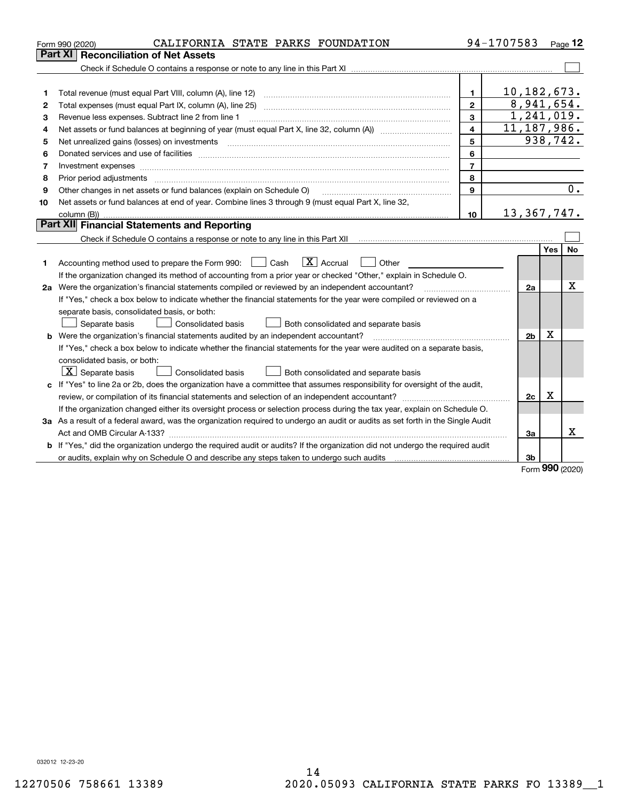|    | CALIFORNIA STATE PARKS FOUNDATION<br>Form 990 (2020)                                                                            |                         | 94-1707583     |             | Page 12  |
|----|---------------------------------------------------------------------------------------------------------------------------------|-------------------------|----------------|-------------|----------|
|    | Part XI   Reconciliation of Net Assets                                                                                          |                         |                |             |          |
|    |                                                                                                                                 |                         |                |             |          |
|    |                                                                                                                                 |                         |                |             |          |
| 1  |                                                                                                                                 | $\mathbf{1}$            | 10, 182, 673.  |             |          |
| 2  |                                                                                                                                 | $\overline{2}$          | 8,941,654.     |             |          |
| 3  | Revenue less expenses. Subtract line 2 from line 1                                                                              | 3                       | 1,241,019.     |             |          |
| 4  |                                                                                                                                 | $\overline{\mathbf{4}}$ | 11, 187, 986.  |             |          |
| 5  | Net unrealized gains (losses) on investments                                                                                    | 5                       |                |             | 938,742. |
| 6  |                                                                                                                                 | 6                       |                |             |          |
| 7  |                                                                                                                                 | $\overline{7}$          |                |             |          |
| 8  | Prior period adjustments                                                                                                        | 8                       |                |             |          |
| 9  | Other changes in net assets or fund balances (explain on Schedule O)                                                            | 9                       |                |             | 0.       |
| 10 | Net assets or fund balances at end of year. Combine lines 3 through 9 (must equal Part X, line 32,                              |                         |                |             |          |
|    | column (B))                                                                                                                     | 10                      | 13,367,747.    |             |          |
|    | <b>Part XII</b> Financial Statements and Reporting                                                                              |                         |                |             |          |
|    |                                                                                                                                 |                         |                |             |          |
|    |                                                                                                                                 |                         |                | Yes         | No.      |
| 1  | $\boxed{\mathbf{X}}$ Accrual<br>Accounting method used to prepare the Form 990: <u>[</u> Cash<br>Other                          |                         |                |             |          |
|    | If the organization changed its method of accounting from a prior year or checked "Other," explain in Schedule O.               |                         |                |             |          |
|    | 2a Were the organization's financial statements compiled or reviewed by an independent accountant?                              |                         | 2a             |             | x        |
|    | If "Yes," check a box below to indicate whether the financial statements for the year were compiled or reviewed on a            |                         |                |             |          |
|    | separate basis, consolidated basis, or both:                                                                                    |                         |                |             |          |
|    | Separate basis<br><b>Consolidated basis</b><br>Both consolidated and separate basis                                             |                         |                |             |          |
|    | <b>b</b> Were the organization's financial statements audited by an independent accountant?                                     |                         | 2 <sub>b</sub> | x           |          |
|    | If "Yes," check a box below to indicate whether the financial statements for the year were audited on a separate basis,         |                         |                |             |          |
|    | consolidated basis, or both:                                                                                                    |                         |                |             |          |
|    | $ \mathbf{X} $ Separate basis<br><b>Consolidated basis</b><br>Both consolidated and separate basis                              |                         |                |             |          |
|    | c If "Yes" to line 2a or 2b, does the organization have a committee that assumes responsibility for oversight of the audit,     |                         |                |             |          |
|    |                                                                                                                                 |                         | 2c             | $\mathbf X$ |          |
|    | If the organization changed either its oversight process or selection process during the tax year, explain on Schedule O.       |                         |                |             |          |
|    | 3a As a result of a federal award, was the organization required to undergo an audit or audits as set forth in the Single Audit |                         |                |             |          |
|    |                                                                                                                                 |                         | За             |             | x        |
|    | b If "Yes," did the organization undergo the required audit or audits? If the organization did not undergo the required audit   |                         |                |             |          |
|    |                                                                                                                                 |                         | 3b             |             |          |
|    |                                                                                                                                 |                         |                | nnn.        |          |

Form (2020) **990**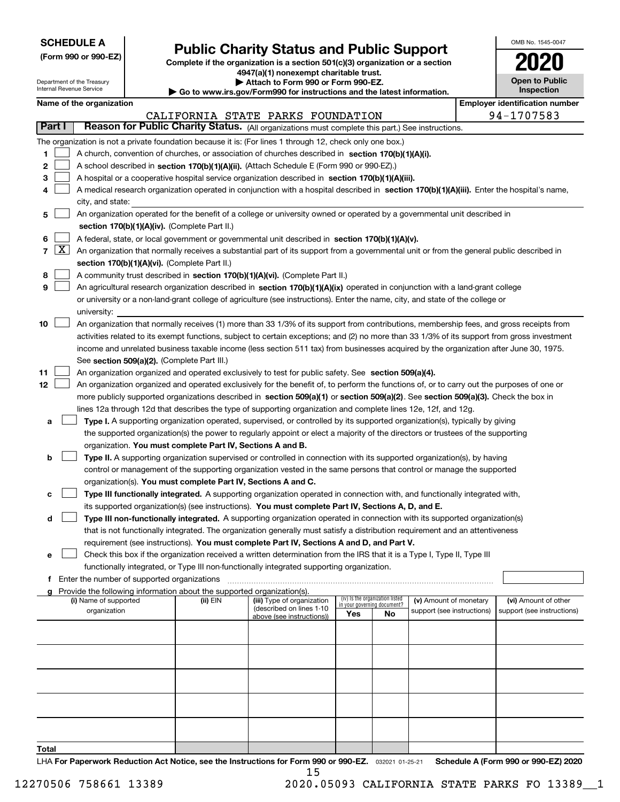| <b>SCHEDULE A</b> |
|-------------------|
|-------------------|

Department of the Treasury Internal Revenue Service

I

**(Form 990 or 990-EZ)**

# **Public Charity Status and Public Support**

**Complete if the organization is a section 501(c)(3) organization or a section 4947(a)(1) nonexempt charitable trust. | Attach to Form 990 or Form 990-EZ.** 

| ▶ Go to www.irs.gov/Form990 for instructions and the latest information. |
|--------------------------------------------------------------------------|

| OMB No. 1545-0047                   |
|-------------------------------------|
| 020                                 |
| <b>Open to Public</b><br>Inspection |

|  | Name of the organization |
|--|--------------------------|
|--|--------------------------|

|        |            | Name of the organization                                                                                                                                                              |          |                                                        |                                                                |    |                            |  | <b>Employer identification number</b> |  |  |  |
|--------|------------|---------------------------------------------------------------------------------------------------------------------------------------------------------------------------------------|----------|--------------------------------------------------------|----------------------------------------------------------------|----|----------------------------|--|---------------------------------------|--|--|--|
| Part I |            |                                                                                                                                                                                       |          | CALIFORNIA STATE PARKS FOUNDATION                      |                                                                |    |                            |  | 94-1707583                            |  |  |  |
|        |            | Reason for Public Charity Status. (All organizations must complete this part.) See instructions.                                                                                      |          |                                                        |                                                                |    |                            |  |                                       |  |  |  |
|        |            | The organization is not a private foundation because it is: (For lines 1 through 12, check only one box.)                                                                             |          |                                                        |                                                                |    |                            |  |                                       |  |  |  |
| 1.     |            | A church, convention of churches, or association of churches described in section $170(b)(1)(A)(i)$ .                                                                                 |          |                                                        |                                                                |    |                            |  |                                       |  |  |  |
| 2      |            | A school described in section 170(b)(1)(A)(ii). (Attach Schedule E (Form 990 or 990-EZ).)                                                                                             |          |                                                        |                                                                |    |                            |  |                                       |  |  |  |
| 3      |            | A hospital or a cooperative hospital service organization described in section 170(b)(1)(A)(iii).                                                                                     |          |                                                        |                                                                |    |                            |  |                                       |  |  |  |
| 4      |            | A medical research organization operated in conjunction with a hospital described in section 170(b)(1)(A)(iii). Enter the hospital's name,                                            |          |                                                        |                                                                |    |                            |  |                                       |  |  |  |
|        |            | city, and state:                                                                                                                                                                      |          |                                                        |                                                                |    |                            |  |                                       |  |  |  |
| 5      |            | An organization operated for the benefit of a college or university owned or operated by a governmental unit described in                                                             |          |                                                        |                                                                |    |                            |  |                                       |  |  |  |
|        |            | section 170(b)(1)(A)(iv). (Complete Part II.)                                                                                                                                         |          |                                                        |                                                                |    |                            |  |                                       |  |  |  |
| 6      |            | A federal, state, or local government or governmental unit described in section 170(b)(1)(A)(v).                                                                                      |          |                                                        |                                                                |    |                            |  |                                       |  |  |  |
|        | $7 \times$ | An organization that normally receives a substantial part of its support from a governmental unit or from the general public described in                                             |          |                                                        |                                                                |    |                            |  |                                       |  |  |  |
|        |            | section 170(b)(1)(A)(vi). (Complete Part II.)                                                                                                                                         |          |                                                        |                                                                |    |                            |  |                                       |  |  |  |
| 8      |            | A community trust described in section 170(b)(1)(A)(vi). (Complete Part II.)                                                                                                          |          |                                                        |                                                                |    |                            |  |                                       |  |  |  |
| 9      |            | An agricultural research organization described in section 170(b)(1)(A)(ix) operated in conjunction with a land-grant college                                                         |          |                                                        |                                                                |    |                            |  |                                       |  |  |  |
|        |            | or university or a non-land-grant college of agriculture (see instructions). Enter the name, city, and state of the college or                                                        |          |                                                        |                                                                |    |                            |  |                                       |  |  |  |
|        |            | university:                                                                                                                                                                           |          |                                                        |                                                                |    |                            |  |                                       |  |  |  |
| 10     |            | An organization that normally receives (1) more than 33 1/3% of its support from contributions, membership fees, and gross receipts from                                              |          |                                                        |                                                                |    |                            |  |                                       |  |  |  |
|        |            | activities related to its exempt functions, subject to certain exceptions; and (2) no more than 33 1/3% of its support from gross investment                                          |          |                                                        |                                                                |    |                            |  |                                       |  |  |  |
|        |            | income and unrelated business taxable income (less section 511 tax) from businesses acquired by the organization after June 30, 1975.                                                 |          |                                                        |                                                                |    |                            |  |                                       |  |  |  |
|        |            | See section 509(a)(2). (Complete Part III.)                                                                                                                                           |          |                                                        |                                                                |    |                            |  |                                       |  |  |  |
| 11     |            | An organization organized and operated exclusively to test for public safety. See section 509(a)(4).                                                                                  |          |                                                        |                                                                |    |                            |  |                                       |  |  |  |
| 12     |            | An organization organized and operated exclusively for the benefit of, to perform the functions of, or to carry out the purposes of one or                                            |          |                                                        |                                                                |    |                            |  |                                       |  |  |  |
|        |            | more publicly supported organizations described in section 509(a)(1) or section 509(a)(2). See section 509(a)(3). Check the box in                                                    |          |                                                        |                                                                |    |                            |  |                                       |  |  |  |
|        |            | lines 12a through 12d that describes the type of supporting organization and complete lines 12e, 12f, and 12g.                                                                        |          |                                                        |                                                                |    |                            |  |                                       |  |  |  |
| а      |            | Type I. A supporting organization operated, supervised, or controlled by its supported organization(s), typically by giving                                                           |          |                                                        |                                                                |    |                            |  |                                       |  |  |  |
|        |            | the supported organization(s) the power to regularly appoint or elect a majority of the directors or trustees of the supporting                                                       |          |                                                        |                                                                |    |                            |  |                                       |  |  |  |
| b      |            | organization. You must complete Part IV, Sections A and B.<br>Type II. A supporting organization supervised or controlled in connection with its supported organization(s), by having |          |                                                        |                                                                |    |                            |  |                                       |  |  |  |
|        |            | control or management of the supporting organization vested in the same persons that control or manage the supported                                                                  |          |                                                        |                                                                |    |                            |  |                                       |  |  |  |
|        |            | organization(s). You must complete Part IV, Sections A and C.                                                                                                                         |          |                                                        |                                                                |    |                            |  |                                       |  |  |  |
| с      |            | Type III functionally integrated. A supporting organization operated in connection with, and functionally integrated with,                                                            |          |                                                        |                                                                |    |                            |  |                                       |  |  |  |
|        |            | its supported organization(s) (see instructions). You must complete Part IV, Sections A, D, and E.                                                                                    |          |                                                        |                                                                |    |                            |  |                                       |  |  |  |
| d      |            | Type III non-functionally integrated. A supporting organization operated in connection with its supported organization(s)                                                             |          |                                                        |                                                                |    |                            |  |                                       |  |  |  |
|        |            | that is not functionally integrated. The organization generally must satisfy a distribution requirement and an attentiveness                                                          |          |                                                        |                                                                |    |                            |  |                                       |  |  |  |
|        |            | requirement (see instructions). You must complete Part IV, Sections A and D, and Part V.                                                                                              |          |                                                        |                                                                |    |                            |  |                                       |  |  |  |
|        |            | □ Check this box if the organization received a written determination from the IRS that it is a Type I, Type II, Type III                                                             |          |                                                        |                                                                |    |                            |  |                                       |  |  |  |
|        |            | functionally integrated, or Type III non-functionally integrated supporting organization.                                                                                             |          |                                                        |                                                                |    |                            |  |                                       |  |  |  |
|        |            | f Enter the number of supported organizations                                                                                                                                         |          |                                                        |                                                                |    |                            |  |                                       |  |  |  |
|        |            | Provide the following information about the supported organization(s).                                                                                                                |          |                                                        |                                                                |    |                            |  |                                       |  |  |  |
|        |            | (i) Name of supported                                                                                                                                                                 | (ii) EIN | (iii) Type of organization<br>(described on lines 1-10 | (iv) Is the organization listed<br>in your governing document? |    | (v) Amount of monetary     |  | (vi) Amount of other                  |  |  |  |
|        |            | organization                                                                                                                                                                          |          | above (see instructions))                              | Yes                                                            | No | support (see instructions) |  | support (see instructions)            |  |  |  |
|        |            |                                                                                                                                                                                       |          |                                                        |                                                                |    |                            |  |                                       |  |  |  |
|        |            |                                                                                                                                                                                       |          |                                                        |                                                                |    |                            |  |                                       |  |  |  |
|        |            |                                                                                                                                                                                       |          |                                                        |                                                                |    |                            |  |                                       |  |  |  |
|        |            |                                                                                                                                                                                       |          |                                                        |                                                                |    |                            |  |                                       |  |  |  |
|        |            |                                                                                                                                                                                       |          |                                                        |                                                                |    |                            |  |                                       |  |  |  |
|        |            |                                                                                                                                                                                       |          |                                                        |                                                                |    |                            |  |                                       |  |  |  |
|        |            |                                                                                                                                                                                       |          |                                                        |                                                                |    |                            |  |                                       |  |  |  |
|        |            |                                                                                                                                                                                       |          |                                                        |                                                                |    |                            |  |                                       |  |  |  |
|        |            |                                                                                                                                                                                       |          |                                                        |                                                                |    |                            |  |                                       |  |  |  |
| Total  |            |                                                                                                                                                                                       |          |                                                        |                                                                |    |                            |  |                                       |  |  |  |

15

LHA For Paperwork Reduction Act Notice, see the Instructions for Form 990 or 990-EZ. <sub>032021</sub> o1-25-21 Schedule A (Form 990 or 990-EZ) 2020

12270506 758661 13389 2020.05093 CALIFORNIA STATE PARKS FO 13389\_\_1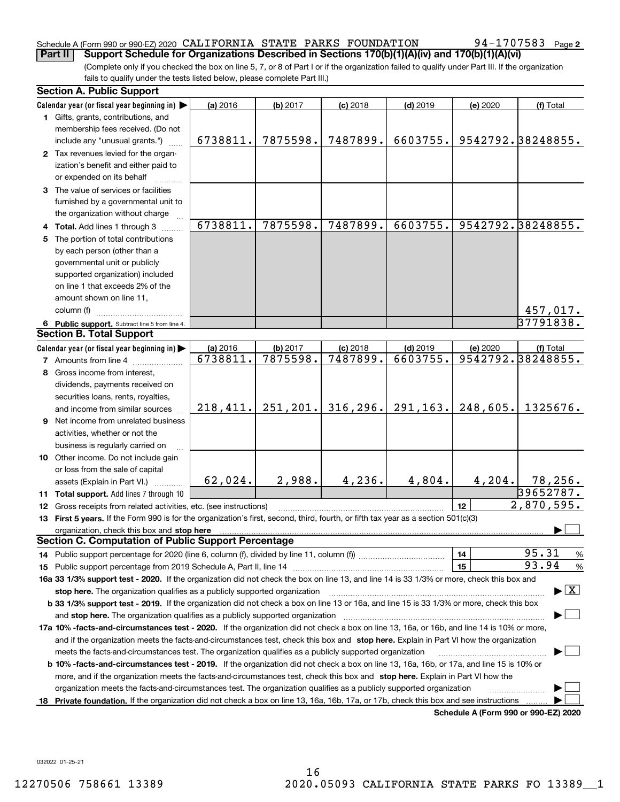### Schedule A (Form 990 or 990-EZ) 2020 <code>CALIFORNIA STATE PARKS FOUNDATION</code> 94-1707583 Page **Part II Support Schedule for Organizations Described in Sections 170(b)(1)(A)(iv) and 170(b)(1)(A)(vi)**

(Complete only if you checked the box on line 5, 7, or 8 of Part I or if the organization failed to qualify under Part III. If the organization fails to qualify under the tests listed below, please complete Part III.)

| Calendar year (or fiscal year beginning in) $\blacktriangleright$<br>(a) 2016<br>(b) 2017<br>$(c)$ 2018<br>$(d)$ 2019<br>(e) 2020<br>(f) Total<br>1 Gifts, grants, contributions, and<br>membership fees received. (Do not<br>9542792.38248855.<br>7875598.<br>7487899.<br>6603755.<br>6738811.<br>include any "unusual grants.")<br>2 Tax revenues levied for the organ-<br>ization's benefit and either paid to<br>or expended on its behalf<br>3 The value of services or facilities<br>furnished by a governmental unit to<br>the organization without charge<br>6738811.<br>9542792.38248855.<br>7875598.<br>7487899.<br>6603755.<br>4 Total. Add lines 1 through 3<br>5 The portion of total contributions<br>by each person (other than a<br>governmental unit or publicly<br>supported organization) included<br>on line 1 that exceeds 2% of the |                                          |
|-----------------------------------------------------------------------------------------------------------------------------------------------------------------------------------------------------------------------------------------------------------------------------------------------------------------------------------------------------------------------------------------------------------------------------------------------------------------------------------------------------------------------------------------------------------------------------------------------------------------------------------------------------------------------------------------------------------------------------------------------------------------------------------------------------------------------------------------------------------|------------------------------------------|
|                                                                                                                                                                                                                                                                                                                                                                                                                                                                                                                                                                                                                                                                                                                                                                                                                                                           |                                          |
|                                                                                                                                                                                                                                                                                                                                                                                                                                                                                                                                                                                                                                                                                                                                                                                                                                                           |                                          |
|                                                                                                                                                                                                                                                                                                                                                                                                                                                                                                                                                                                                                                                                                                                                                                                                                                                           |                                          |
|                                                                                                                                                                                                                                                                                                                                                                                                                                                                                                                                                                                                                                                                                                                                                                                                                                                           |                                          |
|                                                                                                                                                                                                                                                                                                                                                                                                                                                                                                                                                                                                                                                                                                                                                                                                                                                           |                                          |
|                                                                                                                                                                                                                                                                                                                                                                                                                                                                                                                                                                                                                                                                                                                                                                                                                                                           |                                          |
|                                                                                                                                                                                                                                                                                                                                                                                                                                                                                                                                                                                                                                                                                                                                                                                                                                                           |                                          |
|                                                                                                                                                                                                                                                                                                                                                                                                                                                                                                                                                                                                                                                                                                                                                                                                                                                           |                                          |
|                                                                                                                                                                                                                                                                                                                                                                                                                                                                                                                                                                                                                                                                                                                                                                                                                                                           |                                          |
|                                                                                                                                                                                                                                                                                                                                                                                                                                                                                                                                                                                                                                                                                                                                                                                                                                                           |                                          |
|                                                                                                                                                                                                                                                                                                                                                                                                                                                                                                                                                                                                                                                                                                                                                                                                                                                           |                                          |
|                                                                                                                                                                                                                                                                                                                                                                                                                                                                                                                                                                                                                                                                                                                                                                                                                                                           |                                          |
|                                                                                                                                                                                                                                                                                                                                                                                                                                                                                                                                                                                                                                                                                                                                                                                                                                                           |                                          |
|                                                                                                                                                                                                                                                                                                                                                                                                                                                                                                                                                                                                                                                                                                                                                                                                                                                           |                                          |
|                                                                                                                                                                                                                                                                                                                                                                                                                                                                                                                                                                                                                                                                                                                                                                                                                                                           |                                          |
|                                                                                                                                                                                                                                                                                                                                                                                                                                                                                                                                                                                                                                                                                                                                                                                                                                                           |                                          |
| amount shown on line 11,                                                                                                                                                                                                                                                                                                                                                                                                                                                                                                                                                                                                                                                                                                                                                                                                                                  |                                          |
| column (f)<br>457,017.                                                                                                                                                                                                                                                                                                                                                                                                                                                                                                                                                                                                                                                                                                                                                                                                                                    |                                          |
| 37791838.<br>6 Public support. Subtract line 5 from line 4.                                                                                                                                                                                                                                                                                                                                                                                                                                                                                                                                                                                                                                                                                                                                                                                               |                                          |
| <b>Section B. Total Support</b>                                                                                                                                                                                                                                                                                                                                                                                                                                                                                                                                                                                                                                                                                                                                                                                                                           |                                          |
| Calendar year (or fiscal year beginning in)<br>(a) 2016<br>(b) 2017<br>$(d)$ 2019<br>(e) 2020<br>$(c)$ 2018<br>(f) Total                                                                                                                                                                                                                                                                                                                                                                                                                                                                                                                                                                                                                                                                                                                                  |                                          |
| 9542792.38248855.<br>7875598.<br>7487899.<br>6603755.<br>6738811.<br><b>7</b> Amounts from line 4                                                                                                                                                                                                                                                                                                                                                                                                                                                                                                                                                                                                                                                                                                                                                         |                                          |
| Gross income from interest,<br>8                                                                                                                                                                                                                                                                                                                                                                                                                                                                                                                                                                                                                                                                                                                                                                                                                          |                                          |
| dividends, payments received on                                                                                                                                                                                                                                                                                                                                                                                                                                                                                                                                                                                                                                                                                                                                                                                                                           |                                          |
| securities loans, rents, royalties,                                                                                                                                                                                                                                                                                                                                                                                                                                                                                                                                                                                                                                                                                                                                                                                                                       |                                          |
| 316, 296.<br>291, 163.<br>248,605.<br>218, 411.<br>251, 201.<br>1325676.<br>and income from similar sources                                                                                                                                                                                                                                                                                                                                                                                                                                                                                                                                                                                                                                                                                                                                               |                                          |
| <b>9</b> Net income from unrelated business                                                                                                                                                                                                                                                                                                                                                                                                                                                                                                                                                                                                                                                                                                                                                                                                               |                                          |
| activities, whether or not the                                                                                                                                                                                                                                                                                                                                                                                                                                                                                                                                                                                                                                                                                                                                                                                                                            |                                          |
| business is regularly carried on                                                                                                                                                                                                                                                                                                                                                                                                                                                                                                                                                                                                                                                                                                                                                                                                                          |                                          |
| 10 Other income. Do not include gain                                                                                                                                                                                                                                                                                                                                                                                                                                                                                                                                                                                                                                                                                                                                                                                                                      |                                          |
| or loss from the sale of capital                                                                                                                                                                                                                                                                                                                                                                                                                                                                                                                                                                                                                                                                                                                                                                                                                          |                                          |
| 2,988.<br>4,236.<br>4,804.<br>62,024.<br>4, 204.<br>78,256.<br>assets (Explain in Part VI.)                                                                                                                                                                                                                                                                                                                                                                                                                                                                                                                                                                                                                                                                                                                                                               |                                          |
| 39652787.<br>11 Total support. Add lines 7 through 10                                                                                                                                                                                                                                                                                                                                                                                                                                                                                                                                                                                                                                                                                                                                                                                                     |                                          |
| 2,870,595.<br>12<br><b>12</b> Gross receipts from related activities, etc. (see instructions)                                                                                                                                                                                                                                                                                                                                                                                                                                                                                                                                                                                                                                                                                                                                                             |                                          |
| 13 First 5 years. If the Form 990 is for the organization's first, second, third, fourth, or fifth tax year as a section 501(c)(3)                                                                                                                                                                                                                                                                                                                                                                                                                                                                                                                                                                                                                                                                                                                        |                                          |
| organization, check this box and stop here manufactured and according to the state of the state of the state of the state of the state of the state of the state of the state of the state of the state of the state of the st                                                                                                                                                                                                                                                                                                                                                                                                                                                                                                                                                                                                                            |                                          |
| <b>Section C. Computation of Public Support Percentage</b>                                                                                                                                                                                                                                                                                                                                                                                                                                                                                                                                                                                                                                                                                                                                                                                                |                                          |
| 95.31<br>14                                                                                                                                                                                                                                                                                                                                                                                                                                                                                                                                                                                                                                                                                                                                                                                                                                               | %                                        |
| 93.94<br>15                                                                                                                                                                                                                                                                                                                                                                                                                                                                                                                                                                                                                                                                                                                                                                                                                                               | $\%$                                     |
| 16a 33 1/3% support test - 2020. If the organization did not check the box on line 13, and line 14 is 33 1/3% or more, check this box and                                                                                                                                                                                                                                                                                                                                                                                                                                                                                                                                                                                                                                                                                                                 |                                          |
| stop here. The organization qualifies as a publicly supported organization                                                                                                                                                                                                                                                                                                                                                                                                                                                                                                                                                                                                                                                                                                                                                                                | $\blacktriangleright$ $\boxed{\text{X}}$ |
| b 33 1/3% support test - 2019. If the organization did not check a box on line 13 or 16a, and line 15 is 33 1/3% or more, check this box                                                                                                                                                                                                                                                                                                                                                                                                                                                                                                                                                                                                                                                                                                                  |                                          |
| and stop here. The organization qualifies as a publicly supported organization                                                                                                                                                                                                                                                                                                                                                                                                                                                                                                                                                                                                                                                                                                                                                                            |                                          |
| 17a 10% -facts-and-circumstances test - 2020. If the organization did not check a box on line 13, 16a, or 16b, and line 14 is 10% or more,                                                                                                                                                                                                                                                                                                                                                                                                                                                                                                                                                                                                                                                                                                                |                                          |
| and if the organization meets the facts-and-circumstances test, check this box and stop here. Explain in Part VI how the organization                                                                                                                                                                                                                                                                                                                                                                                                                                                                                                                                                                                                                                                                                                                     |                                          |
| meets the facts-and-circumstances test. The organization qualifies as a publicly supported organization                                                                                                                                                                                                                                                                                                                                                                                                                                                                                                                                                                                                                                                                                                                                                   |                                          |
| <b>b 10% -facts-and-circumstances test - 2019.</b> If the organization did not check a box on line 13, 16a, 16b, or 17a, and line 15 is 10% or                                                                                                                                                                                                                                                                                                                                                                                                                                                                                                                                                                                                                                                                                                            |                                          |
| more, and if the organization meets the facts-and-circumstances test, check this box and stop here. Explain in Part VI how the                                                                                                                                                                                                                                                                                                                                                                                                                                                                                                                                                                                                                                                                                                                            |                                          |
| organization meets the facts-and-circumstances test. The organization qualifies as a publicly supported organization                                                                                                                                                                                                                                                                                                                                                                                                                                                                                                                                                                                                                                                                                                                                      |                                          |
| Private foundation. If the organization did not check a box on line 13, 16a, 16b, 17a, or 17b, check this box and see instructions<br>18                                                                                                                                                                                                                                                                                                                                                                                                                                                                                                                                                                                                                                                                                                                  |                                          |

**Schedule A (Form 990 or 990-EZ) 2020**

032022 01-25-21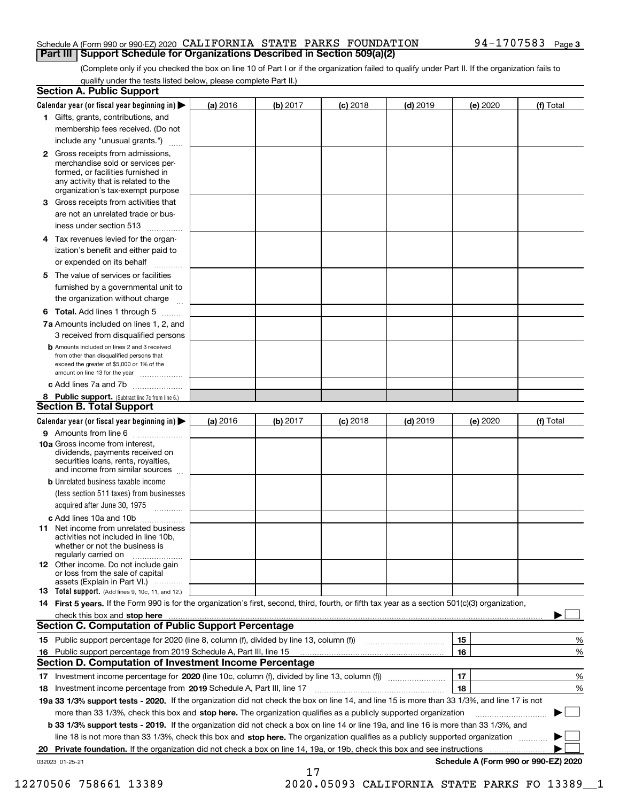### Schedule A (Form 990 or 990-EZ) 2020 <code>CALIFORNIA STATE PARKS FOUNDATION</code> 94-1707583 Page **Part III Support Schedule for Organizations Described in Section 509(a)(2)**

(Complete only if you checked the box on line 10 of Part I or if the organization failed to qualify under Part II. If the organization fails to qualify under the tests listed below, please complete Part II.)

| <b>Section A. Public Support</b>                                                                                                                                                                                              |          |          |            |            |          |                                      |
|-------------------------------------------------------------------------------------------------------------------------------------------------------------------------------------------------------------------------------|----------|----------|------------|------------|----------|--------------------------------------|
| Calendar year (or fiscal year beginning in) $\blacktriangleright$                                                                                                                                                             | (a) 2016 | (b) 2017 | $(c)$ 2018 | $(d)$ 2019 | (e) 2020 | (f) Total                            |
| 1 Gifts, grants, contributions, and                                                                                                                                                                                           |          |          |            |            |          |                                      |
| membership fees received. (Do not                                                                                                                                                                                             |          |          |            |            |          |                                      |
| include any "unusual grants.")                                                                                                                                                                                                |          |          |            |            |          |                                      |
| 2 Gross receipts from admissions,<br>merchandise sold or services per-<br>formed, or facilities furnished in<br>any activity that is related to the<br>organization's tax-exempt purpose                                      |          |          |            |            |          |                                      |
| 3 Gross receipts from activities that                                                                                                                                                                                         |          |          |            |            |          |                                      |
| are not an unrelated trade or bus-                                                                                                                                                                                            |          |          |            |            |          |                                      |
| iness under section 513                                                                                                                                                                                                       |          |          |            |            |          |                                      |
| 4 Tax revenues levied for the organ-                                                                                                                                                                                          |          |          |            |            |          |                                      |
| ization's benefit and either paid to<br>or expended on its behalf<br>.                                                                                                                                                        |          |          |            |            |          |                                      |
| 5 The value of services or facilities                                                                                                                                                                                         |          |          |            |            |          |                                      |
| furnished by a governmental unit to                                                                                                                                                                                           |          |          |            |            |          |                                      |
| the organization without charge                                                                                                                                                                                               |          |          |            |            |          |                                      |
| <b>6 Total.</b> Add lines 1 through 5                                                                                                                                                                                         |          |          |            |            |          |                                      |
| 7a Amounts included on lines 1, 2, and<br>3 received from disqualified persons                                                                                                                                                |          |          |            |            |          |                                      |
| <b>b</b> Amounts included on lines 2 and 3 received<br>from other than disqualified persons that<br>exceed the greater of \$5,000 or 1% of the<br>amount on line 13 for the year                                              |          |          |            |            |          |                                      |
| c Add lines 7a and 7b                                                                                                                                                                                                         |          |          |            |            |          |                                      |
| 8 Public support. (Subtract line 7c from line 6.)<br><b>Section B. Total Support</b>                                                                                                                                          |          |          |            |            |          |                                      |
| Calendar year (or fiscal year beginning in)                                                                                                                                                                                   | (a) 2016 | (b) 2017 | $(c)$ 2018 | $(d)$ 2019 | (e) 2020 | (f) Total                            |
| 9 Amounts from line 6                                                                                                                                                                                                         |          |          |            |            |          |                                      |
| 10a Gross income from interest,<br>dividends, payments received on<br>securities loans, rents, royalties,<br>and income from similar sources                                                                                  |          |          |            |            |          |                                      |
| <b>b</b> Unrelated business taxable income                                                                                                                                                                                    |          |          |            |            |          |                                      |
| (less section 511 taxes) from businesses<br>acquired after June 30, 1975                                                                                                                                                      |          |          |            |            |          |                                      |
| c Add lines 10a and 10b                                                                                                                                                                                                       |          |          |            |            |          |                                      |
| <b>11</b> Net income from unrelated business<br>activities not included in line 10b,<br>whether or not the business is<br>regularly carried on                                                                                |          |          |            |            |          |                                      |
| <b>12</b> Other income. Do not include gain<br>or loss from the sale of capital<br>assets (Explain in Part VI.)                                                                                                               |          |          |            |            |          |                                      |
| <b>13 Total support.</b> (Add lines 9, 10c, 11, and 12.)                                                                                                                                                                      |          |          |            |            |          |                                      |
| 14 First 5 years. If the Form 990 is for the organization's first, second, third, fourth, or fifth tax year as a section 501(c)(3) organization,                                                                              |          |          |            |            |          |                                      |
| check this box and stop here measurements are constructed and the construction of the construction of the construction of the construction of the construction of the construction of the construction of the construction of |          |          |            |            |          |                                      |
| <b>Section C. Computation of Public Support Percentage</b>                                                                                                                                                                    |          |          |            |            |          |                                      |
|                                                                                                                                                                                                                               |          |          |            |            | 15       | %                                    |
| 16 Public support percentage from 2019 Schedule A, Part III, line 15                                                                                                                                                          |          |          |            |            | 16       | %                                    |
| <b>Section D. Computation of Investment Income Percentage</b>                                                                                                                                                                 |          |          |            |            |          |                                      |
| 17 Investment income percentage for 2020 (line 10c, column (f), divided by line 13, column (f))                                                                                                                               |          |          |            |            | 17       | %                                    |
| 18 Investment income percentage from 2019 Schedule A, Part III, line 17                                                                                                                                                       |          |          |            |            | 18       | %                                    |
| 19a 33 1/3% support tests - 2020. If the organization did not check the box on line 14, and line 15 is more than 33 1/3%, and line 17 is not                                                                                  |          |          |            |            |          |                                      |
| more than 33 1/3%, check this box and stop here. The organization qualifies as a publicly supported organization                                                                                                              |          |          |            |            |          | ▶                                    |
| b 33 1/3% support tests - 2019. If the organization did not check a box on line 14 or line 19a, and line 16 is more than 33 1/3%, and                                                                                         |          |          |            |            |          |                                      |
| line 18 is not more than 33 1/3%, check this box and stop here. The organization qualifies as a publicly supported organization                                                                                               |          |          |            |            |          |                                      |
| 20 Private foundation. If the organization did not check a box on line 14, 19a, or 19b, check this box and see instructions                                                                                                   |          |          |            |            |          |                                      |
| 032023 01-25-21                                                                                                                                                                                                               |          | 17       |            |            |          | Schedule A (Form 990 or 990-EZ) 2020 |

12270506 758661 13389 2020.05093 CALIFORNIA STATE PARKS FO 13389\_\_1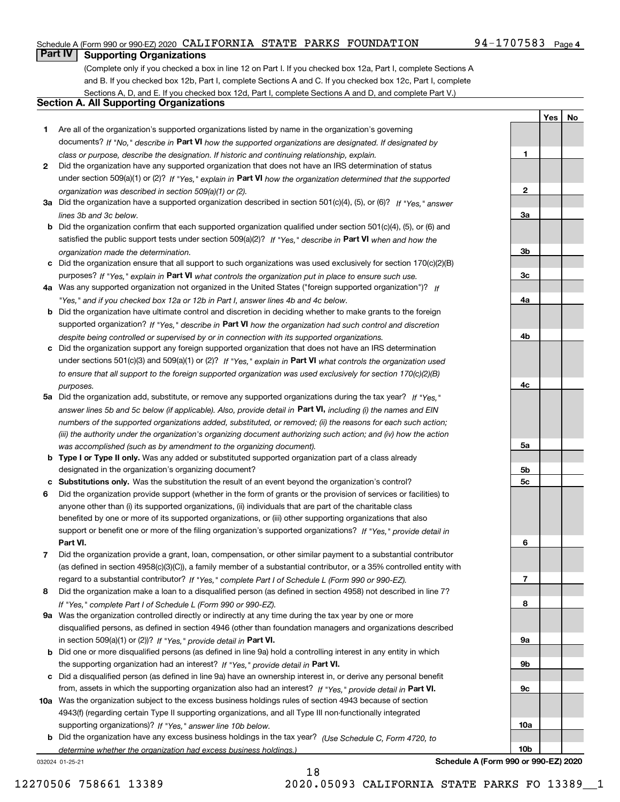### Schedule A (Form 990 or 990-EZ) 2020 <code>CALIFORNIA STATE PARKS FOUNDATION</code> 94-1707583 Page

## **Part IV Supporting Organizations**

(Complete only if you checked a box in line 12 on Part I. If you checked box 12a, Part I, complete Sections A and B. If you checked box 12b, Part I, complete Sections A and C. If you checked box 12c, Part I, complete Sections A, D, and E. If you checked box 12d, Part I, complete Sections A and D, and complete Part V.)

### **Section A. All Supporting Organizations**

- **1** Are all of the organization's supported organizations listed by name in the organization's governing documents? If "No," describe in **Part VI** how the supported organizations are designated. If designated by *class or purpose, describe the designation. If historic and continuing relationship, explain.*
- **2** Did the organization have any supported organization that does not have an IRS determination of status under section 509(a)(1) or (2)? If "Yes," explain in Part VI how the organization determined that the supported *organization was described in section 509(a)(1) or (2).*
- **3a** Did the organization have a supported organization described in section 501(c)(4), (5), or (6)? If "Yes," answer *lines 3b and 3c below.*
- **b** Did the organization confirm that each supported organization qualified under section 501(c)(4), (5), or (6) and satisfied the public support tests under section 509(a)(2)? If "Yes," describe in **Part VI** when and how the *organization made the determination.*
- **c**Did the organization ensure that all support to such organizations was used exclusively for section 170(c)(2)(B) purposes? If "Yes," explain in **Part VI** what controls the organization put in place to ensure such use.
- **4a***If* Was any supported organization not organized in the United States ("foreign supported organization")? *"Yes," and if you checked box 12a or 12b in Part I, answer lines 4b and 4c below.*
- **b** Did the organization have ultimate control and discretion in deciding whether to make grants to the foreign supported organization? If "Yes," describe in **Part VI** how the organization had such control and discretion *despite being controlled or supervised by or in connection with its supported organizations.*
- **c** Did the organization support any foreign supported organization that does not have an IRS determination under sections 501(c)(3) and 509(a)(1) or (2)? If "Yes," explain in **Part VI** what controls the organization used *to ensure that all support to the foreign supported organization was used exclusively for section 170(c)(2)(B) purposes.*
- **5a** Did the organization add, substitute, or remove any supported organizations during the tax year? If "Yes," answer lines 5b and 5c below (if applicable). Also, provide detail in **Part VI,** including (i) the names and EIN *numbers of the supported organizations added, substituted, or removed; (ii) the reasons for each such action; (iii) the authority under the organization's organizing document authorizing such action; and (iv) how the action was accomplished (such as by amendment to the organizing document).*
- **b** Type I or Type II only. Was any added or substituted supported organization part of a class already designated in the organization's organizing document?
- **cSubstitutions only.**  Was the substitution the result of an event beyond the organization's control?
- **6** Did the organization provide support (whether in the form of grants or the provision of services or facilities) to **Part VI.** *If "Yes," provide detail in* support or benefit one or more of the filing organization's supported organizations? anyone other than (i) its supported organizations, (ii) individuals that are part of the charitable class benefited by one or more of its supported organizations, or (iii) other supporting organizations that also
- **7**Did the organization provide a grant, loan, compensation, or other similar payment to a substantial contributor *If "Yes," complete Part I of Schedule L (Form 990 or 990-EZ).* regard to a substantial contributor? (as defined in section 4958(c)(3)(C)), a family member of a substantial contributor, or a 35% controlled entity with
- **8** Did the organization make a loan to a disqualified person (as defined in section 4958) not described in line 7? *If "Yes," complete Part I of Schedule L (Form 990 or 990-EZ).*
- **9a** Was the organization controlled directly or indirectly at any time during the tax year by one or more in section 509(a)(1) or (2))? If "Yes," *provide detail in* <code>Part VI.</code> disqualified persons, as defined in section 4946 (other than foundation managers and organizations described
- **b** Did one or more disqualified persons (as defined in line 9a) hold a controlling interest in any entity in which the supporting organization had an interest? If "Yes," provide detail in P**art VI**.
- **c**Did a disqualified person (as defined in line 9a) have an ownership interest in, or derive any personal benefit from, assets in which the supporting organization also had an interest? If "Yes," provide detail in P**art VI.**
- **10a** Was the organization subject to the excess business holdings rules of section 4943 because of section supporting organizations)? If "Yes," answer line 10b below. 4943(f) (regarding certain Type II supporting organizations, and all Type III non-functionally integrated
- **b** Did the organization have any excess business holdings in the tax year? (Use Schedule C, Form 4720, to *determine whether the organization had excess business holdings.)*

032024 01-25-21

**3a3b3c4a4b4c5a 5b5c6789a 9b9c10a**

**Schedule A (Form 990 or 990-EZ) 2020**

**10b**

**YesNo**

**1**

**2**

18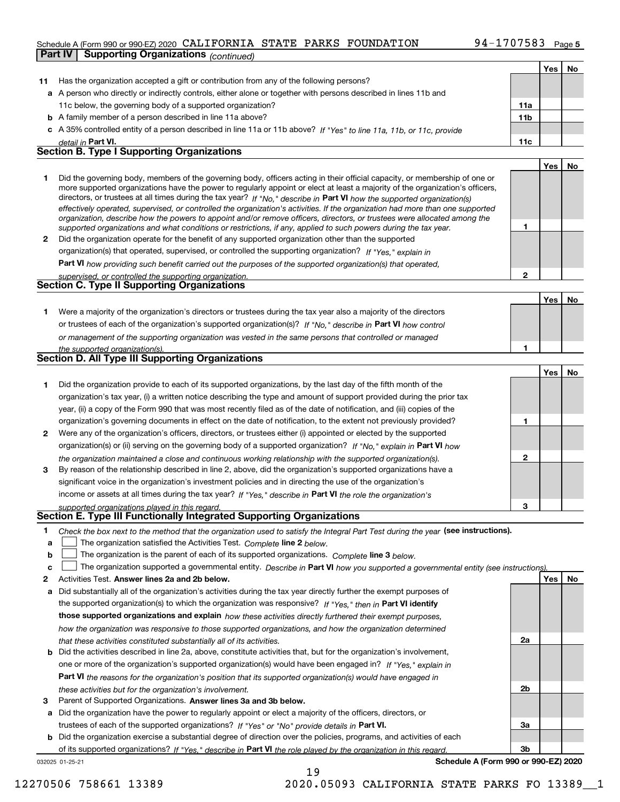### Schedule A (Form 990 or 990-EZ) 2020 <code>CALIFORNIA STATE PARKS FOUNDATION</code> 94-1707583 Page **Part IV Supporting Organizations** *(continued)*

|    |                                                                                                                                                                                                                                                            |              | Yes $ $ | No |
|----|------------------------------------------------------------------------------------------------------------------------------------------------------------------------------------------------------------------------------------------------------------|--------------|---------|----|
| 11 | Has the organization accepted a gift or contribution from any of the following persons?                                                                                                                                                                    |              |         |    |
|    | a A person who directly or indirectly controls, either alone or together with persons described in lines 11b and                                                                                                                                           |              |         |    |
|    | 11c below, the governing body of a supported organization?                                                                                                                                                                                                 | 11a          |         |    |
|    | <b>b</b> A family member of a person described in line 11a above?                                                                                                                                                                                          | 11b          |         |    |
|    | c A 35% controlled entity of a person described in line 11a or 11b above? If "Yes" to line 11a, 11b, or 11c, provide                                                                                                                                       |              |         |    |
|    | detail in Part VI.                                                                                                                                                                                                                                         | 11c          |         |    |
|    | <b>Section B. Type I Supporting Organizations</b>                                                                                                                                                                                                          |              |         |    |
|    |                                                                                                                                                                                                                                                            |              | Yes     | No |
| 1  | Did the governing body, members of the governing body, officers acting in their official capacity, or membership of one or                                                                                                                                 |              |         |    |
|    | more supported organizations have the power to regularly appoint or elect at least a majority of the organization's officers,                                                                                                                              |              |         |    |
|    | directors, or trustees at all times during the tax year? If "No," describe in Part VI how the supported organization(s)                                                                                                                                    |              |         |    |
|    | effectively operated, supervised, or controlled the organization's activities. If the organization had more than one supported<br>organization, describe how the powers to appoint and/or remove officers, directors, or trustees were allocated among the |              |         |    |
|    | supported organizations and what conditions or restrictions, if any, applied to such powers during the tax year.                                                                                                                                           | 1            |         |    |
| 2  | Did the organization operate for the benefit of any supported organization other than the supported                                                                                                                                                        |              |         |    |
|    | organization(s) that operated, supervised, or controlled the supporting organization? If "Yes," explain in                                                                                                                                                 |              |         |    |
|    | Part VI how providing such benefit carried out the purposes of the supported organization(s) that operated,                                                                                                                                                |              |         |    |
|    | supervised, or controlled the supporting organization.                                                                                                                                                                                                     | $\mathbf{2}$ |         |    |
|    | <b>Section C. Type II Supporting Organizations</b>                                                                                                                                                                                                         |              |         |    |
|    |                                                                                                                                                                                                                                                            |              | Yes     | No |
| 1  | Were a majority of the organization's directors or trustees during the tax year also a majority of the directors                                                                                                                                           |              |         |    |
|    | or trustees of each of the organization's supported organization(s)? If "No," describe in Part VI how control                                                                                                                                              |              |         |    |
|    | or management of the supporting organization was vested in the same persons that controlled or managed                                                                                                                                                     |              |         |    |
|    | the supported organization(s).                                                                                                                                                                                                                             | 1            |         |    |
|    | <b>Section D. All Type III Supporting Organizations</b>                                                                                                                                                                                                    |              |         |    |
|    |                                                                                                                                                                                                                                                            |              | Yes     | No |
| 1  | Did the organization provide to each of its supported organizations, by the last day of the fifth month of the                                                                                                                                             |              |         |    |
|    | organization's tax year, (i) a written notice describing the type and amount of support provided during the prior tax                                                                                                                                      |              |         |    |
|    | year, (ii) a copy of the Form 990 that was most recently filed as of the date of notification, and (iii) copies of the                                                                                                                                     |              |         |    |
|    | organization's governing documents in effect on the date of notification, to the extent not previously provided?                                                                                                                                           | 1            |         |    |
| 2  | Were any of the organization's officers, directors, or trustees either (i) appointed or elected by the supported                                                                                                                                           |              |         |    |
|    | organization(s) or (ii) serving on the governing body of a supported organization? If "No," explain in Part VI how                                                                                                                                         |              |         |    |
|    | the organization maintained a close and continuous working relationship with the supported organization(s).                                                                                                                                                | 2            |         |    |
| 3  | By reason of the relationship described in line 2, above, did the organization's supported organizations have a                                                                                                                                            |              |         |    |
|    | significant voice in the organization's investment policies and in directing the use of the organization's                                                                                                                                                 |              |         |    |
|    | income or assets at all times during the tax year? If "Yes," describe in Part VI the role the organization's                                                                                                                                               |              |         |    |
|    | supported organizations played in this regard.                                                                                                                                                                                                             | з            |         |    |
|    | Section E. Type III Functionally Integrated Supporting Organizations                                                                                                                                                                                       |              |         |    |
| 1  | Check the box next to the method that the organization used to satisfy the Integral Part Test during the year (see instructions).                                                                                                                          |              |         |    |
| a  | The organization satisfied the Activities Test. Complete line 2 below.                                                                                                                                                                                     |              |         |    |
| b  | The organization is the parent of each of its supported organizations. Complete line 3 below.                                                                                                                                                              |              |         |    |
| c  | The organization supported a governmental entity. Describe in Part VI how you supported a governmental entity (see instructions)                                                                                                                           |              |         |    |
| 2  | Activities Test. Answer lines 2a and 2b below.                                                                                                                                                                                                             |              | Yes     | No |
| а  | Did substantially all of the organization's activities during the tax year directly further the exempt purposes of                                                                                                                                         |              |         |    |
|    | the supported organization(s) to which the organization was responsive? If "Yes," then in Part VI identify                                                                                                                                                 |              |         |    |
|    | those supported organizations and explain how these activities directly furthered their exempt purposes,                                                                                                                                                   |              |         |    |
|    | how the organization was responsive to those supported organizations, and how the organization determined                                                                                                                                                  |              |         |    |
|    | that these activities constituted substantially all of its activities.                                                                                                                                                                                     | 2a           |         |    |
| b  | Did the activities described in line 2a, above, constitute activities that, but for the organization's involvement,                                                                                                                                        |              |         |    |
|    | one or more of the organization's supported organization(s) would have been engaged in? If "Yes," explain in                                                                                                                                               |              |         |    |
|    | Part VI the reasons for the organization's position that its supported organization(s) would have engaged in                                                                                                                                               |              |         |    |
|    | these activities but for the organization's involvement.                                                                                                                                                                                                   | 2b           |         |    |
| з  | Parent of Supported Organizations. Answer lines 3a and 3b below.                                                                                                                                                                                           |              |         |    |
| а  | Did the organization have the power to regularly appoint or elect a majority of the officers, directors, or                                                                                                                                                |              |         |    |
|    | trustees of each of the supported organizations? If "Yes" or "No" provide details in Part VI.                                                                                                                                                              | За           |         |    |

**b** Did the organization exercise a substantial degree of direction over the policies, programs, and activities of each trustees of each of the supported organizations? If "Yes" or "No" provide details in **Part VI.** of its supported organizations? If "Yes," describe in Part VI the role played by the organization in this regard.

19

032025 01-25-21

**Schedule A (Form 990 or 990-EZ) 2020**

**3b**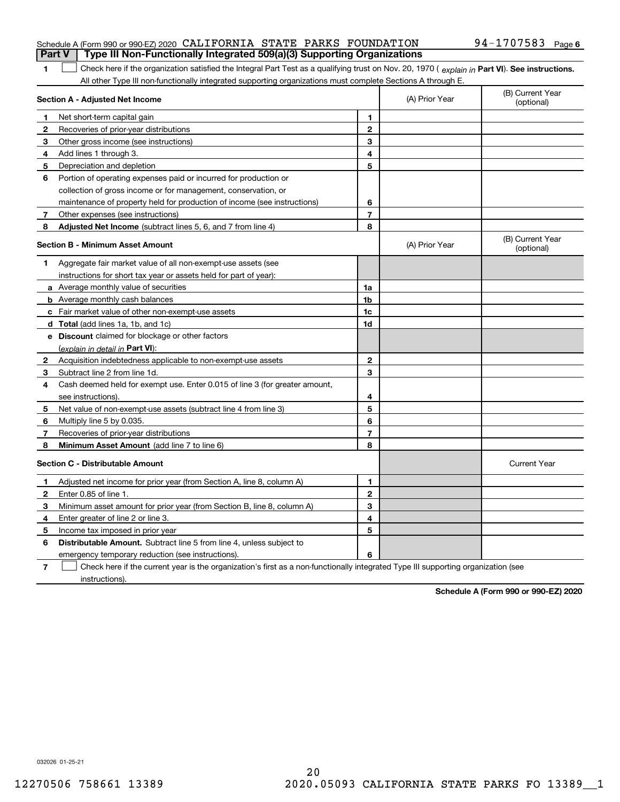### Schedule A (Form 990 or 990-EZ) 2020 <code>CALIFORNIA STATE PARKS FOUNDATION</code> 94-1707583 Page **Part V Type III Non-Functionally Integrated 509(a)(3) Supporting Organizations**

1 Check here if the organization satisfied the Integral Part Test as a qualifying trust on Nov. 20, 1970 (explain in Part VI). See instructions. All other Type III non-functionally integrated supporting organizations must complete Sections A through E.

|   | Section A - Adjusted Net Income                                                                                                   | (A) Prior Year          | (B) Current Year<br>(optional) |                                |
|---|-----------------------------------------------------------------------------------------------------------------------------------|-------------------------|--------------------------------|--------------------------------|
| 1 | Net short-term capital gain                                                                                                       | 1                       |                                |                                |
| 2 | Recoveries of prior-year distributions                                                                                            | $\overline{2}$          |                                |                                |
| 3 | Other gross income (see instructions)                                                                                             | 3                       |                                |                                |
| 4 | Add lines 1 through 3.                                                                                                            | 4                       |                                |                                |
| 5 | Depreciation and depletion                                                                                                        | 5                       |                                |                                |
| 6 | Portion of operating expenses paid or incurred for production or                                                                  |                         |                                |                                |
|   | collection of gross income or for management, conservation, or                                                                    |                         |                                |                                |
|   | maintenance of property held for production of income (see instructions)                                                          | 6                       |                                |                                |
| 7 | Other expenses (see instructions)                                                                                                 | $\overline{\mathbf{r}}$ |                                |                                |
| 8 | Adjusted Net Income (subtract lines 5, 6, and 7 from line 4)                                                                      | 8                       |                                |                                |
|   | <b>Section B - Minimum Asset Amount</b>                                                                                           |                         | (A) Prior Year                 | (B) Current Year<br>(optional) |
| 1 | Aggregate fair market value of all non-exempt-use assets (see                                                                     |                         |                                |                                |
|   | instructions for short tax year or assets held for part of year):                                                                 |                         |                                |                                |
|   | <b>a</b> Average monthly value of securities                                                                                      | 1a                      |                                |                                |
|   | <b>b</b> Average monthly cash balances                                                                                            | 1b                      |                                |                                |
|   | c Fair market value of other non-exempt-use assets                                                                                | 1c                      |                                |                                |
|   | <b>d</b> Total (add lines 1a, 1b, and 1c)                                                                                         | 1d                      |                                |                                |
|   | e Discount claimed for blockage or other factors                                                                                  |                         |                                |                                |
|   | (explain in detail in Part VI):                                                                                                   |                         |                                |                                |
| 2 | Acquisition indebtedness applicable to non-exempt-use assets                                                                      | $\mathbf{2}$            |                                |                                |
| 3 | Subtract line 2 from line 1d.                                                                                                     | 3                       |                                |                                |
| 4 | Cash deemed held for exempt use. Enter 0.015 of line 3 (for greater amount,                                                       |                         |                                |                                |
|   | see instructions).                                                                                                                | 4                       |                                |                                |
| 5 | Net value of non-exempt-use assets (subtract line 4 from line 3)                                                                  | 5                       |                                |                                |
| 6 | Multiply line 5 by 0.035.                                                                                                         | 6                       |                                |                                |
| 7 | Recoveries of prior-year distributions                                                                                            | $\overline{7}$          |                                |                                |
| 8 | <b>Minimum Asset Amount</b> (add line 7 to line 6)                                                                                | 8                       |                                |                                |
|   | <b>Section C - Distributable Amount</b>                                                                                           |                         |                                | <b>Current Year</b>            |
| 1 | Adjusted net income for prior year (from Section A, line 8, column A)                                                             | 1                       |                                |                                |
| 2 | Enter 0.85 of line 1.                                                                                                             | $\overline{2}$          |                                |                                |
| 3 | Minimum asset amount for prior year (from Section B, line 8, column A)                                                            | 3                       |                                |                                |
| 4 | Enter greater of line 2 or line 3.                                                                                                | 4                       |                                |                                |
| 5 | Income tax imposed in prior year                                                                                                  | 5                       |                                |                                |
| 6 | <b>Distributable Amount.</b> Subtract line 5 from line 4, unless subject to                                                       |                         |                                |                                |
|   | emergency temporary reduction (see instructions).                                                                                 | 6                       |                                |                                |
| 7 | Check here if the current year is the organization's first as a non-functionally integrated Type III supporting organization (see |                         |                                |                                |

instructions).

**1**

**Schedule A (Form 990 or 990-EZ) 2020**

032026 01-25-21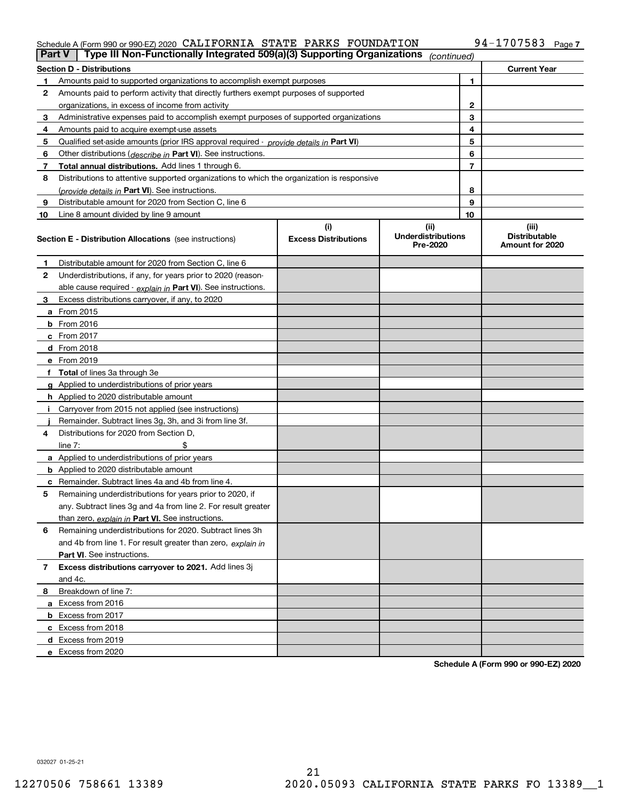### Schedule A (Form 990 or 990-EZ) 2020 CALIFORNIA S'I'A'I'E PARKS F'OUNDA'I'ION 94-I7U7583 Page CALIFORNIA STATE PARKS FOUNDATION 94-1707583

|    | Type III Non-Functionally Integrated 509(a)(3) Supporting Organizations<br>Part V          |                             | (continued)                           |    |                                         |
|----|--------------------------------------------------------------------------------------------|-----------------------------|---------------------------------------|----|-----------------------------------------|
|    | <b>Section D - Distributions</b>                                                           |                             |                                       |    | <b>Current Year</b>                     |
|    | Amounts paid to supported organizations to accomplish exempt purposes                      |                             | 1                                     |    |                                         |
| 2  | Amounts paid to perform activity that directly furthers exempt purposes of supported       |                             |                                       |    |                                         |
|    | organizations, in excess of income from activity                                           |                             | 2                                     |    |                                         |
| 3  | Administrative expenses paid to accomplish exempt purposes of supported organizations      |                             |                                       | 3  |                                         |
| 4  | Amounts paid to acquire exempt-use assets                                                  |                             |                                       | 4  |                                         |
| 5  | Qualified set aside amounts (prior IRS approval required - provide details in Part VI)     |                             |                                       | 5  |                                         |
| 6  | Other distributions (describe in Part VI). See instructions.                               |                             |                                       | 6  |                                         |
| 7  | Total annual distributions. Add lines 1 through 6.                                         |                             |                                       | 7  |                                         |
| 8  | Distributions to attentive supported organizations to which the organization is responsive |                             |                                       |    |                                         |
|    | (provide details in Part VI). See instructions.                                            |                             |                                       | 8  |                                         |
| 9  | Distributable amount for 2020 from Section C, line 6                                       |                             |                                       | 9  |                                         |
| 10 | Line 8 amount divided by line 9 amount                                                     |                             |                                       | 10 |                                         |
|    |                                                                                            | (i)                         | (ii)                                  |    | (iii)                                   |
|    | <b>Section E - Distribution Allocations</b> (see instructions)                             | <b>Excess Distributions</b> | <b>Underdistributions</b><br>Pre-2020 |    | <b>Distributable</b><br>Amount for 2020 |
| 1  | Distributable amount for 2020 from Section C, line 6                                       |                             |                                       |    |                                         |
| 2  | Underdistributions, if any, for years prior to 2020 (reason-                               |                             |                                       |    |                                         |
|    | able cause required - explain in Part VI). See instructions.                               |                             |                                       |    |                                         |
| 3  | Excess distributions carryover, if any, to 2020                                            |                             |                                       |    |                                         |
|    | a From 2015                                                                                |                             |                                       |    |                                         |
|    | $b$ From 2016                                                                              |                             |                                       |    |                                         |
|    | $c$ From 2017                                                                              |                             |                                       |    |                                         |
|    | <b>d</b> From 2018                                                                         |                             |                                       |    |                                         |
|    | e From 2019                                                                                |                             |                                       |    |                                         |
|    | f Total of lines 3a through 3e                                                             |                             |                                       |    |                                         |
|    | g Applied to underdistributions of prior years                                             |                             |                                       |    |                                         |
|    | <b>h</b> Applied to 2020 distributable amount                                              |                             |                                       |    |                                         |
|    | Carryover from 2015 not applied (see instructions)                                         |                             |                                       |    |                                         |
|    | Remainder. Subtract lines 3g, 3h, and 3i from line 3f.                                     |                             |                                       |    |                                         |
| 4  | Distributions for 2020 from Section D.                                                     |                             |                                       |    |                                         |
|    | line $7:$                                                                                  |                             |                                       |    |                                         |
|    | a Applied to underdistributions of prior years                                             |                             |                                       |    |                                         |
|    | <b>b</b> Applied to 2020 distributable amount                                              |                             |                                       |    |                                         |
|    | <b>c</b> Remainder. Subtract lines 4a and 4b from line 4.                                  |                             |                                       |    |                                         |
| 5  | Remaining underdistributions for years prior to 2020, if                                   |                             |                                       |    |                                         |
|    | any. Subtract lines 3g and 4a from line 2. For result greater                              |                             |                                       |    |                                         |
|    | than zero, explain in Part VI. See instructions.                                           |                             |                                       |    |                                         |
| 6  | Remaining underdistributions for 2020. Subtract lines 3h                                   |                             |                                       |    |                                         |
|    | and 4b from line 1. For result greater than zero, explain in                               |                             |                                       |    |                                         |
|    | <b>Part VI.</b> See instructions.                                                          |                             |                                       |    |                                         |
| 7  | Excess distributions carryover to 2021. Add lines 3j                                       |                             |                                       |    |                                         |
|    | and 4c.                                                                                    |                             |                                       |    |                                         |
| 8  | Breakdown of line 7:                                                                       |                             |                                       |    |                                         |
|    | a Excess from 2016                                                                         |                             |                                       |    |                                         |
|    | <b>b</b> Excess from 2017                                                                  |                             |                                       |    |                                         |
|    | c Excess from 2018                                                                         |                             |                                       |    |                                         |
|    | d Excess from 2019                                                                         |                             |                                       |    |                                         |
|    | e Excess from 2020                                                                         |                             |                                       |    |                                         |

**Schedule A (Form 990 or 990-EZ) 2020**

032027 01-25-21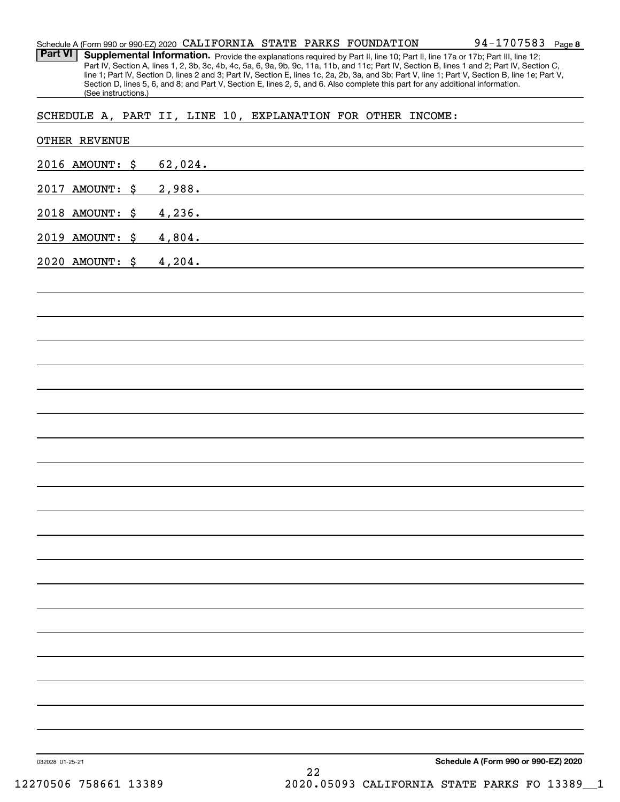| Schedule A (Form 990 or 990-EZ) 2020 CALIFORNIA STATE PARKS FOUNDATION |  |  | 94-1707583 | Page 8 |
|------------------------------------------------------------------------|--|--|------------|--------|
|                                                                        |  |  |            |        |

Part VI | Supplemental Information. Provide the explanations required by Part II, line 10; Part II, line 17a or 17b; Part III, line 12; Part IV, Section A, lines 1, 2, 3b, 3c, 4b, 4c, 5a, 6, 9a, 9b, 9c, 11a, 11b, and 11c; Part IV, Section B, lines 1 and 2; Part IV, Section C, line 1; Part IV, Section D, lines 2 and 3; Part IV, Section E, lines 1c, 2a, 2b, 3a, and 3b; Part V, line 1; Part V, Section B, line 1e; Part V, Section D, lines 5, 6, and 8; and Part V, Section E, lines 2, 5, and 6. Also complete this part for any additional information. (See instructions.)

SCHEDULE A, PART II, LINE 10, EXPLANATION FOR OTHER INCOME:

|                 | OTHER REVENUE   |         |                                                     |                                                                                                                        |                                      |
|-----------------|-----------------|---------|-----------------------------------------------------|------------------------------------------------------------------------------------------------------------------------|--------------------------------------|
|                 | 2016 AMOUNT: \$ | 62,024. | <u> 1989 - Johann Barbara, martxa alemaniar arg</u> |                                                                                                                        |                                      |
|                 | 2017 AMOUNT: \$ | 2,988.  |                                                     | <u> 1989 - Johann Stoff, deutscher Stoffen und der Stoffen und der Stoffen und der Stoffen und der Stoffen und der</u> |                                      |
|                 | 2018 AMOUNT: \$ | 4,236.  |                                                     | <u> 1989 - Johann Stein, fransk politik (d. 1989)</u>                                                                  |                                      |
|                 | 2019 AMOUNT: \$ | 4,804.  |                                                     | <u> 1989 - Johann Stein, fransk politik (d. 1989)</u>                                                                  |                                      |
|                 | 2020 AMOUNT: \$ | 4,204.  |                                                     | <u> 1989 - Johann Stoff, Amerikaansk politiker (</u>                                                                   |                                      |
|                 |                 |         |                                                     |                                                                                                                        |                                      |
|                 |                 |         |                                                     |                                                                                                                        |                                      |
|                 |                 |         |                                                     |                                                                                                                        |                                      |
|                 |                 |         |                                                     |                                                                                                                        |                                      |
|                 |                 |         |                                                     |                                                                                                                        |                                      |
|                 |                 |         |                                                     |                                                                                                                        |                                      |
|                 |                 |         |                                                     |                                                                                                                        |                                      |
|                 |                 |         |                                                     |                                                                                                                        |                                      |
|                 |                 |         |                                                     |                                                                                                                        |                                      |
|                 |                 |         |                                                     |                                                                                                                        |                                      |
|                 |                 |         |                                                     |                                                                                                                        |                                      |
|                 |                 |         |                                                     |                                                                                                                        |                                      |
|                 |                 |         |                                                     |                                                                                                                        |                                      |
|                 |                 |         |                                                     |                                                                                                                        |                                      |
|                 |                 |         |                                                     |                                                                                                                        |                                      |
|                 |                 |         |                                                     |                                                                                                                        |                                      |
|                 |                 |         |                                                     |                                                                                                                        |                                      |
|                 |                 |         |                                                     |                                                                                                                        |                                      |
|                 |                 |         |                                                     |                                                                                                                        |                                      |
|                 |                 |         |                                                     |                                                                                                                        |                                      |
| 032028 01-25-21 |                 |         | 22                                                  |                                                                                                                        | Schedule A (Form 990 or 990-EZ) 2020 |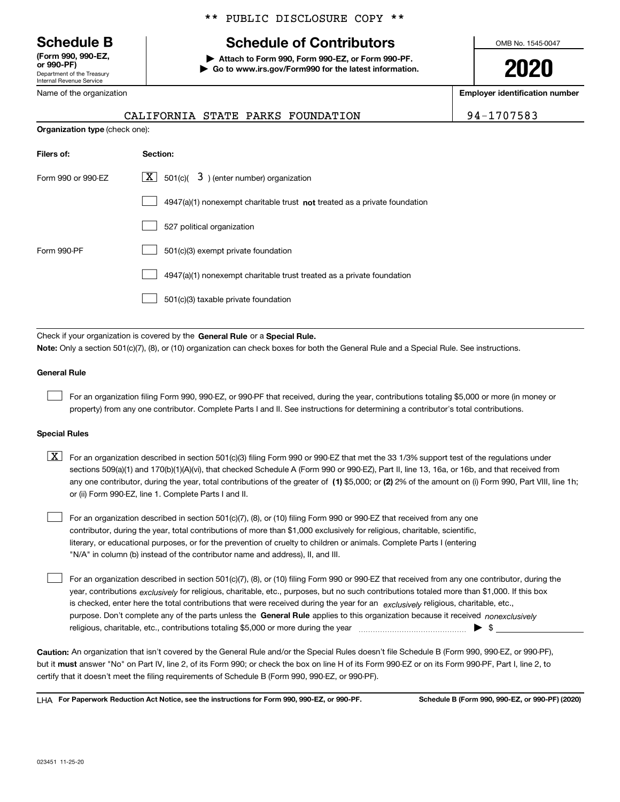Department of the Treasury Internal Revenue Service **(Form 990, 990-EZ, or 990-PF)**

Name of the organization

**Organization type** (check one):

## \*\* PUBLIC DISCLOSURE COPY \*\*

# **Schedule B Schedule of Contributors**

**| Attach to Form 990, Form 990-EZ, or Form 990-PF. | Go to www.irs.gov/Form990 for the latest information.** OMB No. 1545-0047

**2020**

**Employer identification number**

|  | CALIFORNIA STATE PARKS FOUNDATION | 94-1707583 |
|--|-----------------------------------|------------|
|  |                                   |            |

| Filers of:                                                                       | Section:                                                                    |  |  |
|----------------------------------------------------------------------------------|-----------------------------------------------------------------------------|--|--|
| $\lfloor x \rfloor$ 501(c)( 3) (enter number) organization<br>Form 990 or 990-EZ |                                                                             |  |  |
|                                                                                  | $4947(a)(1)$ nonexempt charitable trust not treated as a private foundation |  |  |
|                                                                                  | 527 political organization                                                  |  |  |
| Form 990-PF                                                                      | 501(c)(3) exempt private foundation                                         |  |  |
|                                                                                  | 4947(a)(1) nonexempt charitable trust treated as a private foundation       |  |  |
|                                                                                  | 501(c)(3) taxable private foundation                                        |  |  |

Check if your organization is covered by the **General Rule** or a **Special Rule. Note:**  Only a section 501(c)(7), (8), or (10) organization can check boxes for both the General Rule and a Special Rule. See instructions.

### **General Rule**

 $\mathcal{L}^{\text{max}}$ 

For an organization filing Form 990, 990-EZ, or 990-PF that received, during the year, contributions totaling \$5,000 or more (in money or property) from any one contributor. Complete Parts I and II. See instructions for determining a contributor's total contributions.

### **Special Rules**

any one contributor, during the year, total contributions of the greater of  $\,$  (1) \$5,000; or **(2)** 2% of the amount on (i) Form 990, Part VIII, line 1h;  $\boxed{\textbf{X}}$  For an organization described in section 501(c)(3) filing Form 990 or 990-EZ that met the 33 1/3% support test of the regulations under sections 509(a)(1) and 170(b)(1)(A)(vi), that checked Schedule A (Form 990 or 990-EZ), Part II, line 13, 16a, or 16b, and that received from or (ii) Form 990-EZ, line 1. Complete Parts I and II.

For an organization described in section 501(c)(7), (8), or (10) filing Form 990 or 990-EZ that received from any one contributor, during the year, total contributions of more than \$1,000 exclusively for religious, charitable, scientific, literary, or educational purposes, or for the prevention of cruelty to children or animals. Complete Parts I (entering "N/A" in column (b) instead of the contributor name and address), II, and III.  $\mathcal{L}^{\text{max}}$ 

purpose. Don't complete any of the parts unless the **General Rule** applies to this organization because it received *nonexclusively* year, contributions <sub>exclusively</sub> for religious, charitable, etc., purposes, but no such contributions totaled more than \$1,000. If this box is checked, enter here the total contributions that were received during the year for an  $\;$ exclusively religious, charitable, etc., For an organization described in section 501(c)(7), (8), or (10) filing Form 990 or 990-EZ that received from any one contributor, during the religious, charitable, etc., contributions totaling \$5,000 or more during the year  $\Box$ — $\Box$   $\Box$  $\mathcal{L}^{\text{max}}$ 

**Caution:**  An organization that isn't covered by the General Rule and/or the Special Rules doesn't file Schedule B (Form 990, 990-EZ, or 990-PF),  **must** but it answer "No" on Part IV, line 2, of its Form 990; or check the box on line H of its Form 990-EZ or on its Form 990-PF, Part I, line 2, to certify that it doesn't meet the filing requirements of Schedule B (Form 990, 990-EZ, or 990-PF).

**For Paperwork Reduction Act Notice, see the instructions for Form 990, 990-EZ, or 990-PF. Schedule B (Form 990, 990-EZ, or 990-PF) (2020)** LHA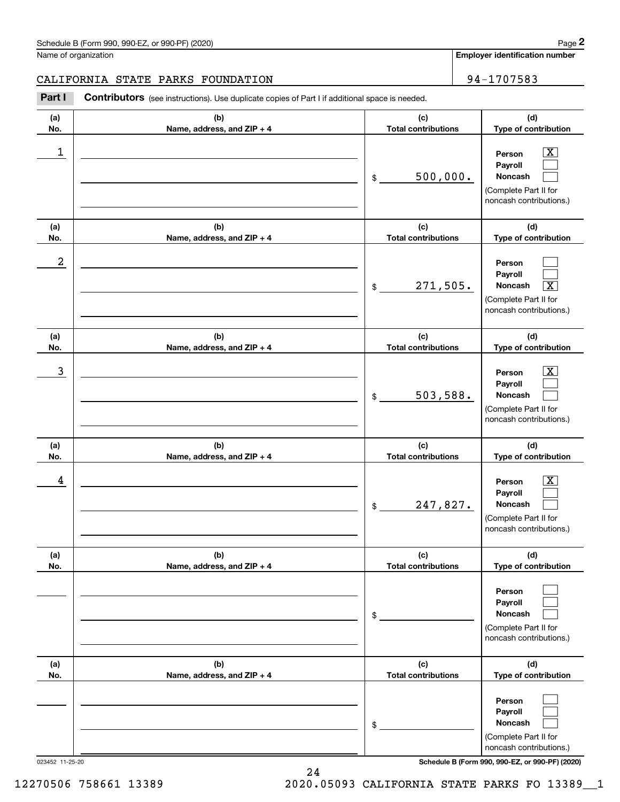**Employer identification number**

## CALIFORNIA STATE PARKS FOUNDATION | 94-1707583

Contributors (see instructions). Use duplicate copies of Part I if additional space is needed. Chedule B (Form 990, 990-EZ, or 990-PF) (2020)<br> **2Part I 2Part I Contributors** (see instructions). Use duplicate copies of Part I if additional space is needed.<br>
2Part I **Contributors** (see instructions). Use duplicate

| (a)<br>No. | (b)<br>Name, address, and ZIP + 4 | (c)<br><b>Total contributions</b> | (d)<br>Type of contribution                                                                                        |
|------------|-----------------------------------|-----------------------------------|--------------------------------------------------------------------------------------------------------------------|
| 1          |                                   | 500,000.<br>\$                    | $\overline{\texttt{X}}$<br>Person<br>Payroll<br>Noncash<br>(Complete Part II for<br>noncash contributions.)        |
| (a)<br>No. | (b)<br>Name, address, and ZIP + 4 | (c)<br><b>Total contributions</b> | (d)<br>Type of contribution                                                                                        |
| 2          |                                   | 271,505.<br>$$\circ$$             | Person<br>Payroll<br>Noncash<br>$\overline{\text{X}}$<br>(Complete Part II for<br>noncash contributions.)          |
| (a)<br>No. | (b)<br>Name, address, and ZIP + 4 | (c)<br><b>Total contributions</b> | (d)<br>Type of contribution                                                                                        |
| 3          |                                   | 503,588.<br>$$\circ$$             | $\overline{\texttt{X}}$<br>Person<br>Payroll<br>Noncash<br>(Complete Part II for<br>noncash contributions.)        |
| (a)<br>No. | (b)<br>Name, address, and ZIP + 4 | (c)<br><b>Total contributions</b> | (d)<br>Type of contribution                                                                                        |
| 4          |                                   | 247,827.<br>$$\circ$$             | $\overline{\texttt{X}}$<br>Person<br>Payroll<br><b>Noncash</b><br>(Complete Part II for<br>noncash contributions.) |
| (a)<br>No. | (b)<br>Name, address, and ZIP + 4 | (c)<br><b>Total contributions</b> | (d)<br>Type of contribution                                                                                        |
|            |                                   | \$                                | Person<br>Payroll<br>Noncash<br>(Complete Part II for<br>noncash contributions.)                                   |
| (a)<br>No. | (b)<br>Name, address, and ZIP + 4 | (c)<br><b>Total contributions</b> | (d)<br>Type of contribution                                                                                        |
|            |                                   | \$                                | Person<br>Payroll<br>Noncash<br>(Complete Part II for<br>noncash contributions.)                                   |

023452 11-25-20 **Schedule B (Form 990, 990-EZ, or 990-PF) (2020)**

12270506 758661 13389 2020.05093 CALIFORNIA STATE PARKS FO 13389\_\_1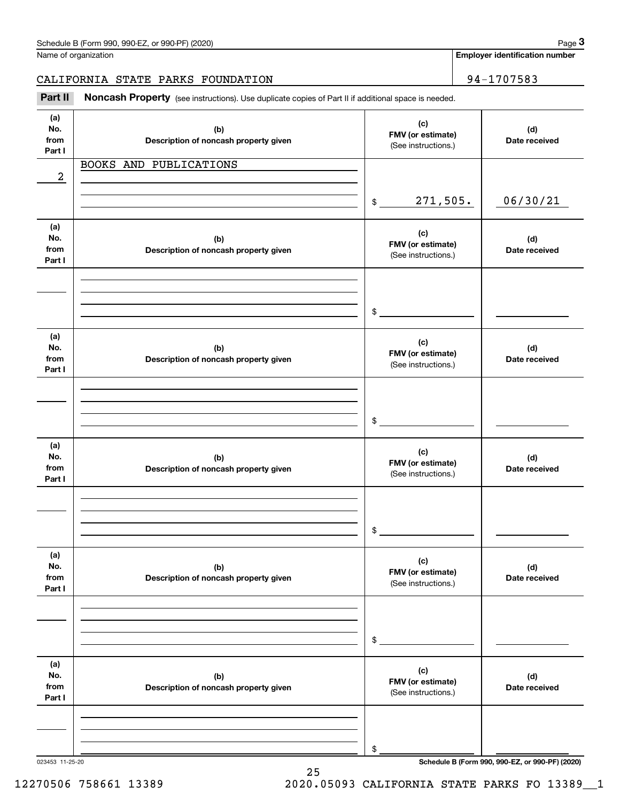Name of organization

**Employer identification number**

Chedule B (Form 990, 990-EZ, or 990-PF) (2020)<br>Iame of organization<br>**3PALIFORNIA STATE PARKS FOUNDATION**<br>**Part II** Noncash Property (see instructions). Use duplicate copies of Part II if additional space is needed. CALIFORNIA STATE PARKS FOUNDATION | 94-1707583

| Part II                      | Noncash Property (see instructions). Use duplicate copies of Part II if additional space is needed. |                                                 |                      |
|------------------------------|-----------------------------------------------------------------------------------------------------|-------------------------------------------------|----------------------|
| (a)<br>No.<br>from<br>Part I | (b)<br>Description of noncash property given                                                        | (c)<br>FMV (or estimate)<br>(See instructions.) | (d)<br>Date received |
|                              | BOOKS AND PUBLICATIONS                                                                              |                                                 |                      |
| $\boldsymbol{2}$             |                                                                                                     |                                                 |                      |
|                              |                                                                                                     | 271,505.<br>\$                                  | 06/30/21             |
| (a)<br>No.<br>from<br>Part I | (b)<br>Description of noncash property given                                                        | (c)<br>FMV (or estimate)<br>(See instructions.) | (d)<br>Date received |
|                              |                                                                                                     | \$                                              |                      |
| (a)<br>No.<br>from<br>Part I | (b)<br>Description of noncash property given                                                        | (c)<br>FMV (or estimate)<br>(See instructions.) | (d)<br>Date received |
|                              |                                                                                                     | \$                                              |                      |
| (a)<br>No.<br>from<br>Part I | (b)<br>Description of noncash property given                                                        | (c)<br>FMV (or estimate)<br>(See instructions.) | (d)<br>Date received |
|                              |                                                                                                     | \$                                              |                      |
| (a)<br>No.<br>from<br>Part I | (b)<br>Description of noncash property given                                                        | (c)<br>FMV (or estimate)<br>(See instructions.) | (d)<br>Date received |
|                              |                                                                                                     | \$                                              |                      |
| (a)<br>No.<br>from<br>Part I | (b)<br>Description of noncash property given                                                        | (c)<br>FMV (or estimate)<br>(See instructions.) | (d)<br>Date received |
|                              |                                                                                                     | \$                                              |                      |

25

023453 11-25-20 **Schedule B (Form 990, 990-EZ, or 990-PF) (2020)**

12270506 758661 13389 2020.05093 CALIFORNIA STATE PARKS FO 13389\_\_1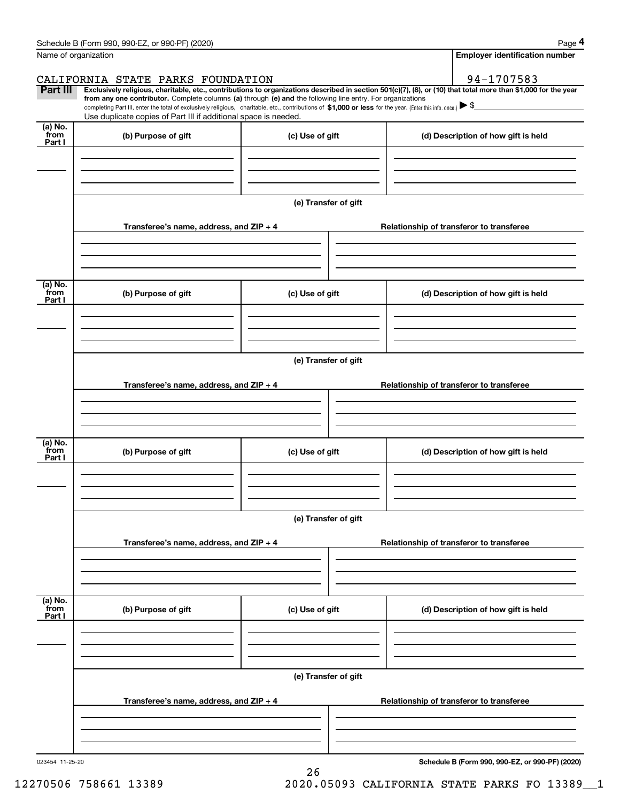|                           | Schedule B (Form 990, 990-EZ, or 990-PF) (2020)                                                                                                                                                                                                                                                                                                                    |                      | Page 4                                                                                                                                                         |  |  |  |  |  |
|---------------------------|--------------------------------------------------------------------------------------------------------------------------------------------------------------------------------------------------------------------------------------------------------------------------------------------------------------------------------------------------------------------|----------------------|----------------------------------------------------------------------------------------------------------------------------------------------------------------|--|--|--|--|--|
| Name of organization      |                                                                                                                                                                                                                                                                                                                                                                    |                      | <b>Employer identification number</b>                                                                                                                          |  |  |  |  |  |
|                           | CALIFORNIA STATE PARKS FOUNDATION                                                                                                                                                                                                                                                                                                                                  |                      | 94-1707583                                                                                                                                                     |  |  |  |  |  |
| Part III                  | from any one contributor. Complete columns (a) through (e) and the following line entry. For organizations<br>completing Part III, enter the total of exclusively religious, charitable, etc., contributions of \$1,000 or less for the year. (Enter this info. once.) $\blacktriangleright$ \$<br>Use duplicate copies of Part III if additional space is needed. |                      | Exclusively religious, charitable, etc., contributions to organizations described in section 501(c)(7), (8), or (10) that total more than \$1,000 for the year |  |  |  |  |  |
| (a) No.<br>from<br>Part I | (b) Purpose of gift                                                                                                                                                                                                                                                                                                                                                | (c) Use of gift      | (d) Description of how gift is held                                                                                                                            |  |  |  |  |  |
|                           |                                                                                                                                                                                                                                                                                                                                                                    |                      |                                                                                                                                                                |  |  |  |  |  |
|                           |                                                                                                                                                                                                                                                                                                                                                                    | (e) Transfer of gift |                                                                                                                                                                |  |  |  |  |  |
|                           | Transferee's name, address, and ZIP + 4                                                                                                                                                                                                                                                                                                                            |                      | Relationship of transferor to transferee                                                                                                                       |  |  |  |  |  |
|                           |                                                                                                                                                                                                                                                                                                                                                                    |                      |                                                                                                                                                                |  |  |  |  |  |
| (a) No.<br>from<br>Part I | (b) Purpose of gift                                                                                                                                                                                                                                                                                                                                                | (c) Use of gift      | (d) Description of how gift is held                                                                                                                            |  |  |  |  |  |
|                           |                                                                                                                                                                                                                                                                                                                                                                    |                      |                                                                                                                                                                |  |  |  |  |  |
|                           | (e) Transfer of gift                                                                                                                                                                                                                                                                                                                                               |                      |                                                                                                                                                                |  |  |  |  |  |
|                           | Transferee's name, address, and ZIP + 4<br>Relationship of transferor to transferee                                                                                                                                                                                                                                                                                |                      |                                                                                                                                                                |  |  |  |  |  |
|                           |                                                                                                                                                                                                                                                                                                                                                                    |                      |                                                                                                                                                                |  |  |  |  |  |
| (a) No.                   |                                                                                                                                                                                                                                                                                                                                                                    |                      |                                                                                                                                                                |  |  |  |  |  |
| from<br>Part I            | (b) Purpose of gift                                                                                                                                                                                                                                                                                                                                                | (c) Use of gift      | (d) Description of how gift is held                                                                                                                            |  |  |  |  |  |
|                           |                                                                                                                                                                                                                                                                                                                                                                    |                      |                                                                                                                                                                |  |  |  |  |  |
|                           | (e) Transfer of gift                                                                                                                                                                                                                                                                                                                                               |                      |                                                                                                                                                                |  |  |  |  |  |
|                           | Transferee's name, address, and ZIP + 4                                                                                                                                                                                                                                                                                                                            |                      | Relationship of transferor to transferee                                                                                                                       |  |  |  |  |  |
|                           |                                                                                                                                                                                                                                                                                                                                                                    |                      |                                                                                                                                                                |  |  |  |  |  |
| (a) No.<br>from<br>Part I | (b) Purpose of gift<br>(c) Use of gift                                                                                                                                                                                                                                                                                                                             |                      | (d) Description of how gift is held                                                                                                                            |  |  |  |  |  |
|                           |                                                                                                                                                                                                                                                                                                                                                                    |                      |                                                                                                                                                                |  |  |  |  |  |
|                           |                                                                                                                                                                                                                                                                                                                                                                    | (e) Transfer of gift |                                                                                                                                                                |  |  |  |  |  |
|                           | Transferee's name, address, and ZIP + 4                                                                                                                                                                                                                                                                                                                            |                      | Relationship of transferor to transferee                                                                                                                       |  |  |  |  |  |
|                           |                                                                                                                                                                                                                                                                                                                                                                    |                      |                                                                                                                                                                |  |  |  |  |  |

26

023454 11-25-20

**Schedule B (Form 990, 990-EZ, or 990-PF) (2020)**

12270506 758661 13389 2020.05093 CALIFORNIA STATE PARKS FO 13389\_\_1

Schedule B (Form 990, 990-EZ, or 990-PF) (2020) Page 4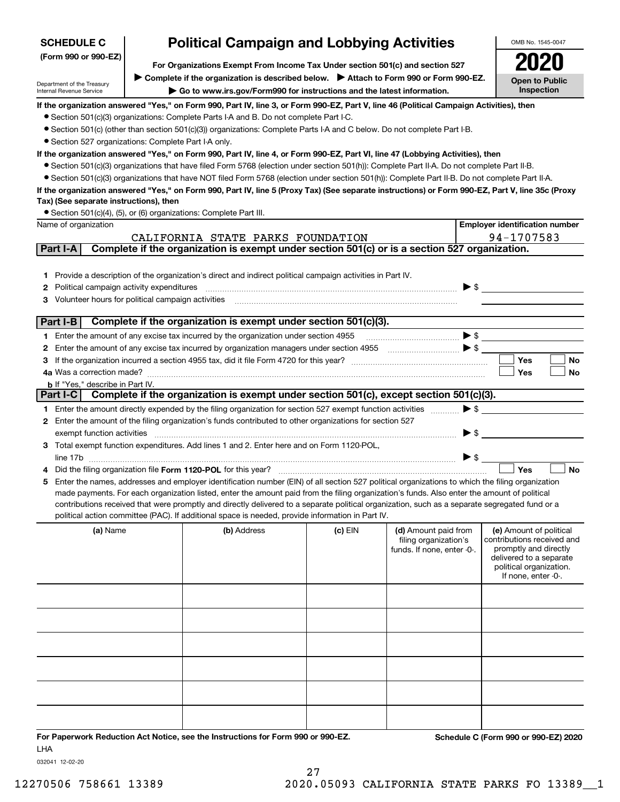| <b>SCHEDULE C</b>                                                                                                                | <b>Political Campaign and Lobbying Activities</b><br>For Organizations Exempt From Income Tax Under section 501(c) and section 527 |                                                                                                                                                   |                 |                                                     |                          | OMB No. 1545-0047                                   |  |  |
|----------------------------------------------------------------------------------------------------------------------------------|------------------------------------------------------------------------------------------------------------------------------------|---------------------------------------------------------------------------------------------------------------------------------------------------|-----------------|-----------------------------------------------------|--------------------------|-----------------------------------------------------|--|--|
| (Form 990 or 990-EZ)                                                                                                             |                                                                                                                                    |                                                                                                                                                   |                 |                                                     |                          |                                                     |  |  |
|                                                                                                                                  |                                                                                                                                    | ▶ Complete if the organization is described below. ▶ Attach to Form 990 or Form 990-EZ.                                                           |                 |                                                     |                          | <b>Open to Public</b>                               |  |  |
| Department of the Treasury<br>Go to www.irs.gov/Form990 for instructions and the latest information.<br>Internal Revenue Service |                                                                                                                                    |                                                                                                                                                   |                 |                                                     |                          | Inspection                                          |  |  |
|                                                                                                                                  |                                                                                                                                    | If the organization answered "Yes," on Form 990, Part IV, line 3, or Form 990-EZ, Part V, line 46 (Political Campaign Activities), then           |                 |                                                     |                          |                                                     |  |  |
|                                                                                                                                  |                                                                                                                                    | • Section 501(c)(3) organizations: Complete Parts I-A and B. Do not complete Part I-C.                                                            |                 |                                                     |                          |                                                     |  |  |
|                                                                                                                                  |                                                                                                                                    | ● Section 501(c) (other than section 501(c)(3)) organizations: Complete Parts I-A and C below. Do not complete Part I-B.                          |                 |                                                     |                          |                                                     |  |  |
| • Section 527 organizations: Complete Part I-A only.                                                                             |                                                                                                                                    |                                                                                                                                                   |                 |                                                     |                          |                                                     |  |  |
|                                                                                                                                  |                                                                                                                                    | If the organization answered "Yes," on Form 990, Part IV, line 4, or Form 990-EZ, Part VI, line 47 (Lobbying Activities), then                    |                 |                                                     |                          |                                                     |  |  |
|                                                                                                                                  |                                                                                                                                    | • Section 501(c)(3) organizations that have filed Form 5768 (election under section 501(h)): Complete Part II-A. Do not complete Part II-B.       |                 |                                                     |                          |                                                     |  |  |
|                                                                                                                                  |                                                                                                                                    | • Section 501(c)(3) organizations that have NOT filed Form 5768 (election under section 501(h)): Complete Part II-B. Do not complete Part II-A.   |                 |                                                     |                          |                                                     |  |  |
| Tax) (See separate instructions), then                                                                                           |                                                                                                                                    | If the organization answered "Yes," on Form 990, Part IV, line 5 (Proxy Tax) (See separate instructions) or Form 990-EZ, Part V, line 35c (Proxy  |                 |                                                     |                          |                                                     |  |  |
|                                                                                                                                  |                                                                                                                                    | • Section 501(c)(4), (5), or (6) organizations: Complete Part III.                                                                                |                 |                                                     |                          |                                                     |  |  |
| Name of organization                                                                                                             |                                                                                                                                    |                                                                                                                                                   |                 |                                                     |                          | <b>Employer identification number</b>               |  |  |
|                                                                                                                                  |                                                                                                                                    | CALIFORNIA STATE PARKS FOUNDATION                                                                                                                 |                 |                                                     |                          | 94-1707583                                          |  |  |
| Part I-A                                                                                                                         |                                                                                                                                    | Complete if the organization is exempt under section 501(c) or is a section 527 organization.                                                     |                 |                                                     |                          |                                                     |  |  |
|                                                                                                                                  |                                                                                                                                    |                                                                                                                                                   |                 |                                                     |                          |                                                     |  |  |
|                                                                                                                                  |                                                                                                                                    | 1 Provide a description of the organization's direct and indirect political campaign activities in Part IV.                                       |                 |                                                     |                          |                                                     |  |  |
| Political campaign activity expenditures<br>2                                                                                    |                                                                                                                                    |                                                                                                                                                   |                 |                                                     |                          | $\blacktriangleright$ \$                            |  |  |
| 3 Volunteer hours for political campaign activities                                                                              |                                                                                                                                    |                                                                                                                                                   |                 |                                                     |                          |                                                     |  |  |
|                                                                                                                                  |                                                                                                                                    |                                                                                                                                                   |                 |                                                     |                          |                                                     |  |  |
| Part I-B                                                                                                                         |                                                                                                                                    | Complete if the organization is exempt under section 501(c)(3).                                                                                   |                 |                                                     |                          |                                                     |  |  |
|                                                                                                                                  |                                                                                                                                    | 1 Enter the amount of any excise tax incurred by the organization under section 4955                                                              |                 |                                                     |                          | $\bullet \mathsf{s} \_\_$                           |  |  |
|                                                                                                                                  |                                                                                                                                    | 2 Enter the amount of any excise tax incurred by organization managers under section 4955                                                         |                 |                                                     |                          |                                                     |  |  |
|                                                                                                                                  |                                                                                                                                    |                                                                                                                                                   |                 |                                                     |                          | <b>Yes</b><br>No                                    |  |  |
| 4a Was a correction made?                                                                                                        |                                                                                                                                    |                                                                                                                                                   |                 |                                                     |                          | Yes<br>No                                           |  |  |
| <b>b</b> If "Yes," describe in Part IV.                                                                                          |                                                                                                                                    | Part I-C Complete if the organization is exempt under section 501(c), except section 501(c)(3).                                                   |                 |                                                     |                          |                                                     |  |  |
|                                                                                                                                  |                                                                                                                                    | 1 Enter the amount directly expended by the filing organization for section 527 exempt function activities                                        |                 |                                                     | $\blacktriangleright$ \$ |                                                     |  |  |
|                                                                                                                                  |                                                                                                                                    | 2 Enter the amount of the filing organization's funds contributed to other organizations for section 527                                          |                 |                                                     |                          |                                                     |  |  |
| exempt function activities                                                                                                       |                                                                                                                                    |                                                                                                                                                   |                 |                                                     | $\blacktriangleright$ \$ |                                                     |  |  |
|                                                                                                                                  |                                                                                                                                    | 3 Total exempt function expenditures. Add lines 1 and 2. Enter here and on Form 1120-POL,                                                         |                 |                                                     |                          |                                                     |  |  |
|                                                                                                                                  |                                                                                                                                    |                                                                                                                                                   |                 |                                                     | $\triangleright$ \$      |                                                     |  |  |
|                                                                                                                                  |                                                                                                                                    | Did the filing organization file Form 1120-POL for this year?                                                                                     |                 |                                                     |                          | Yes<br><b>No</b>                                    |  |  |
|                                                                                                                                  |                                                                                                                                    | 5 Enter the names, addresses and employer identification number (EIN) of all section 527 political organizations to which the filing organization |                 |                                                     |                          |                                                     |  |  |
|                                                                                                                                  |                                                                                                                                    | made payments. For each organization listed, enter the amount paid from the filing organization's funds. Also enter the amount of political       |                 |                                                     |                          |                                                     |  |  |
|                                                                                                                                  |                                                                                                                                    | contributions received that were promptly and directly delivered to a separate political organization, such as a separate segregated fund or a    |                 |                                                     |                          |                                                     |  |  |
|                                                                                                                                  |                                                                                                                                    | political action committee (PAC). If additional space is needed, provide information in Part IV.                                                  |                 |                                                     |                          |                                                     |  |  |
| (a) Name                                                                                                                         |                                                                                                                                    | (b) Address                                                                                                                                       | (c) EIN         | (d) Amount paid from                                |                          | (e) Amount of political                             |  |  |
|                                                                                                                                  |                                                                                                                                    |                                                                                                                                                   |                 | filing organization's<br>funds. If none, enter -0-. |                          | contributions received and<br>promptly and directly |  |  |
|                                                                                                                                  |                                                                                                                                    |                                                                                                                                                   |                 |                                                     |                          | delivered to a separate                             |  |  |
|                                                                                                                                  |                                                                                                                                    |                                                                                                                                                   |                 |                                                     |                          | political organization.<br>If none, enter -0-.      |  |  |
|                                                                                                                                  |                                                                                                                                    |                                                                                                                                                   |                 |                                                     |                          |                                                     |  |  |
|                                                                                                                                  |                                                                                                                                    |                                                                                                                                                   |                 |                                                     |                          |                                                     |  |  |
|                                                                                                                                  |                                                                                                                                    |                                                                                                                                                   |                 |                                                     |                          |                                                     |  |  |
|                                                                                                                                  |                                                                                                                                    |                                                                                                                                                   |                 |                                                     |                          |                                                     |  |  |
|                                                                                                                                  |                                                                                                                                    |                                                                                                                                                   |                 |                                                     |                          |                                                     |  |  |
|                                                                                                                                  |                                                                                                                                    |                                                                                                                                                   |                 |                                                     |                          |                                                     |  |  |
|                                                                                                                                  |                                                                                                                                    |                                                                                                                                                   |                 |                                                     |                          |                                                     |  |  |
|                                                                                                                                  |                                                                                                                                    |                                                                                                                                                   |                 |                                                     |                          |                                                     |  |  |
|                                                                                                                                  |                                                                                                                                    |                                                                                                                                                   |                 |                                                     |                          |                                                     |  |  |
|                                                                                                                                  |                                                                                                                                    |                                                                                                                                                   |                 |                                                     |                          |                                                     |  |  |
|                                                                                                                                  |                                                                                                                                    |                                                                                                                                                   |                 |                                                     |                          |                                                     |  |  |
|                                                                                                                                  |                                                                                                                                    |                                                                                                                                                   | $0.00 - 0.00E7$ |                                                     |                          | $0.15$ $\ldots$ 000 $\ldots$ 000 $570$ 0000         |  |  |

**For Paperwork Reduction Act Notice, see the Instructions for Form 990 or 990-EZ. Schedule C (Form 990 or 990-EZ) 2020** LHA

032041 12-02-20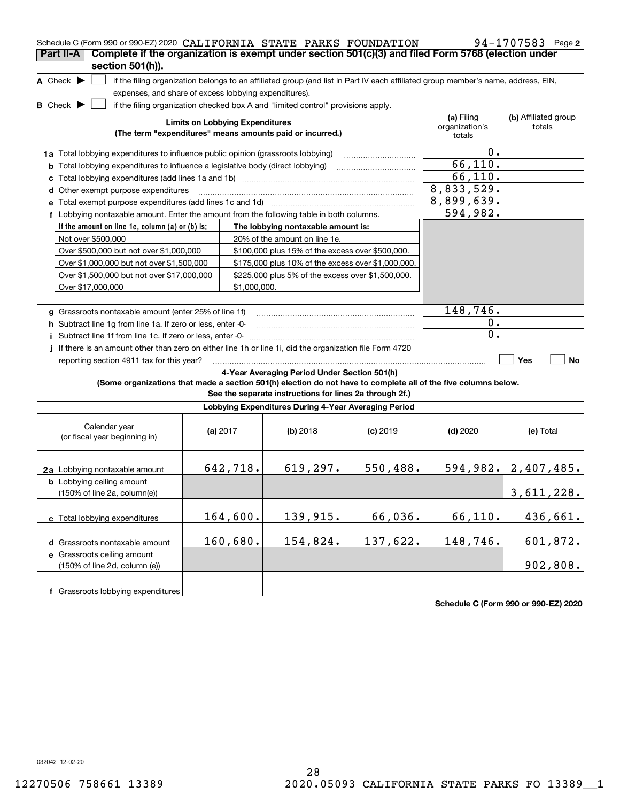|                                                                                                                                     | Schedule C (Form 990 or 990-EZ) 2020 CALIFORNIA STATE PARKS FOUNDATION<br>$94 - 1707583$ Page 2                                                                                                                                                                     |              |                                                         |            |                                                                                                                                   |                          |  |  |
|-------------------------------------------------------------------------------------------------------------------------------------|---------------------------------------------------------------------------------------------------------------------------------------------------------------------------------------------------------------------------------------------------------------------|--------------|---------------------------------------------------------|------------|-----------------------------------------------------------------------------------------------------------------------------------|--------------------------|--|--|
| Complete if the organization is exempt under section 501(c)(3) and filed Form 5768 (election under<br>Part II-A<br>section 501(h)). |                                                                                                                                                                                                                                                                     |              |                                                         |            |                                                                                                                                   |                          |  |  |
| A Check $\blacktriangleright$                                                                                                       |                                                                                                                                                                                                                                                                     |              |                                                         |            | if the filing organization belongs to an affiliated group (and list in Part IV each affiliated group member's name, address, EIN, |                          |  |  |
| expenses, and share of excess lobbying expenditures).                                                                               |                                                                                                                                                                                                                                                                     |              |                                                         |            |                                                                                                                                   |                          |  |  |
| <b>B</b> Check $\blacktriangleright$                                                                                                |                                                                                                                                                                                                                                                                     |              |                                                         |            |                                                                                                                                   |                          |  |  |
|                                                                                                                                     | if the filing organization checked box A and "limited control" provisions apply.<br>(a) Filing<br>(b) Affiliated group<br><b>Limits on Lobbying Expenditures</b><br>organization's<br>totals<br>(The term "expenditures" means amounts paid or incurred.)<br>totals |              |                                                         |            |                                                                                                                                   |                          |  |  |
| 1a Total lobbying expenditures to influence public opinion (grassroots lobbying)                                                    |                                                                                                                                                                                                                                                                     |              |                                                         |            | 0.                                                                                                                                |                          |  |  |
| <b>b</b> Total lobbying expenditures to influence a legislative body (direct lobbying)                                              |                                                                                                                                                                                                                                                                     |              |                                                         |            | 66, 110.                                                                                                                          |                          |  |  |
| c                                                                                                                                   |                                                                                                                                                                                                                                                                     |              |                                                         |            | 66, 110.                                                                                                                          |                          |  |  |
| d Other exempt purpose expenditures                                                                                                 |                                                                                                                                                                                                                                                                     |              |                                                         |            | 8,833,529.                                                                                                                        |                          |  |  |
|                                                                                                                                     |                                                                                                                                                                                                                                                                     |              |                                                         |            | 8,899,639.                                                                                                                        |                          |  |  |
| f Lobbying nontaxable amount. Enter the amount from the following table in both columns.                                            |                                                                                                                                                                                                                                                                     |              |                                                         |            | 594,982.                                                                                                                          |                          |  |  |
| If the amount on line 1e, column (a) or (b) is:                                                                                     |                                                                                                                                                                                                                                                                     |              | The lobbying nontaxable amount is:                      |            |                                                                                                                                   |                          |  |  |
| Not over \$500,000                                                                                                                  |                                                                                                                                                                                                                                                                     |              | 20% of the amount on line 1e.                           |            |                                                                                                                                   |                          |  |  |
| Over \$500,000 but not over \$1,000,000                                                                                             |                                                                                                                                                                                                                                                                     |              | \$100,000 plus 15% of the excess over \$500,000.        |            |                                                                                                                                   |                          |  |  |
| Over \$1,000,000 but not over \$1,500,000                                                                                           |                                                                                                                                                                                                                                                                     |              | \$175,000 plus 10% of the excess over \$1,000,000.      |            |                                                                                                                                   |                          |  |  |
| Over \$1,500,000 but not over \$17,000,000                                                                                          |                                                                                                                                                                                                                                                                     |              | \$225,000 plus 5% of the excess over \$1,500,000.       |            |                                                                                                                                   |                          |  |  |
| Over \$17,000,000                                                                                                                   |                                                                                                                                                                                                                                                                     | \$1,000,000. |                                                         |            |                                                                                                                                   |                          |  |  |
|                                                                                                                                     |                                                                                                                                                                                                                                                                     |              |                                                         |            |                                                                                                                                   |                          |  |  |
| g Grassroots nontaxable amount (enter 25% of line 1f)                                                                               |                                                                                                                                                                                                                                                                     |              |                                                         |            | 148,746.                                                                                                                          |                          |  |  |
| h Subtract line 1g from line 1a. If zero or less, enter -0-                                                                         |                                                                                                                                                                                                                                                                     |              |                                                         |            | $0$ .                                                                                                                             |                          |  |  |
| Subtract line 1f from line 1c. If zero or less, enter -0-                                                                           |                                                                                                                                                                                                                                                                     |              |                                                         |            | 0.                                                                                                                                |                          |  |  |
| If there is an amount other than zero on either line 1h or line 1i, did the organization file Form 4720                             |                                                                                                                                                                                                                                                                     |              |                                                         |            |                                                                                                                                   |                          |  |  |
| reporting section 4911 tax for this year?                                                                                           |                                                                                                                                                                                                                                                                     |              |                                                         |            |                                                                                                                                   | Yes<br>No                |  |  |
|                                                                                                                                     |                                                                                                                                                                                                                                                                     |              | 4-Year Averaging Period Under Section 501(h)            |            |                                                                                                                                   |                          |  |  |
| (Some organizations that made a section 501(h) election do not have to complete all of the five columns below.                      |                                                                                                                                                                                                                                                                     |              | See the separate instructions for lines 2a through 2f.) |            |                                                                                                                                   |                          |  |  |
|                                                                                                                                     |                                                                                                                                                                                                                                                                     |              | Lobbying Expenditures During 4-Year Averaging Period    |            |                                                                                                                                   |                          |  |  |
| Calendar year<br>(or fiscal year beginning in)                                                                                      |                                                                                                                                                                                                                                                                     | (a) $2017$   | (b) 2018                                                | $(c)$ 2019 | $(d)$ 2020                                                                                                                        | (e) Total                |  |  |
| 2a Lobbying nontaxable amount                                                                                                       |                                                                                                                                                                                                                                                                     | 642,718.     | 619, 297.                                               | 550,488.   |                                                                                                                                   | 594, 982.   2, 407, 485. |  |  |
| <b>b</b> Lobbying ceiling amount<br>(150% of line 2a, column(e))                                                                    |                                                                                                                                                                                                                                                                     |              |                                                         |            |                                                                                                                                   | 3,611,228.               |  |  |
| c Total lobbying expenditures                                                                                                       |                                                                                                                                                                                                                                                                     | 164,600.     | 139,915.                                                | 66,036.    | 66,110.                                                                                                                           | 436,661.                 |  |  |
| d Grassroots nontaxable amount                                                                                                      |                                                                                                                                                                                                                                                                     | 160,680.     | 154,824.                                                | 137,622.   | 148,746.                                                                                                                          | 601,872.                 |  |  |
| e Grassroots ceiling amount                                                                                                         |                                                                                                                                                                                                                                                                     |              |                                                         |            |                                                                                                                                   |                          |  |  |
| (150% of line 2d, column (e))                                                                                                       |                                                                                                                                                                                                                                                                     |              |                                                         |            |                                                                                                                                   | 902,808.                 |  |  |
| f Grassroots lobbying expenditures                                                                                                  |                                                                                                                                                                                                                                                                     |              |                                                         |            |                                                                                                                                   |                          |  |  |

**Schedule C (Form 990 or 990-EZ) 2020**

032042 12-02-20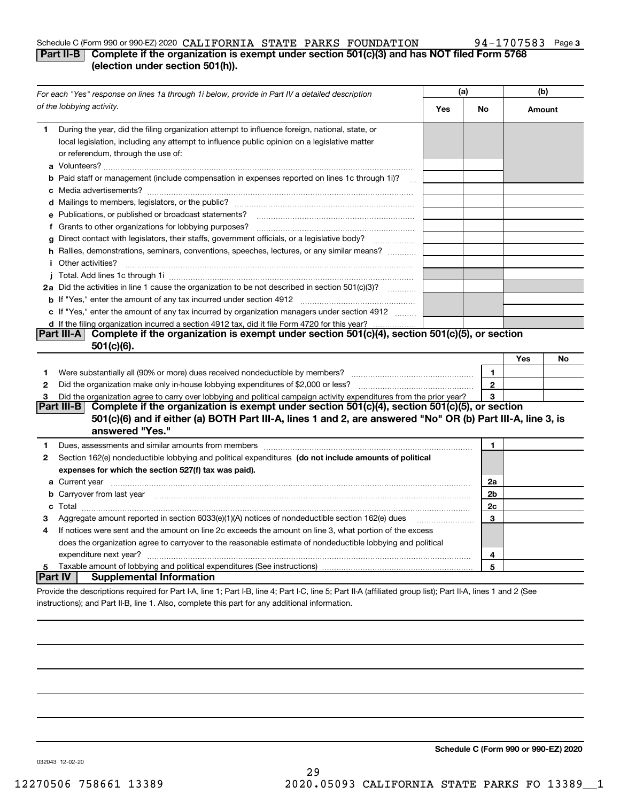## Schedule C (Form 990 or 990-EZ) 2020 Page CALIFORNIA STATE PARKS FOUNDATION 94-1707583

## **3**

## **Part II-B** Complete if the organization is exempt under section 501(c)(3) and has NOT filed Form 5768 **(election under section 501(h)).**

|                | For each "Yes" response on lines 1a through 1i below, provide in Part IV a detailed description                                                                                                                                               | (a) |              | (b)    |    |
|----------------|-----------------------------------------------------------------------------------------------------------------------------------------------------------------------------------------------------------------------------------------------|-----|--------------|--------|----|
|                | of the lobbying activity.                                                                                                                                                                                                                     | Yes | No           | Amount |    |
| 1.             | During the year, did the filing organization attempt to influence foreign, national, state, or<br>local legislation, including any attempt to influence public opinion on a legislative matter<br>or referendum, through the use of:          |     |              |        |    |
|                | <b>b</b> Paid staff or management (include compensation in expenses reported on lines 1c through 1i)?<br>$\sim$                                                                                                                               |     |              |        |    |
|                |                                                                                                                                                                                                                                               |     |              |        |    |
|                | e Publications, or published or broadcast statements?                                                                                                                                                                                         |     |              |        |    |
|                |                                                                                                                                                                                                                                               |     |              |        |    |
|                | g Direct contact with legislators, their staffs, government officials, or a legislative body?                                                                                                                                                 |     |              |        |    |
|                | h Rallies, demonstrations, seminars, conventions, speeches, lectures, or any similar means?                                                                                                                                                   |     |              |        |    |
|                | <i>i</i> Other activities?                                                                                                                                                                                                                    |     |              |        |    |
|                |                                                                                                                                                                                                                                               |     |              |        |    |
|                | 2a Did the activities in line 1 cause the organization to be not described in section 501(c)(3)?                                                                                                                                              |     |              |        |    |
|                |                                                                                                                                                                                                                                               |     |              |        |    |
|                | c If "Yes," enter the amount of any tax incurred by organization managers under section 4912                                                                                                                                                  |     |              |        |    |
|                | d If the filing organization incurred a section 4912 tax, did it file Form 4720 for this year?                                                                                                                                                |     |              |        |    |
|                | Complete if the organization is exempt under section 501(c)(4), section 501(c)(5), or section<br> Part III-A                                                                                                                                  |     |              |        |    |
|                | 501(c)(6).                                                                                                                                                                                                                                    |     |              |        |    |
|                |                                                                                                                                                                                                                                               |     |              | Yes    | No |
| 1.             |                                                                                                                                                                                                                                               |     | $\mathbf{1}$ |        |    |
| 2              |                                                                                                                                                                                                                                               |     | $\mathbf{2}$ |        |    |
| 3              | Did the organization agree to carry over lobbying and political campaign activity expenditures from the prior year?                                                                                                                           |     | 3            |        |    |
|                | Complete if the organization is exempt under section 501(c)(4), section 501(c)(5), or section<br>Part III-B<br>501(c)(6) and if either (a) BOTH Part III-A, lines 1 and 2, are answered "No" OR (b) Part III-A, line 3, is<br>answered "Yes." |     |              |        |    |
| 1              |                                                                                                                                                                                                                                               |     | $\mathbf{1}$ |        |    |
| 2              | Section 162(e) nondeductible lobbying and political expenditures (do not include amounts of political                                                                                                                                         |     |              |        |    |
|                | expenses for which the section 527(f) tax was paid).                                                                                                                                                                                          |     |              |        |    |
|                | <b>a</b> Current year <u>maail is a communicate of the contract of the contract of the contract of the contract of the contract of the contract of the contract of the contract of the contract of the contract of the contract of th</u>     |     | 2a           |        |    |
|                | <b>b</b> Carryover from last year manufactured contains and contained a state of the carryover from last year manufactured and contained a state of the contained and contained a state of the contained and contained a state of t           |     | 2b           |        |    |
|                |                                                                                                                                                                                                                                               |     | 2c           |        |    |
| з              | Aggregate amount reported in section 6033(e)(1)(A) notices of nondeductible section 162(e) dues                                                                                                                                               |     | 3            |        |    |
| 4              | If notices were sent and the amount on line 2c exceeds the amount on line 3, what portion of the excess                                                                                                                                       |     |              |        |    |
|                | does the organization agree to carryover to the reasonable estimate of nondeductible lobbying and political                                                                                                                                   |     |              |        |    |
|                | expenditure next year?                                                                                                                                                                                                                        |     | 4            |        |    |
| 5              |                                                                                                                                                                                                                                               |     | 5            |        |    |
| <b>Part IV</b> | <b>Supplemental Information</b>                                                                                                                                                                                                               |     |              |        |    |
|                | Provide the descriptions required for Part I-A, line 1; Part I-B, line 4; Part I-C, line 5; Part II-A (affiliated group list); Part II-A, lines 1 and 2 (See                                                                                  |     |              |        |    |

instructions); and Part II-B, line 1. Also, complete this part for any additional information.

**Schedule C (Form 990 or 990-EZ) 2020**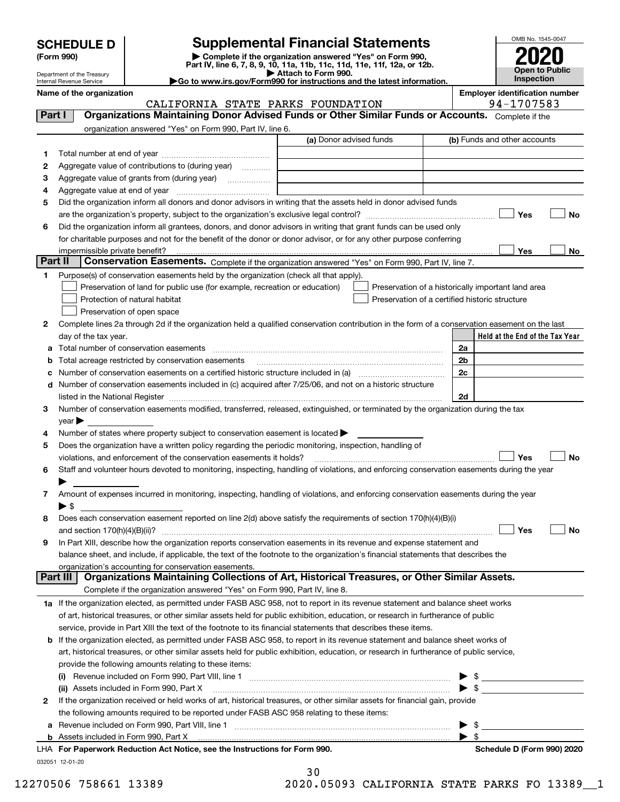| <b>SCHEDULE D</b> |  |
|-------------------|--|
|-------------------|--|

| (Form 990) |  |
|------------|--|
|------------|--|

## **SCHEDULE D Supplemental Financial Statements**

(Form 990)<br>
Pepartment of the Treasury<br>
Department of the Treasury<br>
Department of the Treasury<br>
Department of the Treasury<br> **Co to www.irs.gov/Form990 for instructions and the latest information.**<br> **Co to www.irs.gov/Form9** 



Department of the Treasury Internal Revenue Service

| Name of the organization |               |  |
|--------------------------|---------------|--|
|                          | CALIFORNIA ST |  |

PARKS FOUNDATION TATE PARKS FOUNDATION

**Name of the organization Employer identification number**

| Part I  | <b>Organizations Maintaining Donor Advised Funds or Other Similar Funds or Accounts.</b> Complete if the                                                                                                                      |                         |                                                                                                                                                                                                                                            |
|---------|-------------------------------------------------------------------------------------------------------------------------------------------------------------------------------------------------------------------------------|-------------------------|--------------------------------------------------------------------------------------------------------------------------------------------------------------------------------------------------------------------------------------------|
|         | organization answered "Yes" on Form 990, Part IV, line 6.                                                                                                                                                                     | (a) Donor advised funds | (b) Funds and other accounts                                                                                                                                                                                                               |
|         |                                                                                                                                                                                                                               |                         |                                                                                                                                                                                                                                            |
| 1       |                                                                                                                                                                                                                               |                         |                                                                                                                                                                                                                                            |
| 2       | Aggregate value of contributions to (during year)                                                                                                                                                                             |                         |                                                                                                                                                                                                                                            |
| з       | Aggregate value of grants from (during year)                                                                                                                                                                                  |                         |                                                                                                                                                                                                                                            |
| 4       |                                                                                                                                                                                                                               |                         |                                                                                                                                                                                                                                            |
| 5       | Did the organization inform all donors and donor advisors in writing that the assets held in donor advised funds                                                                                                              |                         |                                                                                                                                                                                                                                            |
|         |                                                                                                                                                                                                                               |                         | Yes<br>No                                                                                                                                                                                                                                  |
| 6       | Did the organization inform all grantees, donors, and donor advisors in writing that grant funds can be used only                                                                                                             |                         |                                                                                                                                                                                                                                            |
|         | for charitable purposes and not for the benefit of the donor or donor advisor, or for any other purpose conferring                                                                                                            |                         |                                                                                                                                                                                                                                            |
| Part II | impermissible private benefit?                                                                                                                                                                                                |                         | Yes<br>No                                                                                                                                                                                                                                  |
|         | Conservation Easements. Complete if the organization answered "Yes" on Form 990, Part IV, line 7.                                                                                                                             |                         |                                                                                                                                                                                                                                            |
| 1       | Purpose(s) of conservation easements held by the organization (check all that apply).                                                                                                                                         |                         |                                                                                                                                                                                                                                            |
|         | Preservation of land for public use (for example, recreation or education)                                                                                                                                                    |                         | Preservation of a historically important land area                                                                                                                                                                                         |
|         | Protection of natural habitat                                                                                                                                                                                                 |                         | Preservation of a certified historic structure                                                                                                                                                                                             |
|         | Preservation of open space                                                                                                                                                                                                    |                         |                                                                                                                                                                                                                                            |
| 2       | Complete lines 2a through 2d if the organization held a qualified conservation contribution in the form of a conservation easement on the last                                                                                |                         |                                                                                                                                                                                                                                            |
|         | day of the tax year.                                                                                                                                                                                                          |                         | Held at the End of the Tax Year                                                                                                                                                                                                            |
| a       |                                                                                                                                                                                                                               |                         | 2a                                                                                                                                                                                                                                         |
| b       | Total acreage restricted by conservation easements                                                                                                                                                                            |                         | 2 <sub>b</sub>                                                                                                                                                                                                                             |
| с       | Number of conservation easements on a certified historic structure included in (a) manufacture included in (a)                                                                                                                |                         | 2c                                                                                                                                                                                                                                         |
| d       | Number of conservation easements included in (c) acquired after 7/25/06, and not on a historic structure                                                                                                                      |                         |                                                                                                                                                                                                                                            |
|         | listed in the National Register [11, 1200] [12] The National Register [11, 1200] [12] The National Register [11, 1200] [12] The National Register [11, 1200] [12] The National Register [11, 1200] [12] The National Register |                         | 2d                                                                                                                                                                                                                                         |
| 3       | Number of conservation easements modified, transferred, released, extinguished, or terminated by the organization during the tax                                                                                              |                         |                                                                                                                                                                                                                                            |
|         | $year \blacktriangleright$                                                                                                                                                                                                    |                         |                                                                                                                                                                                                                                            |
| 4       | Number of states where property subject to conservation easement is located $\blacktriangleright$                                                                                                                             |                         |                                                                                                                                                                                                                                            |
| 5       | Does the organization have a written policy regarding the periodic monitoring, inspection, handling of                                                                                                                        |                         |                                                                                                                                                                                                                                            |
|         | violations, and enforcement of the conservation easements it holds?                                                                                                                                                           |                         | Yes<br>No                                                                                                                                                                                                                                  |
| 6       | Staff and volunteer hours devoted to monitoring, inspecting, handling of violations, and enforcing conservation easements during the year                                                                                     |                         |                                                                                                                                                                                                                                            |
|         |                                                                                                                                                                                                                               |                         |                                                                                                                                                                                                                                            |
| 7       | Amount of expenses incurred in monitoring, inspecting, handling of violations, and enforcing conservation easements during the year                                                                                           |                         |                                                                                                                                                                                                                                            |
|         | $\blacktriangleright$ s                                                                                                                                                                                                       |                         |                                                                                                                                                                                                                                            |
| 8       | Does each conservation easement reported on line 2(d) above satisfy the requirements of section 170(h)(4)(B)(i)                                                                                                               |                         |                                                                                                                                                                                                                                            |
|         |                                                                                                                                                                                                                               |                         | Yes<br>No                                                                                                                                                                                                                                  |
| 9       | In Part XIII, describe how the organization reports conservation easements in its revenue and expense statement and                                                                                                           |                         |                                                                                                                                                                                                                                            |
|         | balance sheet, and include, if applicable, the text of the footnote to the organization's financial statements that describes the                                                                                             |                         |                                                                                                                                                                                                                                            |
|         | organization's accounting for conservation easements.<br>Organizations Maintaining Collections of Art, Historical Treasures, or Other Similar Assets.<br>Part III                                                             |                         |                                                                                                                                                                                                                                            |
|         | Complete if the organization answered "Yes" on Form 990, Part IV, line 8.                                                                                                                                                     |                         |                                                                                                                                                                                                                                            |
|         | 1a If the organization elected, as permitted under FASB ASC 958, not to report in its revenue statement and balance sheet works                                                                                               |                         |                                                                                                                                                                                                                                            |
|         |                                                                                                                                                                                                                               |                         |                                                                                                                                                                                                                                            |
|         | of art, historical treasures, or other similar assets held for public exhibition, education, or research in furtherance of public                                                                                             |                         |                                                                                                                                                                                                                                            |
|         | service, provide in Part XIII the text of the footnote to its financial statements that describes these items.                                                                                                                |                         |                                                                                                                                                                                                                                            |
| b       | If the organization elected, as permitted under FASB ASC 958, to report in its revenue statement and balance sheet works of                                                                                                   |                         |                                                                                                                                                                                                                                            |
|         | art, historical treasures, or other similar assets held for public exhibition, education, or research in furtherance of public service,                                                                                       |                         |                                                                                                                                                                                                                                            |
|         | provide the following amounts relating to these items:                                                                                                                                                                        |                         |                                                                                                                                                                                                                                            |
|         |                                                                                                                                                                                                                               |                         | $\frac{1}{2}$                                                                                                                                                                                                                              |
|         | (ii) Assets included in Form 990, Part X                                                                                                                                                                                      |                         | $\blacktriangleright$ \$                                                                                                                                                                                                                   |
| 2       | If the organization received or held works of art, historical treasures, or other similar assets for financial gain, provide                                                                                                  |                         |                                                                                                                                                                                                                                            |
|         | the following amounts required to be reported under FASB ASC 958 relating to these items:                                                                                                                                     |                         |                                                                                                                                                                                                                                            |
| а       | Revenue included on Form 990, Part VIII, line 1 [2000] [2000] [2000] [2000] [3000] [3000] [3000] [3000] [3000                                                                                                                 |                         | \$<br><u>and the state of the state of the state of the state of the state of the state of the state of the state of the state of the state of the state of the state of the state of the state of the state of the state of the state</u> |
|         |                                                                                                                                                                                                                               |                         | $\blacktriangleright$ s                                                                                                                                                                                                                    |
|         | LHA For Paperwork Reduction Act Notice, see the Instructions for Form 990.                                                                                                                                                    |                         | Schedule D (Form 990) 2020                                                                                                                                                                                                                 |
|         | 032051 12-01-20                                                                                                                                                                                                               |                         |                                                                                                                                                                                                                                            |

| 30 |                   |
|----|-------------------|
|    | יסמידדוגי נהחגה ה |

12270506 758661 13389 2020.05093 CALIFORNIA STATE PARKS FO 13389\_\_1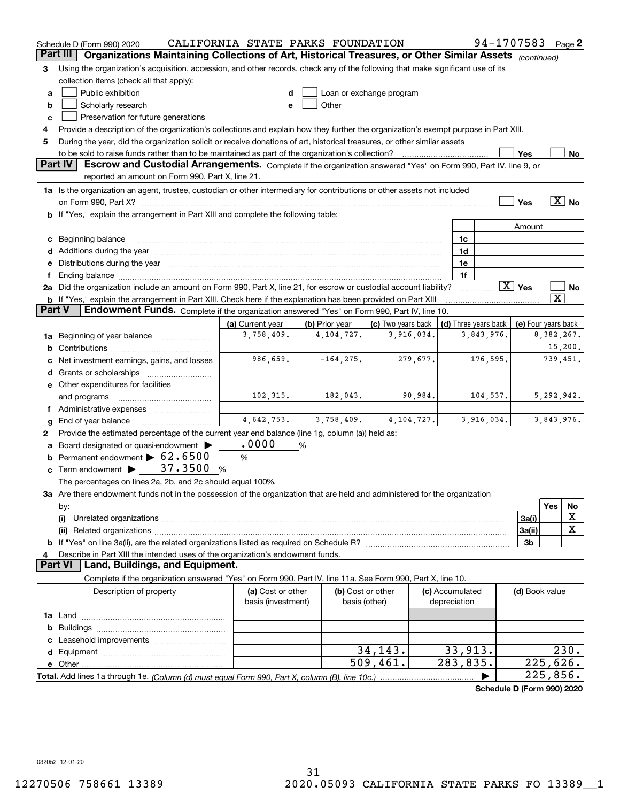|          | 94-1707583<br>CALIFORNIA STATE PARKS FOUNDATION<br>Page $2$<br>Schedule D (Form 990) 2020                                                                                                                                      |                                |                |                                                                                                                                                                                                                               |                        |                      |                        |                             |
|----------|--------------------------------------------------------------------------------------------------------------------------------------------------------------------------------------------------------------------------------|--------------------------------|----------------|-------------------------------------------------------------------------------------------------------------------------------------------------------------------------------------------------------------------------------|------------------------|----------------------|------------------------|-----------------------------|
| Part III | Organizations Maintaining Collections of Art, Historical Treasures, or Other Similar Assets (continued)                                                                                                                        |                                |                |                                                                                                                                                                                                                               |                        |                      |                        |                             |
| 3        | Using the organization's acquisition, accession, and other records, check any of the following that make significant use of its                                                                                                |                                |                |                                                                                                                                                                                                                               |                        |                      |                        |                             |
|          | collection items (check all that apply):                                                                                                                                                                                       |                                |                |                                                                                                                                                                                                                               |                        |                      |                        |                             |
| a        | Public exhibition                                                                                                                                                                                                              |                                |                | Loan or exchange program                                                                                                                                                                                                      |                        |                      |                        |                             |
| b        | Scholarly research                                                                                                                                                                                                             | e                              |                | Other and the contract of the contract of the contract of the contract of the contract of the contract of the contract of the contract of the contract of the contract of the contract of the contract of the contract of the |                        |                      |                        |                             |
| c        | Preservation for future generations                                                                                                                                                                                            |                                |                |                                                                                                                                                                                                                               |                        |                      |                        |                             |
| 4        | Provide a description of the organization's collections and explain how they further the organization's exempt purpose in Part XIII.                                                                                           |                                |                |                                                                                                                                                                                                                               |                        |                      |                        |                             |
| 5        | During the year, did the organization solicit or receive donations of art, historical treasures, or other similar assets                                                                                                       |                                |                |                                                                                                                                                                                                                               |                        |                      |                        |                             |
|          | to be sold to raise funds rather than to be maintained as part of the organization's collection?                                                                                                                               |                                |                |                                                                                                                                                                                                                               |                        |                      | Yes                    | No                          |
|          | Part IV<br>Escrow and Custodial Arrangements. Complete if the organization answered "Yes" on Form 990, Part IV, line 9, or                                                                                                     |                                |                |                                                                                                                                                                                                                               |                        |                      |                        |                             |
|          | reported an amount on Form 990, Part X, line 21.                                                                                                                                                                               |                                |                |                                                                                                                                                                                                                               |                        |                      |                        |                             |
|          | 1a Is the organization an agent, trustee, custodian or other intermediary for contributions or other assets not included                                                                                                       |                                |                |                                                                                                                                                                                                                               |                        |                      |                        |                             |
|          |                                                                                                                                                                                                                                |                                |                |                                                                                                                                                                                                                               |                        |                      | Yes                    | $\overline{\mathrm{X}}$ No  |
|          | on Form 990, Part X? [11] matter contracts and contracts and contracts are contracted as a function of the set of the set of the set of the set of the set of the set of the set of the set of the set of the set of the set o |                                |                |                                                                                                                                                                                                                               |                        |                      |                        |                             |
|          | <b>b</b> If "Yes," explain the arrangement in Part XIII and complete the following table:                                                                                                                                      |                                |                |                                                                                                                                                                                                                               |                        |                      |                        |                             |
|          |                                                                                                                                                                                                                                |                                |                |                                                                                                                                                                                                                               |                        |                      | Amount                 |                             |
| c        | Beginning balance <b>contract to the contract of the contract of the contract of the contract of the contract of t</b>                                                                                                         |                                |                |                                                                                                                                                                                                                               | 1c                     |                      |                        |                             |
|          |                                                                                                                                                                                                                                |                                |                |                                                                                                                                                                                                                               | 1d                     |                      |                        |                             |
| е        | Distributions during the year manufactured and continuum and contact the year manufactured and contact the year                                                                                                                |                                |                |                                                                                                                                                                                                                               | 1e                     |                      |                        |                             |
|          | Ending balance manufactured and contract and contract of the contract of the contract of the contract of the contract of the contract of the contract of the contract of the contract of the contract of the contract of the c |                                |                |                                                                                                                                                                                                                               | 1f                     |                      | $\boxed{\text{X}}$ Yes |                             |
|          | 2a Did the organization include an amount on Form 990, Part X, line 21, for escrow or custodial account liability?                                                                                                             |                                |                |                                                                                                                                                                                                                               |                        |                      |                        | No<br>$\overline{\text{X}}$ |
| Part V   | <b>b</b> If "Yes," explain the arrangement in Part XIII. Check here if the explanation has been provided on Part XIII                                                                                                          |                                |                |                                                                                                                                                                                                                               |                        |                      |                        |                             |
|          | Endowment Funds. Complete if the organization answered "Yes" on Form 990, Part IV, line 10.                                                                                                                                    |                                |                |                                                                                                                                                                                                                               |                        |                      |                        |                             |
|          |                                                                                                                                                                                                                                | (a) Current year<br>3,758,409. | (b) Prior year | (c) Two years back                                                                                                                                                                                                            |                        | (d) Three years back |                        | (e) Four years back         |
| 1a       | Beginning of year balance                                                                                                                                                                                                      |                                | 4, 104, 727.   | 3,916,034.                                                                                                                                                                                                                    |                        | 3,843,976.           |                        | 8,382,267.                  |
| b        |                                                                                                                                                                                                                                |                                |                |                                                                                                                                                                                                                               |                        |                      |                        | 15,200.                     |
|          | Net investment earnings, gains, and losses                                                                                                                                                                                     | 986,659.                       | $-164, 275.$   | 279,677.                                                                                                                                                                                                                      |                        | 176,595.             |                        | 739,451.                    |
| d        |                                                                                                                                                                                                                                |                                |                |                                                                                                                                                                                                                               |                        |                      |                        |                             |
|          | e Other expenditures for facilities                                                                                                                                                                                            |                                |                |                                                                                                                                                                                                                               |                        |                      |                        |                             |
|          | and programs                                                                                                                                                                                                                   | 102,315.                       | 182,043.       | 90,984.                                                                                                                                                                                                                       |                        | 104,537.             |                        | 5,292,942.                  |
|          |                                                                                                                                                                                                                                |                                |                |                                                                                                                                                                                                                               |                        |                      |                        |                             |
| g        | End of year balance                                                                                                                                                                                                            | 4,642,753.                     | 3,758,409.     | 4,104,727.                                                                                                                                                                                                                    |                        | 3,916,034.           |                        | 3,843,976.                  |
| 2        | Provide the estimated percentage of the current year end balance (line 1g, column (a)) held as:                                                                                                                                |                                |                |                                                                                                                                                                                                                               |                        |                      |                        |                             |
|          | Board designated or quasi-endowment >                                                                                                                                                                                          | .0000                          | %              |                                                                                                                                                                                                                               |                        |                      |                        |                             |
| b        | Permanent endowment > 62.6500                                                                                                                                                                                                  | %                              |                |                                                                                                                                                                                                                               |                        |                      |                        |                             |
| c        | Term endowment > 37.3500                                                                                                                                                                                                       | - %                            |                |                                                                                                                                                                                                                               |                        |                      |                        |                             |
|          | The percentages on lines 2a, 2b, and 2c should equal 100%.                                                                                                                                                                     |                                |                |                                                                                                                                                                                                                               |                        |                      |                        |                             |
|          | 3a Are there endowment funds not in the possession of the organization that are held and administered for the organization                                                                                                     |                                |                |                                                                                                                                                                                                                               |                        |                      |                        |                             |
|          | by:                                                                                                                                                                                                                            |                                |                |                                                                                                                                                                                                                               |                        |                      |                        | Yes<br>No                   |
|          | (i)                                                                                                                                                                                                                            |                                |                |                                                                                                                                                                                                                               |                        |                      | 3a(i)                  | х                           |
|          |                                                                                                                                                                                                                                |                                |                |                                                                                                                                                                                                                               |                        |                      | 3a(ii)                 | X                           |
|          |                                                                                                                                                                                                                                |                                |                |                                                                                                                                                                                                                               |                        |                      | 3b                     |                             |
|          | Describe in Part XIII the intended uses of the organization's endowment funds.                                                                                                                                                 |                                |                |                                                                                                                                                                                                                               |                        |                      |                        |                             |
|          | Land, Buildings, and Equipment.<br><b>Part VI</b>                                                                                                                                                                              |                                |                |                                                                                                                                                                                                                               |                        |                      |                        |                             |
|          | Complete if the organization answered "Yes" on Form 990, Part IV, line 11a. See Form 990, Part X, line 10.                                                                                                                     |                                |                |                                                                                                                                                                                                                               |                        |                      |                        |                             |
|          | Description of property                                                                                                                                                                                                        | (a) Cost or other              |                | (b) Cost or other                                                                                                                                                                                                             | (c) Accumulated        |                      | (d) Book value         |                             |
|          |                                                                                                                                                                                                                                | basis (investment)             |                | basis (other)                                                                                                                                                                                                                 | depreciation           |                      |                        |                             |
|          |                                                                                                                                                                                                                                |                                |                |                                                                                                                                                                                                                               |                        |                      |                        |                             |
| b        |                                                                                                                                                                                                                                |                                |                |                                                                                                                                                                                                                               |                        |                      |                        |                             |
|          |                                                                                                                                                                                                                                |                                |                |                                                                                                                                                                                                                               |                        |                      |                        |                             |
| d        |                                                                                                                                                                                                                                |                                |                | 34,143.                                                                                                                                                                                                                       | 33,913.                |                      |                        | 230.                        |
|          | e Other                                                                                                                                                                                                                        |                                |                | 509,461.                                                                                                                                                                                                                      | $\overline{283,835}$ . |                      |                        | 225,626.                    |
|          | Total. Add lines 1a through 1e. (Column (d) must equal Form 990. Part X, column (B), line 10c.)                                                                                                                                |                                |                |                                                                                                                                                                                                                               |                        |                      |                        | 225,856.                    |
|          |                                                                                                                                                                                                                                |                                |                |                                                                                                                                                                                                                               |                        |                      |                        | Schedule D (Form 990) 2020  |
|          |                                                                                                                                                                                                                                |                                |                |                                                                                                                                                                                                                               |                        |                      |                        |                             |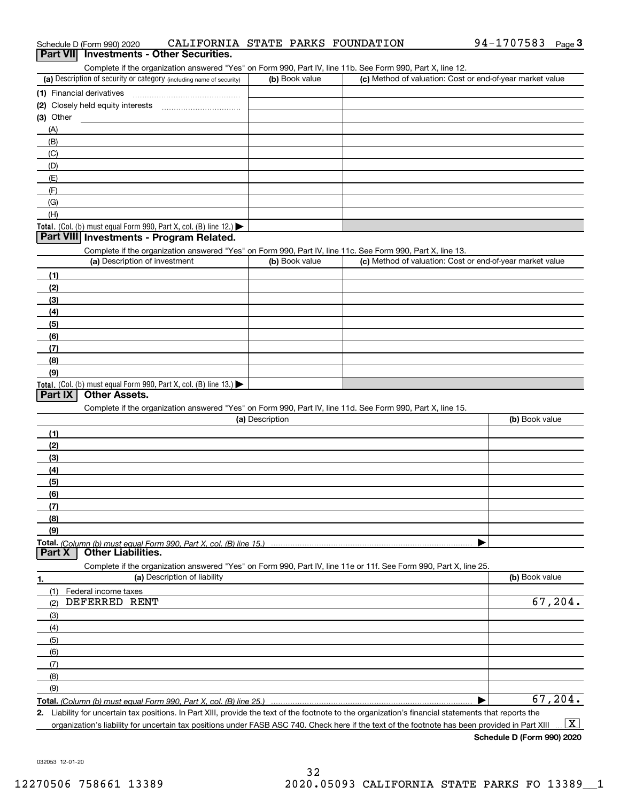| Schedule D (Form 990) 2020 | CALIFORNIA STATE PARKS FOUNDATION        |  | 94-1707583 | $P$ aqe $3$ |
|----------------------------|------------------------------------------|--|------------|-------------|
|                            | Part VII Investments - Other Securities. |  |            |             |

|  | Part VII Investments - Other Securities. |  |
|--|------------------------------------------|--|
|--|------------------------------------------|--|

Complete if the organization answered "Yes" on Form 990, Part IV, line 11b. See Form 990, Part X, line 12.

| (a) Description of security or category (including name of security)       | (b) Book value | (c) Method of valuation: Cost or end-of-year market value |
|----------------------------------------------------------------------------|----------------|-----------------------------------------------------------|
| (1) Financial derivatives                                                  |                |                                                           |
| (2) Closely held equity interests                                          |                |                                                           |
| $(3)$ Other                                                                |                |                                                           |
| (A)                                                                        |                |                                                           |
| (B)                                                                        |                |                                                           |
| (C)                                                                        |                |                                                           |
| (D)                                                                        |                |                                                           |
| (E)                                                                        |                |                                                           |
| (F)                                                                        |                |                                                           |
| (G)                                                                        |                |                                                           |
| (H)                                                                        |                |                                                           |
| <b>Total.</b> (Col. (b) must equal Form 990, Part X, col. (B) line $12$ .) |                |                                                           |

### **Part VIII Investments - Program Related.**

Complete if the organization answered "Yes" on Form 990, Part IV, line 11c. See Form 990, Part X, line 13.

| (a) Description of investment                                                          | (b) Book value | (c) Method of valuation: Cost or end-of-year market value |
|----------------------------------------------------------------------------------------|----------------|-----------------------------------------------------------|
| (1)                                                                                    |                |                                                           |
| (2)                                                                                    |                |                                                           |
| $\frac{1}{2}$                                                                          |                |                                                           |
| (4)                                                                                    |                |                                                           |
| (5)                                                                                    |                |                                                           |
| (6)                                                                                    |                |                                                           |
| (7)                                                                                    |                |                                                           |
| (8)                                                                                    |                |                                                           |
| (9)                                                                                    |                |                                                           |
| Total. (Col. (b) must equal Form 990, Part X, col. (B) line 13.) $\blacktriangleright$ |                |                                                           |

### **Part IX Other Assets.**

Complete if the organization answered "Yes" on Form 990, Part IV, line 11d. See Form 990, Part X, line 15.

| (a) Description     | (b) Book value |
|---------------------|----------------|
| (1)                 |                |
| (2)                 |                |
| $\qquad \qquad (3)$ |                |
| (4)                 |                |
| (5)                 |                |
| (6)                 |                |
|                     |                |
| (8)                 |                |
| (9)                 |                |
|                     |                |
|                     |                |

**1.(a)** Description of liability **Book value** Book value Book value Book value Book value Complete if the organization answered "Yes" on Form 990, Part IV, line 11e or 11f. See Form 990, Part X, line 25. (1)(2)(3)(4)(5) (6)(7)(8)(9)Federal income taxes  $\blacktriangleright$ DEFERRED RENT 67,204. 67,204.

**Total.**  *(Column (b) must equal Form 990, Part X, col. (B) line 25.)* 

**2.**Liability for uncertain tax positions. In Part XIII, provide the text of the footnote to the organization's financial statements that reports the organization's liability for uncertain tax positions under FASB ASC 740. Check here if the text of the footnote has been provided in Part XIII  $\boxed{\text{X}}$ 

**Schedule D (Form 990) 2020**

032053 12-01-20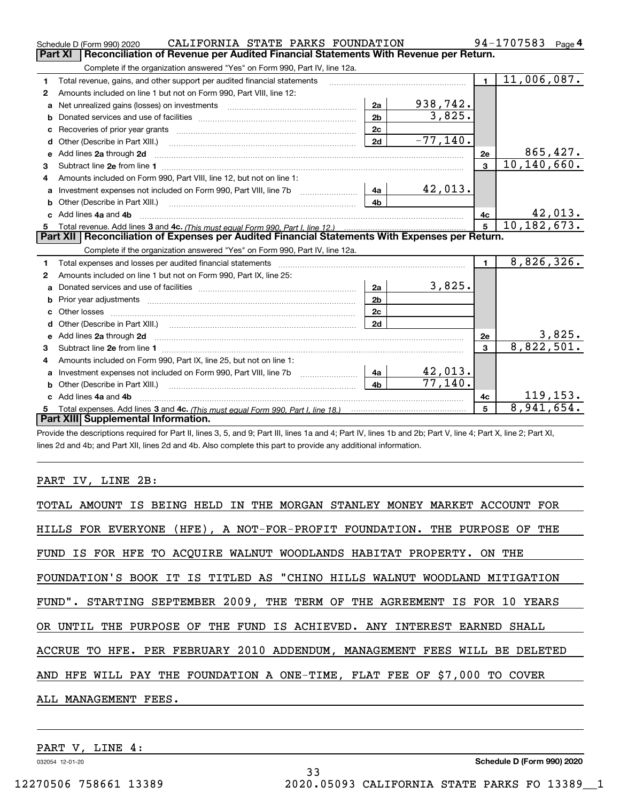|    | CALIFORNIA STATE PARKS FOUNDATION<br>Schedule D (Form 990) 2020                                                                              |                |            |                | 94-1707583<br>Page $4$ |
|----|----------------------------------------------------------------------------------------------------------------------------------------------|----------------|------------|----------------|------------------------|
|    | Reconciliation of Revenue per Audited Financial Statements With Revenue per Return.<br>Part XI                                               |                |            |                |                        |
|    | Complete if the organization answered "Yes" on Form 990, Part IV, line 12a.                                                                  |                |            |                |                        |
| 1  | Total revenue, gains, and other support per audited financial statements                                                                     |                |            | $\blacksquare$ | 11,006,087.            |
| 2  | Amounts included on line 1 but not on Form 990, Part VIII, line 12:                                                                          |                |            |                |                        |
| a  |                                                                                                                                              | 2a             | 938,742.   |                |                        |
| b  |                                                                                                                                              | 2 <sub>b</sub> | 3,825.     |                |                        |
|    |                                                                                                                                              | 2c             |            |                |                        |
| d  |                                                                                                                                              | 2d             | $-77,140.$ |                |                        |
| е  | Add lines 2a through 2d                                                                                                                      |                |            | <b>2e</b>      | 865,427.               |
| 3  |                                                                                                                                              |                |            | 3              | 10, 140, 660.          |
| 4  | Amounts included on Form 990, Part VIII, line 12, but not on line 1:                                                                         |                |            |                |                        |
| a  | Investment expenses not included on Form 990, Part VIII, line 7b [14a]                                                                       |                | 42,013.    |                |                        |
| b  |                                                                                                                                              | 4 <sub>h</sub> |            |                |                        |
| c. | Add lines 4a and 4b                                                                                                                          |                |            | 4c             | 42,013.                |
|    |                                                                                                                                              |                |            | 5 <sup>1</sup> | 10, 182, 673.          |
|    |                                                                                                                                              |                |            |                |                        |
|    | Part XII   Reconciliation of Expenses per Audited Financial Statements With Expenses per Return.                                             |                |            |                |                        |
|    | Complete if the organization answered "Yes" on Form 990, Part IV, line 12a.                                                                  |                |            |                |                        |
| 1  |                                                                                                                                              |                |            | $\blacksquare$ | 8,826,326.             |
| 2  | Amounts included on line 1 but not on Form 990, Part IX, line 25:                                                                            |                |            |                |                        |
| a  |                                                                                                                                              | 2a             | 3,825.     |                |                        |
| b  |                                                                                                                                              | 2 <sub>b</sub> |            |                |                        |
| c  |                                                                                                                                              | 2c             |            |                |                        |
| d  |                                                                                                                                              | 2d             |            |                |                        |
| е  | Add lines 2a through 2d <b>must be a constructed as the constant of the constant of the constant of the construction</b>                     |                |            | 2e             | 3,825.                 |
| 3  |                                                                                                                                              |                |            | $\mathbf{a}$   | 8,822,501.             |
| 4  | Amounts included on Form 990, Part IX, line 25, but not on line 1:                                                                           |                |            |                |                        |
| a  | Investment expenses not included on Form 990, Part VIII, line 7b [111] [11] Investment expenses not included on Form 990, Part VIII, line 7b | 4a             | 42,013.    |                |                        |
| b  | Other (Describe in Part XIII.) <b>Construction Contract Construction</b> [                                                                   | 4 <sub>h</sub> | 77,140.    |                |                        |
|    | Add lines 4a and 4b                                                                                                                          |                |            | 4c             | 119, 153.              |
|    | Part XIII Supplemental Information.                                                                                                          |                |            | 5              | 8,941,654.             |

Provide the descriptions required for Part II, lines 3, 5, and 9; Part III, lines 1a and 4; Part IV, lines 1b and 2b; Part V, line 4; Part X, line 2; Part XI, lines 2d and 4b; and Part XII, lines 2d and 4b. Also complete this part to provide any additional information.

### PART IV, LINE 2B:

| TOTAL AMOUNT IS BEING HELD IN THE MORGAN STANLEY MONEY MARKET ACCOUNT FOR  |
|----------------------------------------------------------------------------|
| HILLS FOR EVERYONE (HFE), A NOT-FOR-PROFIT FOUNDATION. THE PURPOSE OF THE  |
| FUND IS FOR HFE TO ACQUIRE WALNUT WOODLANDS HABITAT PROPERTY. ON THE       |
| FOUNDATION'S BOOK IT IS TITLED AS "CHINO HILLS WALNUT WOODLAND MITIGATION  |
| FUND". STARTING SEPTEMBER 2009, THE TERM OF THE AGREEMENT IS FOR 10 YEARS  |
| OR UNTIL THE PURPOSE OF THE FUND IS ACHIEVED. ANY INTEREST EARNED SHALL    |
| ACCRUE TO HFE. PER FEBRUARY 2010 ADDENDUM, MANAGEMENT FEES WILL BE DELETED |
| AND HFE WILL PAY THE FOUNDATION A ONE-TIME, FLAT FEE OF \$7,000 TO COVER   |
| ALL MANAGEMENT FEES.                                                       |
|                                                                            |

33

PART V, LINE 4:

032054 12-01-20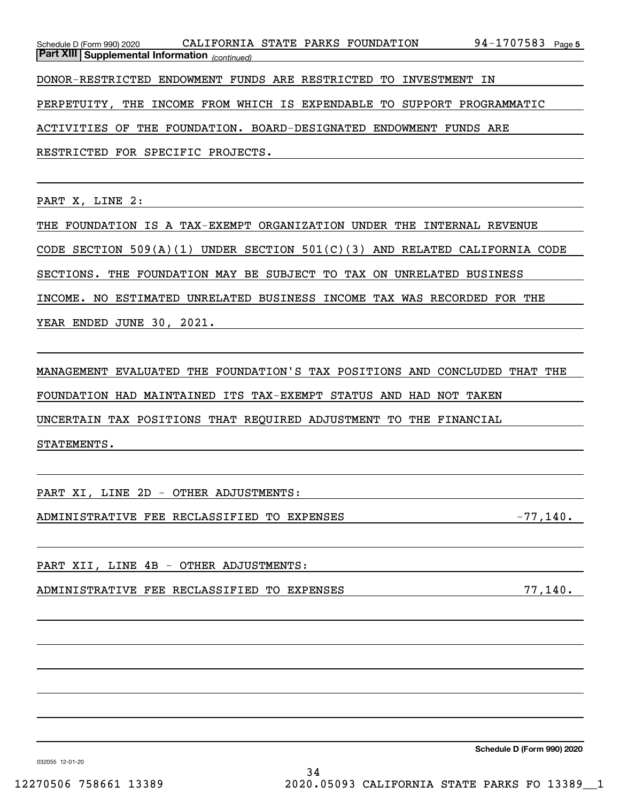| Schedule D (Form 990) 2020                            | CALIFORNIA STATE PARKS FOUNDATION                                       | 94-1707583<br>Page 5 |
|-------------------------------------------------------|-------------------------------------------------------------------------|----------------------|
| <b>Part XIII Supplemental Information</b> (continued) |                                                                         |                      |
|                                                       | DONOR-RESTRICTED ENDOWMENT FUNDS ARE RESTRICTED TO INVESTMENT IN        |                      |
|                                                       | PERPETUITY, THE INCOME FROM WHICH IS EXPENDABLE TO SUPPORT PROGRAMMATIC |                      |
|                                                       | ACTIVITIES OF THE FOUNDATION. BOARD-DESIGNATED ENDOWMENT FUNDS ARE      |                      |
| RESTRICTED FOR SPECIFIC PROJECTS.                     |                                                                         |                      |

PART X, LINE 2:

THE FOUNDATION IS A TAX-EXEMPT ORGANIZATION UNDER THE INTERNAL REVENUE CODE SECTION 509(A)(1) UNDER SECTION 501(C)(3) AND RELATED CALIFORNIA CODE SECTIONS. THE FOUNDATION MAY BE SUBJECT TO TAX ON UNRELATED BUSINESS INCOME. NO ESTIMATED UNRELATED BUSINESS INCOME TAX WAS RECORDED FOR THE YEAR ENDED JUNE 30, 2021.

MANAGEMENT EVALUATED THE FOUNDATION'S TAX POSITIONS AND CONCLUDED THAT THE FOUNDATION HAD MAINTAINED ITS TAX-EXEMPT STATUS AND HAD NOT TAKEN UNCERTAIN TAX POSITIONS THAT REQUIRED ADJUSTMENT TO THE FINANCIAL STATEMENTS.

PART XI, LINE 2D - OTHER ADJUSTMENTS:

ADMINISTRATIVE FEE RECLASSIFIED TO EXPENSES  $-77,140$ .

PART XII, LINE 4B - OTHER ADJUSTMENTS:

ADMINISTRATIVE FEE RECLASSIFIED TO EXPENSES **1994** 77,140.

**Schedule D (Form 990) 2020**

032055 12-01-20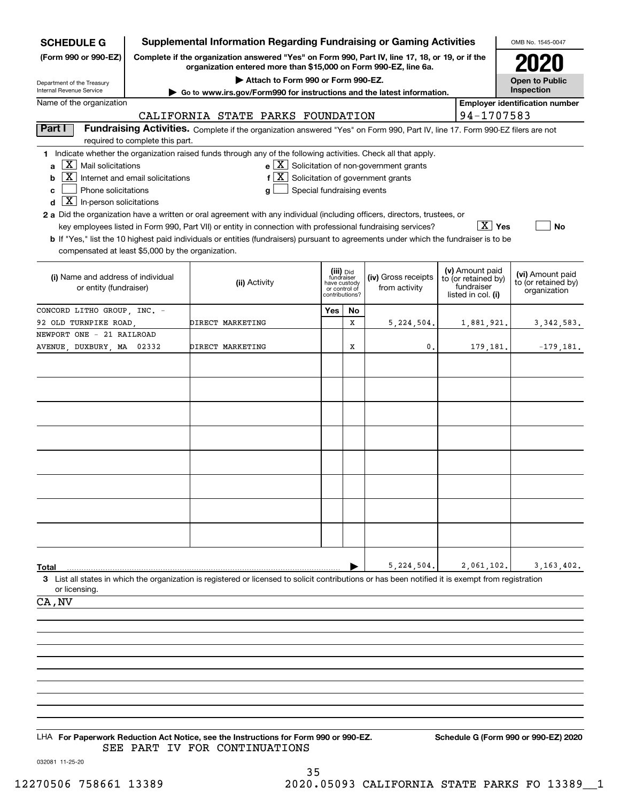| <b>SCHEDULE G</b>                                                                                                                      |                                  | <b>Supplemental Information Regarding Fundraising or Gaming Activities</b>                                                                                                                                          |                                                                            |    |                                                                      |                                                                            | OMB No. 1545-0047                                       |
|----------------------------------------------------------------------------------------------------------------------------------------|----------------------------------|---------------------------------------------------------------------------------------------------------------------------------------------------------------------------------------------------------------------|----------------------------------------------------------------------------|----|----------------------------------------------------------------------|----------------------------------------------------------------------------|---------------------------------------------------------|
| (Form 990 or 990-EZ)                                                                                                                   |                                  | Complete if the organization answered "Yes" on Form 990, Part IV, line 17, 18, or 19, or if the<br>organization entered more than \$15,000 on Form 990-EZ, line 6a.                                                 |                                                                            |    |                                                                      |                                                                            |                                                         |
| Department of the Treasury<br>Internal Revenue Service                                                                                 |                                  | Attach to Form 990 or Form 990-EZ.                                                                                                                                                                                  |                                                                            |    |                                                                      |                                                                            | <b>Open to Public</b><br>Inspection                     |
| Name of the organization                                                                                                               |                                  | ► Go to www.irs.gov/Form990 for instructions and the latest information.                                                                                                                                            |                                                                            |    |                                                                      |                                                                            | <b>Employer identification number</b>                   |
|                                                                                                                                        |                                  | CALIFORNIA STATE PARKS FOUNDATION                                                                                                                                                                                   |                                                                            |    |                                                                      | 94-1707583                                                                 |                                                         |
| Part I                                                                                                                                 |                                  | Fundraising Activities. Complete if the organization answered "Yes" on Form 990, Part IV, line 17. Form 990-EZ filers are not                                                                                       |                                                                            |    |                                                                      |                                                                            |                                                         |
|                                                                                                                                        | required to complete this part.  |                                                                                                                                                                                                                     |                                                                            |    |                                                                      |                                                                            |                                                         |
| $\vert X \vert$ Mail solicitations<br>a<br>  X  <br>b<br>Phone solicitations<br>c<br>$\boxed{\textbf{X}}$ In-person solicitations<br>d | Internet and email solicitations | 1 Indicate whether the organization raised funds through any of the following activities. Check all that apply.<br>$f\left[\frac{X}{X}\right]$ Solicitation of government grants<br>Special fundraising events<br>g |                                                                            |    | $\mathbf{e} \times \mathbf{X}$ Solicitation of non-government grants |                                                                            |                                                         |
|                                                                                                                                        |                                  | 2 a Did the organization have a written or oral agreement with any individual (including officers, directors, trustees, or                                                                                          |                                                                            |    |                                                                      |                                                                            |                                                         |
|                                                                                                                                        |                                  | key employees listed in Form 990, Part VII) or entity in connection with professional fundraising services?                                                                                                         |                                                                            |    |                                                                      | $X$ Yes                                                                    | No                                                      |
|                                                                                                                                        |                                  | <b>b</b> If "Yes," list the 10 highest paid individuals or entities (fundraisers) pursuant to agreements under which the fundraiser is to be                                                                        |                                                                            |    |                                                                      |                                                                            |                                                         |
| compensated at least \$5,000 by the organization.                                                                                      |                                  |                                                                                                                                                                                                                     |                                                                            |    |                                                                      |                                                                            |                                                         |
| (i) Name and address of individual<br>or entity (fundraiser)                                                                           |                                  | (ii) Activity                                                                                                                                                                                                       | (iii) Did<br>fundraiser<br>have custody<br>or control of<br>contributions? |    | (iv) Gross receipts<br>from activity                                 | (v) Amount paid<br>to (or retained by)<br>fundraiser<br>listed in col. (i) | (vi) Amount paid<br>to (or retained by)<br>organization |
| CONCORD LITHO GROUP, INC. -                                                                                                            |                                  |                                                                                                                                                                                                                     | Yes                                                                        | No |                                                                      |                                                                            |                                                         |
| 92 OLD TURNPIKE ROAD,                                                                                                                  |                                  | DIRECT MARKETING                                                                                                                                                                                                    |                                                                            | X  | 5,224,504.                                                           | 1,881,921.                                                                 | 3, 342, 583.                                            |
| NEWPORT ONE - 21 RAILROAD                                                                                                              |                                  |                                                                                                                                                                                                                     |                                                                            | х  | 0.                                                                   |                                                                            |                                                         |
| AVENUE, DUXBURY, MA 02332                                                                                                              |                                  | DIRECT MARKETING                                                                                                                                                                                                    |                                                                            |    |                                                                      | 179,181.                                                                   | $-179,181.$                                             |
|                                                                                                                                        |                                  |                                                                                                                                                                                                                     |                                                                            |    |                                                                      |                                                                            |                                                         |
|                                                                                                                                        |                                  |                                                                                                                                                                                                                     |                                                                            |    |                                                                      |                                                                            |                                                         |
|                                                                                                                                        |                                  |                                                                                                                                                                                                                     |                                                                            |    |                                                                      |                                                                            |                                                         |
|                                                                                                                                        |                                  |                                                                                                                                                                                                                     |                                                                            |    |                                                                      |                                                                            |                                                         |
|                                                                                                                                        |                                  |                                                                                                                                                                                                                     |                                                                            |    |                                                                      |                                                                            |                                                         |
|                                                                                                                                        |                                  |                                                                                                                                                                                                                     |                                                                            |    |                                                                      |                                                                            |                                                         |
|                                                                                                                                        |                                  |                                                                                                                                                                                                                     |                                                                            |    |                                                                      |                                                                            |                                                         |
|                                                                                                                                        |                                  |                                                                                                                                                                                                                     |                                                                            |    |                                                                      |                                                                            |                                                         |
|                                                                                                                                        |                                  |                                                                                                                                                                                                                     |                                                                            |    |                                                                      |                                                                            |                                                         |
|                                                                                                                                        |                                  |                                                                                                                                                                                                                     |                                                                            |    |                                                                      |                                                                            |                                                         |
|                                                                                                                                        |                                  |                                                                                                                                                                                                                     |                                                                            |    |                                                                      |                                                                            |                                                         |
|                                                                                                                                        |                                  |                                                                                                                                                                                                                     |                                                                            |    |                                                                      |                                                                            |                                                         |
|                                                                                                                                        |                                  |                                                                                                                                                                                                                     |                                                                            |    |                                                                      |                                                                            |                                                         |
|                                                                                                                                        |                                  |                                                                                                                                                                                                                     |                                                                            |    |                                                                      |                                                                            |                                                         |
| Total                                                                                                                                  |                                  |                                                                                                                                                                                                                     |                                                                            |    | 5, 224, 504.                                                         | 2,061,102.                                                                 | 3, 163, 402.                                            |
| or licensing.                                                                                                                          |                                  | 3 List all states in which the organization is registered or licensed to solicit contributions or has been notified it is exempt from registration                                                                  |                                                                            |    |                                                                      |                                                                            |                                                         |
| CA, NV                                                                                                                                 |                                  |                                                                                                                                                                                                                     |                                                                            |    |                                                                      |                                                                            |                                                         |
|                                                                                                                                        |                                  |                                                                                                                                                                                                                     |                                                                            |    |                                                                      |                                                                            |                                                         |
|                                                                                                                                        |                                  |                                                                                                                                                                                                                     |                                                                            |    |                                                                      |                                                                            |                                                         |
|                                                                                                                                        |                                  |                                                                                                                                                                                                                     |                                                                            |    |                                                                      |                                                                            |                                                         |
|                                                                                                                                        |                                  |                                                                                                                                                                                                                     |                                                                            |    |                                                                      |                                                                            |                                                         |
|                                                                                                                                        |                                  |                                                                                                                                                                                                                     |                                                                            |    |                                                                      |                                                                            |                                                         |
|                                                                                                                                        |                                  |                                                                                                                                                                                                                     |                                                                            |    |                                                                      |                                                                            |                                                         |
|                                                                                                                                        |                                  |                                                                                                                                                                                                                     |                                                                            |    |                                                                      |                                                                            |                                                         |
|                                                                                                                                        |                                  |                                                                                                                                                                                                                     |                                                                            |    |                                                                      |                                                                            |                                                         |
|                                                                                                                                        |                                  | LHA For Paperwork Reduction Act Notice, see the Instructions for Form 990 or 990-EZ.                                                                                                                                |                                                                            |    |                                                                      |                                                                            | Schedule G (Form 990 or 990-EZ) 2020                    |

SEE PART IV FOR CONTINUATIONS

032081 11-25-20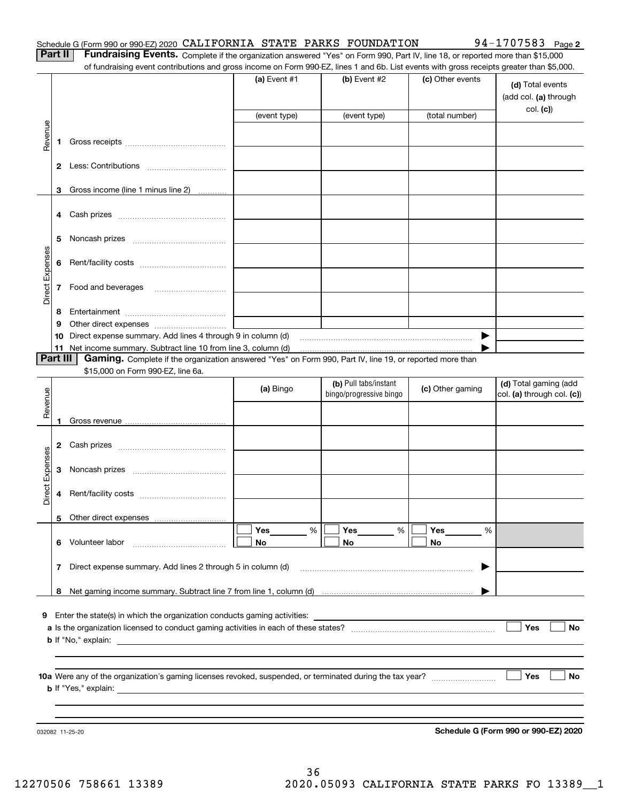**Part II** | Fundraising Events. Complete if the organization answered "Yes" on Form 990, Part IV, line 18, or reported more than \$15,000 of fundraising event contributions and gross income on Form 990-EZ, lines 1 and 6b. List events with gross receipts greater than \$5,000.

| (total number)<br>(event type)<br>(event type)<br>Revenue<br>1.<br>3 Gross income (line 1 minus line 2)<br>5<br>Direct Expenses<br>6<br><b>7</b> Food and beverages<br>8<br>9<br>10 Direct expense summary. Add lines 4 through 9 in column (d)<br>▶<br>11 Net income summary. Subtract line 10 from line 3, column (d)<br><b>Part III</b><br>Gaming. Complete if the organization answered "Yes" on Form 990, Part IV, line 19, or reported more than<br>\$15,000 on Form 990-EZ, line 6a.<br>(b) Pull tabs/instant<br>(d) Total gaming (add<br>(a) Bingo<br>(c) Other gaming<br>Revenue<br>bingo/progressive bingo<br>1<br>Direct Expenses<br>3<br>4<br>Other direct expenses<br>5<br>Yes<br>$\%$<br>Yes<br>%<br>Yes<br>%<br>6 Volunteer labor<br>No<br>No<br>No<br>7 Direct expense summary. Add lines 2 through 5 in column (d)<br>8<br>9 Enter the state(s) in which the organization conducts gaming activities:<br>Yes<br><b>b</b> If "No," explain:<br>Yes<br><b>b</b> If "Yes," explain: <b>b</b> If "Yes," explain: |  | of fundraising event contributions and gross income on Form 990-EZ, lines T and 6D. List events with gross receipts greater than \$5,000. | (a) Event $#1$ | $(b)$ Event #2 | (c) Other events | (d) Total events<br>(add col. (a) through |
|-------------------------------------------------------------------------------------------------------------------------------------------------------------------------------------------------------------------------------------------------------------------------------------------------------------------------------------------------------------------------------------------------------------------------------------------------------------------------------------------------------------------------------------------------------------------------------------------------------------------------------------------------------------------------------------------------------------------------------------------------------------------------------------------------------------------------------------------------------------------------------------------------------------------------------------------------------------------------------------------------------------------------------|--|-------------------------------------------------------------------------------------------------------------------------------------------|----------------|----------------|------------------|-------------------------------------------|
|                                                                                                                                                                                                                                                                                                                                                                                                                                                                                                                                                                                                                                                                                                                                                                                                                                                                                                                                                                                                                               |  |                                                                                                                                           |                |                |                  | col. (c)                                  |
|                                                                                                                                                                                                                                                                                                                                                                                                                                                                                                                                                                                                                                                                                                                                                                                                                                                                                                                                                                                                                               |  |                                                                                                                                           |                |                |                  |                                           |
|                                                                                                                                                                                                                                                                                                                                                                                                                                                                                                                                                                                                                                                                                                                                                                                                                                                                                                                                                                                                                               |  |                                                                                                                                           |                |                |                  |                                           |
|                                                                                                                                                                                                                                                                                                                                                                                                                                                                                                                                                                                                                                                                                                                                                                                                                                                                                                                                                                                                                               |  |                                                                                                                                           |                |                |                  |                                           |
|                                                                                                                                                                                                                                                                                                                                                                                                                                                                                                                                                                                                                                                                                                                                                                                                                                                                                                                                                                                                                               |  |                                                                                                                                           |                |                |                  |                                           |
|                                                                                                                                                                                                                                                                                                                                                                                                                                                                                                                                                                                                                                                                                                                                                                                                                                                                                                                                                                                                                               |  |                                                                                                                                           |                |                |                  |                                           |
|                                                                                                                                                                                                                                                                                                                                                                                                                                                                                                                                                                                                                                                                                                                                                                                                                                                                                                                                                                                                                               |  |                                                                                                                                           |                |                |                  |                                           |
|                                                                                                                                                                                                                                                                                                                                                                                                                                                                                                                                                                                                                                                                                                                                                                                                                                                                                                                                                                                                                               |  |                                                                                                                                           |                |                |                  |                                           |
|                                                                                                                                                                                                                                                                                                                                                                                                                                                                                                                                                                                                                                                                                                                                                                                                                                                                                                                                                                                                                               |  |                                                                                                                                           |                |                |                  |                                           |
|                                                                                                                                                                                                                                                                                                                                                                                                                                                                                                                                                                                                                                                                                                                                                                                                                                                                                                                                                                                                                               |  |                                                                                                                                           |                |                |                  |                                           |
|                                                                                                                                                                                                                                                                                                                                                                                                                                                                                                                                                                                                                                                                                                                                                                                                                                                                                                                                                                                                                               |  |                                                                                                                                           |                |                |                  |                                           |
|                                                                                                                                                                                                                                                                                                                                                                                                                                                                                                                                                                                                                                                                                                                                                                                                                                                                                                                                                                                                                               |  |                                                                                                                                           |                |                |                  |                                           |
|                                                                                                                                                                                                                                                                                                                                                                                                                                                                                                                                                                                                                                                                                                                                                                                                                                                                                                                                                                                                                               |  |                                                                                                                                           |                |                |                  |                                           |
|                                                                                                                                                                                                                                                                                                                                                                                                                                                                                                                                                                                                                                                                                                                                                                                                                                                                                                                                                                                                                               |  |                                                                                                                                           |                |                |                  |                                           |
|                                                                                                                                                                                                                                                                                                                                                                                                                                                                                                                                                                                                                                                                                                                                                                                                                                                                                                                                                                                                                               |  |                                                                                                                                           |                |                |                  | col. (a) through col. (c))                |
|                                                                                                                                                                                                                                                                                                                                                                                                                                                                                                                                                                                                                                                                                                                                                                                                                                                                                                                                                                                                                               |  |                                                                                                                                           |                |                |                  |                                           |
|                                                                                                                                                                                                                                                                                                                                                                                                                                                                                                                                                                                                                                                                                                                                                                                                                                                                                                                                                                                                                               |  |                                                                                                                                           |                |                |                  |                                           |
|                                                                                                                                                                                                                                                                                                                                                                                                                                                                                                                                                                                                                                                                                                                                                                                                                                                                                                                                                                                                                               |  |                                                                                                                                           |                |                |                  |                                           |
|                                                                                                                                                                                                                                                                                                                                                                                                                                                                                                                                                                                                                                                                                                                                                                                                                                                                                                                                                                                                                               |  |                                                                                                                                           |                |                |                  |                                           |
|                                                                                                                                                                                                                                                                                                                                                                                                                                                                                                                                                                                                                                                                                                                                                                                                                                                                                                                                                                                                                               |  |                                                                                                                                           |                |                |                  |                                           |
|                                                                                                                                                                                                                                                                                                                                                                                                                                                                                                                                                                                                                                                                                                                                                                                                                                                                                                                                                                                                                               |  |                                                                                                                                           |                |                |                  |                                           |
|                                                                                                                                                                                                                                                                                                                                                                                                                                                                                                                                                                                                                                                                                                                                                                                                                                                                                                                                                                                                                               |  |                                                                                                                                           |                |                |                  |                                           |
|                                                                                                                                                                                                                                                                                                                                                                                                                                                                                                                                                                                                                                                                                                                                                                                                                                                                                                                                                                                                                               |  |                                                                                                                                           |                |                |                  |                                           |
|                                                                                                                                                                                                                                                                                                                                                                                                                                                                                                                                                                                                                                                                                                                                                                                                                                                                                                                                                                                                                               |  |                                                                                                                                           |                |                |                  | No                                        |
|                                                                                                                                                                                                                                                                                                                                                                                                                                                                                                                                                                                                                                                                                                                                                                                                                                                                                                                                                                                                                               |  |                                                                                                                                           |                |                |                  |                                           |
|                                                                                                                                                                                                                                                                                                                                                                                                                                                                                                                                                                                                                                                                                                                                                                                                                                                                                                                                                                                                                               |  |                                                                                                                                           |                |                |                  |                                           |
|                                                                                                                                                                                                                                                                                                                                                                                                                                                                                                                                                                                                                                                                                                                                                                                                                                                                                                                                                                                                                               |  |                                                                                                                                           |                |                |                  | No                                        |
|                                                                                                                                                                                                                                                                                                                                                                                                                                                                                                                                                                                                                                                                                                                                                                                                                                                                                                                                                                                                                               |  |                                                                                                                                           |                |                |                  |                                           |

032082 11-25-20

**Schedule G (Form 990 or 990-EZ) 2020**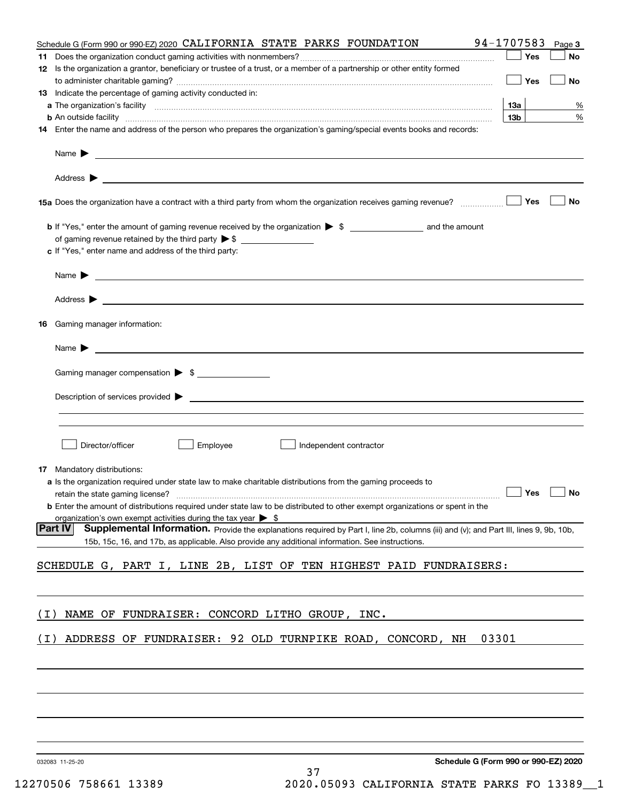|       | Schedule G (Form 990 or 990-EZ) 2020 CALIFORNIA STATE PARKS FOUNDATION                                                                                                                                                                                                                                                                              | 94-1707583                           | Page 3 |
|-------|-----------------------------------------------------------------------------------------------------------------------------------------------------------------------------------------------------------------------------------------------------------------------------------------------------------------------------------------------------|--------------------------------------|--------|
|       |                                                                                                                                                                                                                                                                                                                                                     | Yes                                  | No     |
|       | 12 Is the organization a grantor, beneficiary or trustee of a trust, or a member of a partnership or other entity formed                                                                                                                                                                                                                            | Yes                                  | No     |
|       | <b>13</b> Indicate the percentage of gaming activity conducted in:                                                                                                                                                                                                                                                                                  |                                      |        |
|       |                                                                                                                                                                                                                                                                                                                                                     | 13а                                  | %      |
|       | <b>b</b> An outside facility <i>www.communicality communicality communicality communicality communicality communicality</i>                                                                                                                                                                                                                         | 13 <sub>b</sub>                      | %      |
|       | 14 Enter the name and address of the person who prepares the organization's gaming/special events books and records:                                                                                                                                                                                                                                |                                      |        |
|       | Name $\blacktriangleright$<br><u> 1989 - Johann John Stone, markin fan it ferstjer fan de ferstjer fan it ferstjer fan de ferstjer fan it fers</u>                                                                                                                                                                                                  |                                      |        |
|       |                                                                                                                                                                                                                                                                                                                                                     |                                      |        |
|       | 15a Does the organization have a contract with a third party from whom the organization receives gaming revenue?                                                                                                                                                                                                                                    | Yes                                  | No     |
|       |                                                                                                                                                                                                                                                                                                                                                     |                                      |        |
|       | c If "Yes," enter name and address of the third party:                                                                                                                                                                                                                                                                                              |                                      |        |
|       | <u> 1980 - Johann Barbara, martin amerikan basar da</u><br>Name $\blacktriangleright$                                                                                                                                                                                                                                                               |                                      |        |
|       |                                                                                                                                                                                                                                                                                                                                                     |                                      |        |
| 16    | Gaming manager information:                                                                                                                                                                                                                                                                                                                         |                                      |        |
|       | $Name \rightarrow$                                                                                                                                                                                                                                                                                                                                  |                                      |        |
|       | Gaming manager compensation > \$                                                                                                                                                                                                                                                                                                                    |                                      |        |
|       | $Description of services provided$ $\triangleright$                                                                                                                                                                                                                                                                                                 |                                      |        |
|       |                                                                                                                                                                                                                                                                                                                                                     |                                      |        |
|       | Director/officer<br>Employee<br>Independent contractor                                                                                                                                                                                                                                                                                              |                                      |        |
|       | <b>17</b> Mandatory distributions:                                                                                                                                                                                                                                                                                                                  |                                      |        |
|       | a Is the organization required under state law to make charitable distributions from the gaming proceeds to<br>retain the state gaming license? <b>Manual Constantine Constantine Constantine Constantine Constantine Constantine Constantine Constantine Constantine Constantine Constantine Constantine Constantine Constantine Constantine C</b> | $\Box$ Yes $\Box$ No                 |        |
|       | <b>b</b> Enter the amount of distributions required under state law to be distributed to other exempt organizations or spent in the                                                                                                                                                                                                                 |                                      |        |
|       | organization's own exempt activities during the tax year $\triangleright$ \$                                                                                                                                                                                                                                                                        |                                      |        |
|       | <b>Part IV</b><br>Supplemental Information. Provide the explanations required by Part I, line 2b, columns (iii) and (v); and Part III, lines 9, 9b, 10b,<br>15b, 15c, 16, and 17b, as applicable. Also provide any additional information. See instructions.                                                                                        |                                      |        |
|       |                                                                                                                                                                                                                                                                                                                                                     |                                      |        |
|       | SCHEDULE G, PART I, LINE 2B, LIST OF TEN HIGHEST PAID FUNDRAISERS:                                                                                                                                                                                                                                                                                  |                                      |        |
|       |                                                                                                                                                                                                                                                                                                                                                     |                                      |        |
| (1)   | NAME OF FUNDRAISER: CONCORD LITHO GROUP, INC.                                                                                                                                                                                                                                                                                                       |                                      |        |
| ( I ) | ADDRESS OF FUNDRAISER: 92 OLD TURNPIKE ROAD, CONCORD, NH                                                                                                                                                                                                                                                                                            | 03301                                |        |
|       |                                                                                                                                                                                                                                                                                                                                                     |                                      |        |
|       |                                                                                                                                                                                                                                                                                                                                                     |                                      |        |
|       |                                                                                                                                                                                                                                                                                                                                                     |                                      |        |
|       |                                                                                                                                                                                                                                                                                                                                                     |                                      |        |
|       | 032083 11-25-20                                                                                                                                                                                                                                                                                                                                     | Schedule G (Form 990 or 990-F7) 2020 |        |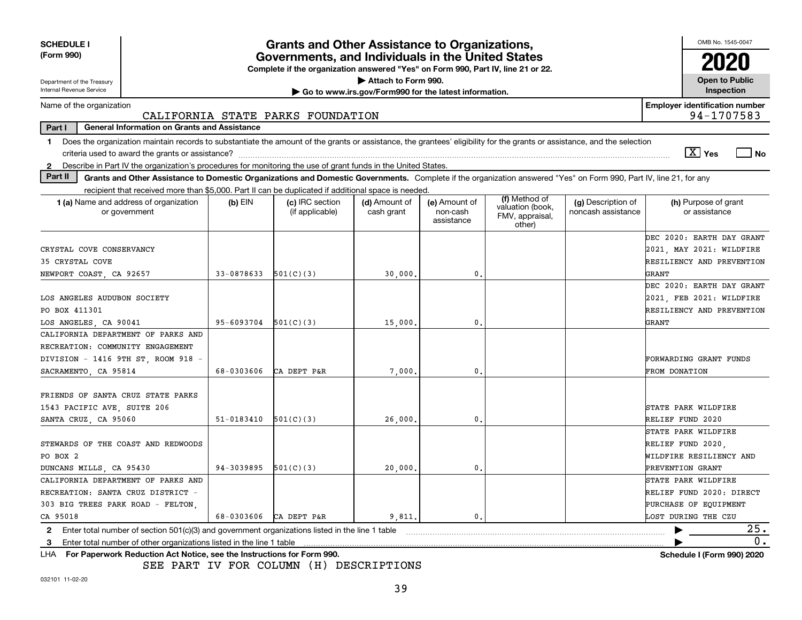| <b>SCHEDULE I</b><br>(Form 990)                                                                                                                                                |            | <b>Grants and Other Assistance to Organizations,</b><br>Governments, and Individuals in the United States |                                                                              |                                         |                                                                |                                          | OMB No. 1545-0047<br>2020             |
|--------------------------------------------------------------------------------------------------------------------------------------------------------------------------------|------------|-----------------------------------------------------------------------------------------------------------|------------------------------------------------------------------------------|-----------------------------------------|----------------------------------------------------------------|------------------------------------------|---------------------------------------|
|                                                                                                                                                                                |            | Complete if the organization answered "Yes" on Form 990, Part IV, line 21 or 22.                          |                                                                              |                                         |                                                                |                                          |                                       |
| Department of the Treasury<br>Internal Revenue Service                                                                                                                         |            |                                                                                                           | Attach to Form 990.<br>Go to www.irs.gov/Form990 for the latest information. |                                         |                                                                |                                          | <b>Open to Public</b><br>Inspection   |
| Name of the organization                                                                                                                                                       |            |                                                                                                           |                                                                              |                                         |                                                                |                                          | <b>Employer identification number</b> |
|                                                                                                                                                                                |            | CALIFORNIA STATE PARKS FOUNDATION                                                                         |                                                                              |                                         |                                                                |                                          | 94-1707583                            |
| <b>General Information on Grants and Assistance</b><br>Part I                                                                                                                  |            |                                                                                                           |                                                                              |                                         |                                                                |                                          |                                       |
| Does the organization maintain records to substantiate the amount of the grants or assistance, the grantees' eligibility for the grants or assistance, and the selection<br>1. |            |                                                                                                           |                                                                              |                                         |                                                                |                                          |                                       |
| criteria used to award the grants or assistance?                                                                                                                               |            |                                                                                                           |                                                                              |                                         |                                                                |                                          | $X$ Yes<br>  No                       |
| Describe in Part IV the organization's procedures for monitoring the use of grant funds in the United States.<br>$\mathbf{2}$                                                  |            |                                                                                                           |                                                                              |                                         |                                                                |                                          |                                       |
| Part II<br>Grants and Other Assistance to Domestic Organizations and Domestic Governments. Complete if the organization answered "Yes" on Form 990, Part IV, line 21, for any  |            |                                                                                                           |                                                                              |                                         |                                                                |                                          |                                       |
| recipient that received more than \$5,000. Part II can be duplicated if additional space is needed.                                                                            |            |                                                                                                           |                                                                              |                                         |                                                                |                                          |                                       |
| <b>1 (a)</b> Name and address of organization<br>or government                                                                                                                 | $(b)$ EIN  | (c) IRC section<br>(if applicable)                                                                        | (d) Amount of<br>cash grant                                                  | (e) Amount of<br>non-cash<br>assistance | (f) Method of<br>valuation (book,<br>FMV, appraisal,<br>other) | (g) Description of<br>noncash assistance | (h) Purpose of grant<br>or assistance |
|                                                                                                                                                                                |            |                                                                                                           |                                                                              |                                         |                                                                |                                          | DEC 2020: EARTH DAY GRANT             |
| CRYSTAL COVE CONSERVANCY                                                                                                                                                       |            |                                                                                                           |                                                                              |                                         |                                                                |                                          | 2021, MAY 2021: WILDFIRE              |
| 35 CRYSTAL COVE                                                                                                                                                                |            |                                                                                                           |                                                                              |                                         |                                                                |                                          | RESILIENCY AND PREVENTION             |
| NEWPORT COAST, CA 92657                                                                                                                                                        | 33-0878633 | 501(C)(3)                                                                                                 | 30,000.                                                                      | 0.                                      |                                                                |                                          | GRANT                                 |
|                                                                                                                                                                                |            |                                                                                                           |                                                                              |                                         |                                                                |                                          | DEC 2020: EARTH DAY GRANT             |
| LOS ANGELES AUDUBON SOCIETY                                                                                                                                                    |            |                                                                                                           |                                                                              |                                         |                                                                |                                          | 2021, FEB 2021: WILDFIRE              |
| PO BOX 411301                                                                                                                                                                  |            |                                                                                                           |                                                                              |                                         |                                                                |                                          | RESILIENCY AND PREVENTION             |
| LOS ANGELES, CA 90041                                                                                                                                                          | 95-6093704 | 501(C)(3)                                                                                                 | 15,000.                                                                      | 0.                                      |                                                                |                                          | GRANT                                 |
| CALIFORNIA DEPARTMENT OF PARKS AND                                                                                                                                             |            |                                                                                                           |                                                                              |                                         |                                                                |                                          |                                       |
| RECREATION: COMMUNITY ENGAGEMENT                                                                                                                                               |            |                                                                                                           |                                                                              |                                         |                                                                |                                          |                                       |
| DIVISION - 1416 9TH ST, ROOM 918 -                                                                                                                                             |            |                                                                                                           |                                                                              |                                         |                                                                |                                          | FORWARDING GRANT FUNDS                |
| SACRAMENTO, CA 95814                                                                                                                                                           | 68-0303606 | CA DEPT P&R                                                                                               | 7,000                                                                        | 0.                                      |                                                                |                                          | <b>FROM DONATION</b>                  |
| FRIENDS OF SANTA CRUZ STATE PARKS                                                                                                                                              |            |                                                                                                           |                                                                              |                                         |                                                                |                                          |                                       |
| 1543 PACIFIC AVE, SUITE 206                                                                                                                                                    |            |                                                                                                           |                                                                              |                                         |                                                                |                                          | STATE PARK WILDFIRE                   |
| SANTA CRUZ, CA 95060                                                                                                                                                           | 51-0183410 | 501(C)(3)                                                                                                 | 26,000.                                                                      | 0.                                      |                                                                |                                          | RELIEF FUND 2020                      |
|                                                                                                                                                                                |            |                                                                                                           |                                                                              |                                         |                                                                |                                          | STATE PARK WILDFIRE                   |
| STEWARDS OF THE COAST AND REDWOODS                                                                                                                                             |            |                                                                                                           |                                                                              |                                         |                                                                |                                          | RELIEF FUND 2020,                     |
| PO BOX 2                                                                                                                                                                       |            |                                                                                                           |                                                                              |                                         |                                                                |                                          | WILDFIRE RESILIENCY AND               |
| DUNCANS MILLS, CA 95430                                                                                                                                                        | 94-3039895 | 501(C)(3)                                                                                                 | 20,000                                                                       | 0.                                      |                                                                |                                          | PREVENTION GRANT                      |
| CALIFORNIA DEPARTMENT OF PARKS AND                                                                                                                                             |            |                                                                                                           |                                                                              |                                         |                                                                |                                          | STATE PARK WILDFIRE                   |
| RECREATION: SANTA CRUZ DISTRICT -                                                                                                                                              |            |                                                                                                           |                                                                              |                                         |                                                                |                                          | RELIEF FUND 2020: DIRECT              |
| 303 BIG TREES PARK ROAD - FELTON,                                                                                                                                              |            |                                                                                                           |                                                                              |                                         |                                                                |                                          | PURCHASE OF EQUIPMENT                 |
| CA 95018                                                                                                                                                                       | 68-0303606 | CA DEPT P&R                                                                                               | 9,811.                                                                       | 0.                                      |                                                                |                                          | LOST DURING THE CZU                   |
| Enter total number of section 501(c)(3) and government organizations listed in the line 1 table<br>2                                                                           |            |                                                                                                           |                                                                              |                                         |                                                                |                                          | 25.                                   |
| Enter total number of other organizations listed in the line 1 table<br>з                                                                                                      |            |                                                                                                           |                                                                              |                                         |                                                                |                                          | $0$ .                                 |
| LHA For Paperwork Reduction Act Notice, see the Instructions for Form 990.                                                                                                     |            |                                                                                                           |                                                                              |                                         |                                                                |                                          | <b>Schedule I (Form 990) 2020</b>     |

SEE PART IV FOR COLUMN (H) DESCRIPTIONS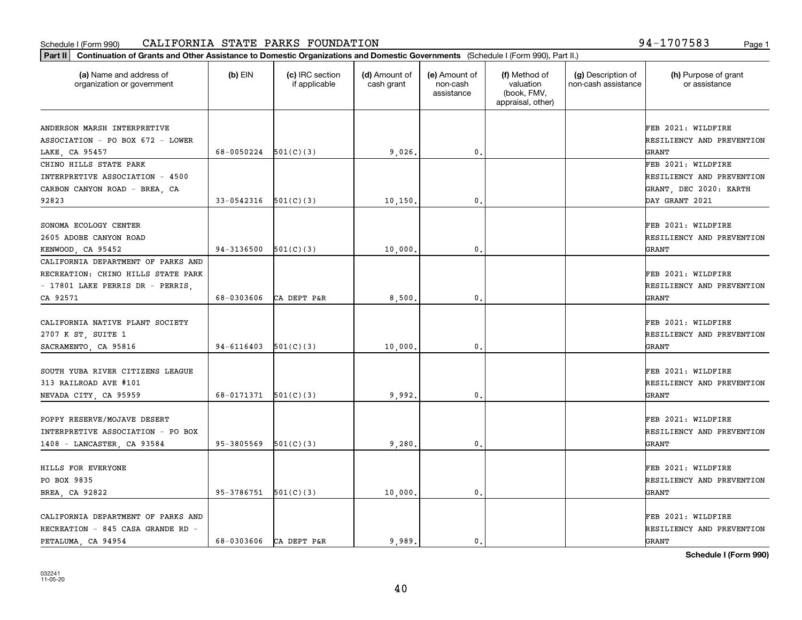### Schedule I (Form 990) CALIFORNIA STATE PARKS FOUNDATION 94-1707583 <sub>Page 1</sub>

| Part II   Continuation of Grants and Other Assistance to Domestic Organizations and Domestic Governments (Schedule I (Form 990), Part II.) |                          |                                  |                             |                                         |                                                                |                                           |                                       |
|--------------------------------------------------------------------------------------------------------------------------------------------|--------------------------|----------------------------------|-----------------------------|-----------------------------------------|----------------------------------------------------------------|-------------------------------------------|---------------------------------------|
| (a) Name and address of<br>organization or government                                                                                      | $(b)$ EIN                | (c) IRC section<br>if applicable | (d) Amount of<br>cash grant | (e) Amount of<br>non-cash<br>assistance | (f) Method of<br>valuation<br>(book, FMV,<br>appraisal, other) | (g) Description of<br>non-cash assistance | (h) Purpose of grant<br>or assistance |
| ANDERSON MARSH INTERPRETIVE                                                                                                                |                          |                                  |                             |                                         |                                                                |                                           | FEB 2021: WILDFIRE                    |
| ASSOCIATION - PO BOX 672 - LOWER                                                                                                           |                          |                                  |                             |                                         |                                                                |                                           | RESILIENCY AND PREVENTION             |
| LAKE, CA 95457                                                                                                                             | 68-0050224               | 501(C)(3)                        | 9,026.                      | 0.                                      |                                                                |                                           | <b>GRANT</b>                          |
| CHINO HILLS STATE PARK                                                                                                                     |                          |                                  |                             |                                         |                                                                |                                           | FEB 2021: WILDFIRE                    |
| INTERPRETIVE ASSOCIATION - 4500                                                                                                            |                          |                                  |                             |                                         |                                                                |                                           | RESILIENCY AND PREVENTION             |
| CARBON CANYON ROAD - BREA, CA                                                                                                              |                          |                                  |                             |                                         |                                                                |                                           | GRANT, DEC 2020: EARTH                |
| 92823                                                                                                                                      | 33-0542316               | 501(C)(3)                        | 10,150                      | 0.                                      |                                                                |                                           | DAY GRANT 2021                        |
|                                                                                                                                            |                          |                                  |                             |                                         |                                                                |                                           |                                       |
| SONOMA ECOLOGY CENTER                                                                                                                      |                          |                                  |                             |                                         |                                                                |                                           | FEB 2021: WILDFIRE                    |
| 2605 ADOBE CANYON ROAD                                                                                                                     |                          |                                  |                             |                                         |                                                                |                                           | RESILIENCY AND PREVENTION             |
| KENWOOD, CA 95452                                                                                                                          | $94-3136500$ $501(C)(3)$ |                                  | 10,000                      | $\mathbf{0}$ .                          |                                                                |                                           | GRANT                                 |
| CALIFORNIA DEPARTMENT OF PARKS AND                                                                                                         |                          |                                  |                             |                                         |                                                                |                                           |                                       |
| RECREATION: CHINO HILLS STATE PARK                                                                                                         |                          |                                  |                             |                                         |                                                                |                                           | FEB 2021: WILDFIRE                    |
| - 17801 LAKE PERRIS DR - PERRIS,                                                                                                           |                          |                                  |                             |                                         |                                                                |                                           | RESILIENCY AND PREVENTION             |
| CA 92571                                                                                                                                   | 68-0303606               | CA DEPT P&R                      | 8,500                       | 0.                                      |                                                                |                                           | <b>GRANT</b>                          |
| CALIFORNIA NATIVE PLANT SOCIETY                                                                                                            |                          |                                  |                             |                                         |                                                                |                                           | FEB 2021: WILDFIRE                    |
|                                                                                                                                            |                          |                                  |                             |                                         |                                                                |                                           | RESILIENCY AND PREVENTION             |
| 2707 K ST, SUITE 1<br>SACRAMENTO, CA 95816                                                                                                 | 94-6116403               | 501(C)(3)                        | 10,000                      | 0.                                      |                                                                |                                           | <b>GRANT</b>                          |
|                                                                                                                                            |                          |                                  |                             |                                         |                                                                |                                           |                                       |
| SOUTH YUBA RIVER CITIZENS LEAGUE                                                                                                           |                          |                                  |                             |                                         |                                                                |                                           | FEB 2021: WILDFIRE                    |
| 313 RAILROAD AVE #101                                                                                                                      |                          |                                  |                             |                                         |                                                                |                                           | RESILIENCY AND PREVENTION             |
| NEVADA CITY, CA 95959                                                                                                                      | 68-0171371               | 501(C)(3)                        | 9.992.                      | 0.                                      |                                                                |                                           | GRANT                                 |
|                                                                                                                                            |                          |                                  |                             |                                         |                                                                |                                           |                                       |
| POPPY RESERVE/MOJAVE DESERT                                                                                                                |                          |                                  |                             |                                         |                                                                |                                           | FEB 2021: WILDFIRE                    |
| INTERPRETIVE ASSOCIATION - PO BOX                                                                                                          |                          |                                  |                             |                                         |                                                                |                                           | RESILIENCY AND PREVENTION             |
| 1408 - LANCASTER, CA 93584                                                                                                                 | 95-3805569               | 501(C)(3)                        | 9,280                       | $\mathfrak{o}$ .                        |                                                                |                                           | GRANT                                 |
|                                                                                                                                            |                          |                                  |                             |                                         |                                                                |                                           | FEB 2021: WILDFIRE                    |
| HILLS FOR EVERYONE<br>PO BOX 9835                                                                                                          |                          |                                  |                             |                                         |                                                                |                                           | RESILIENCY AND PREVENTION             |
|                                                                                                                                            |                          |                                  |                             |                                         |                                                                |                                           |                                       |
| BREA, CA 92822                                                                                                                             | $95-3786751$ $501(C)(3)$ |                                  | 10,000                      | 0.                                      |                                                                |                                           | GRANT                                 |
| CALIFORNIA DEPARTMENT OF PARKS AND                                                                                                         |                          |                                  |                             |                                         |                                                                |                                           | FEB 2021: WILDFIRE                    |
| RECREATION - 845 CASA GRANDE RD -                                                                                                          |                          |                                  |                             |                                         |                                                                |                                           | RESILIENCY AND PREVENTION             |
| PETALUMA, CA 94954                                                                                                                         | 68-0303606               | CA DEPT P&R                      | 9.989.                      | 0.                                      |                                                                |                                           | <b>GRANT</b>                          |
|                                                                                                                                            |                          |                                  |                             |                                         |                                                                |                                           |                                       |

**Schedule I (Form 990)**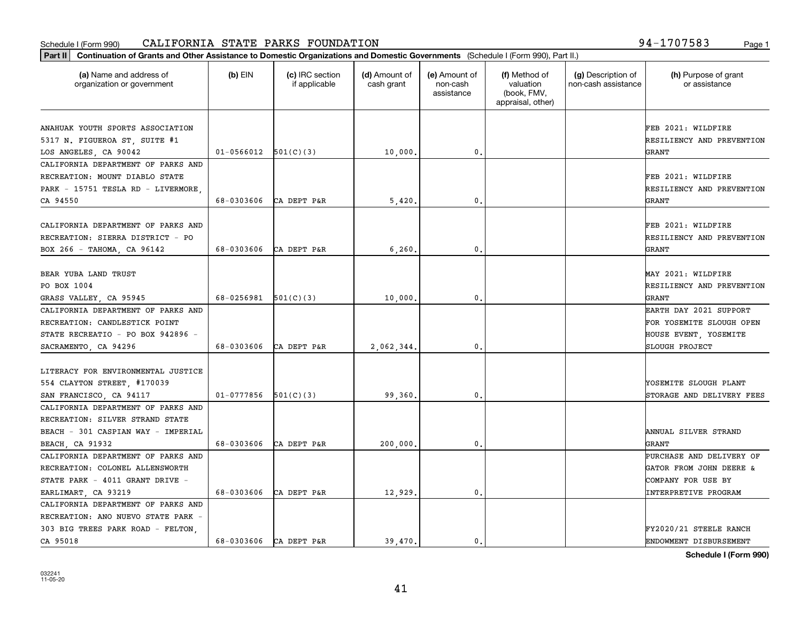### Schedule I (Form 990) CALIFORNIA STATE PARKS FOUNDATION 94-1707583 <sub>Page 1</sub>

| Part II   Continuation of Grants and Other Assistance to Domestic Organizations and Domestic Governments (Schedule I (Form 990), Part II.) |            |                                  |                             |                                         |                                                                |                                           |                                                          |
|--------------------------------------------------------------------------------------------------------------------------------------------|------------|----------------------------------|-----------------------------|-----------------------------------------|----------------------------------------------------------------|-------------------------------------------|----------------------------------------------------------|
| (a) Name and address of<br>organization or government                                                                                      | $(b)$ EIN  | (c) IRC section<br>if applicable | (d) Amount of<br>cash grant | (e) Amount of<br>non-cash<br>assistance | (f) Method of<br>valuation<br>(book, FMV,<br>appraisal, other) | (g) Description of<br>non-cash assistance | (h) Purpose of grant<br>or assistance                    |
| ANAHUAK YOUTH SPORTS ASSOCIATION<br>5317 N. FIGUEROA ST, SUITE #1                                                                          |            |                                  |                             |                                         |                                                                |                                           | FEB 2021: WILDFIRE<br>RESILIENCY AND PREVENTION          |
| LOS ANGELES, CA 90042                                                                                                                      | 01-0566012 | 501(C)(3)                        | 10,000.                     | $\mathbf{0}$ .                          |                                                                |                                           | GRANT                                                    |
| CALIFORNIA DEPARTMENT OF PARKS AND<br>RECREATION: MOUNT DIABLO STATE<br>PARK - 15751 TESLA RD - LIVERMORE,<br>CA 94550                     | 68-0303606 | CA DEPT P&R                      | 5,420                       | 0.                                      |                                                                |                                           | FEB 2021: WILDFIRE<br>RESILIENCY AND PREVENTION<br>GRANT |
|                                                                                                                                            |            |                                  |                             |                                         |                                                                |                                           |                                                          |
| CALIFORNIA DEPARTMENT OF PARKS AND<br>RECREATION: SIERRA DISTRICT - PO<br>ВОХ 266 - ТАНОМА, СА 96142                                       | 68-0303606 | CA DEPT P&R                      | 6,260.                      | 0.                                      |                                                                |                                           | FEB 2021: WILDFIRE<br>RESILIENCY AND PREVENTION<br>GRANT |
|                                                                                                                                            |            |                                  |                             |                                         |                                                                |                                           |                                                          |
| BEAR YUBA LAND TRUST                                                                                                                       |            |                                  |                             |                                         |                                                                |                                           | MAY 2021: WILDFIRE                                       |
| PO BOX 1004                                                                                                                                |            |                                  |                             |                                         |                                                                |                                           | RESILIENCY AND PREVENTION                                |
| GRASS VALLEY, CA 95945                                                                                                                     | 68-0256981 | 501(C)(3)                        | 10,000                      | $\mathbf{0}$ .                          |                                                                |                                           | GRANT                                                    |
| CALIFORNIA DEPARTMENT OF PARKS AND                                                                                                         |            |                                  |                             |                                         |                                                                |                                           | EARTH DAY 2021 SUPPORT                                   |
| RECREATION: CANDLESTICK POINT                                                                                                              |            |                                  |                             |                                         |                                                                |                                           | FOR YOSEMITE SLOUGH OPEN                                 |
| STATE RECREATIO - PO BOX 942896 -                                                                                                          |            |                                  |                             |                                         |                                                                |                                           | HOUSE EVENT, YOSEMITE                                    |
| SACRAMENTO, CA 94296                                                                                                                       | 68-0303606 | CA DEPT P&R                      | 2,062,344.                  | $\mathbf{0}$ .                          |                                                                |                                           | SLOUGH PROJECT                                           |
|                                                                                                                                            |            |                                  |                             |                                         |                                                                |                                           |                                                          |
| LITERACY FOR ENVIRONMENTAL JUSTICE                                                                                                         |            |                                  |                             |                                         |                                                                |                                           |                                                          |
| 554 CLAYTON STREET, #170039                                                                                                                | 01-0777856 | 501(C)(3)                        |                             | 0.                                      |                                                                |                                           | YOSEMITE SLOUGH PLANT                                    |
| SAN FRANCISCO, CA 94117<br>CALIFORNIA DEPARTMENT OF PARKS AND                                                                              |            |                                  | 99,360.                     |                                         |                                                                |                                           | STORAGE AND DELIVERY FEES                                |
| RECREATION: SILVER STRAND STATE                                                                                                            |            |                                  |                             |                                         |                                                                |                                           |                                                          |
| BEACH - 301 CASPIAN WAY - IMPERIAL                                                                                                         |            |                                  |                             |                                         |                                                                |                                           | ANNUAL SILVER STRAND                                     |
|                                                                                                                                            | 68-0303606 | CA DEPT P&R                      | 200,000,                    | 0.                                      |                                                                |                                           | GRANT                                                    |
| BEACH, CA 91932<br>CALIFORNIA DEPARTMENT OF PARKS AND                                                                                      |            |                                  |                             |                                         |                                                                |                                           | PURCHASE AND DELIVERY OF                                 |
| RECREATION: COLONEL ALLENSWORTH                                                                                                            |            |                                  |                             |                                         |                                                                |                                           | GATOR FROM JOHN DEERE &                                  |
|                                                                                                                                            |            |                                  |                             |                                         |                                                                |                                           |                                                          |
| STATE PARK - 4011 GRANT DRIVE -                                                                                                            | 68-0303606 |                                  |                             |                                         |                                                                |                                           | COMPANY FOR USE BY                                       |
| EARLIMART, CA 93219                                                                                                                        |            | CA DEPT P&R                      | 12,929.                     | 0.                                      |                                                                |                                           | INTERPRETIVE PROGRAM                                     |
| CALIFORNIA DEPARTMENT OF PARKS AND<br>RECREATION: ANO NUEVO STATE PARK -                                                                   |            |                                  |                             |                                         |                                                                |                                           |                                                          |
|                                                                                                                                            |            |                                  |                             |                                         |                                                                |                                           |                                                          |
| 303 BIG TREES PARK ROAD - FELTON,                                                                                                          |            |                                  |                             |                                         |                                                                |                                           | FY2020/21 STEELE RANCH                                   |
| CA 95018                                                                                                                                   | 68-0303606 | CA DEPT P&R                      | 39,470.                     | $\mathbf{0}$ .                          |                                                                |                                           | ENDOWMENT DISBURSEMENT                                   |

**Schedule I (Form 990)**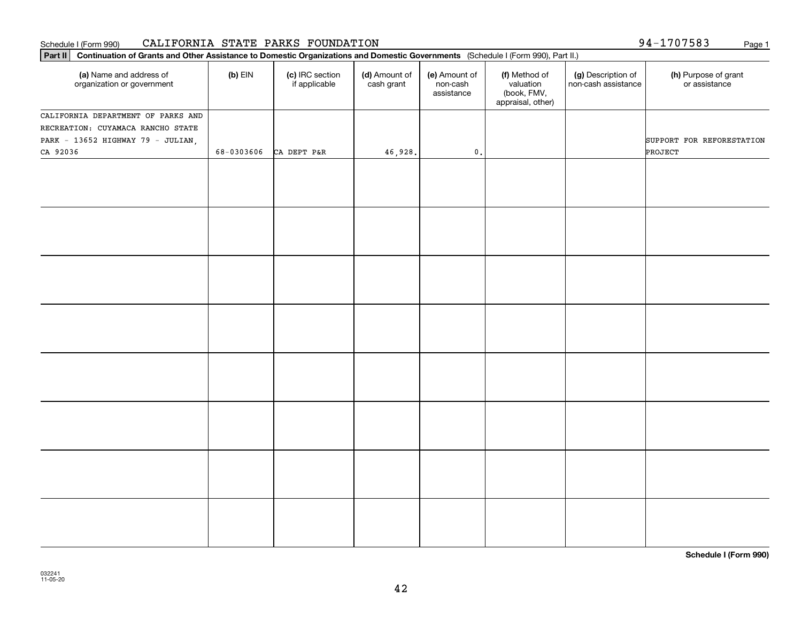### Schedule I (Form 990) CALIFORNIA STATE PARKS FOUNDATION 94-1707583 Page 1

| $(b)$ EIN<br>(c) IRC section<br>(d) Amount of<br>(h) Purpose of grant<br>(a) Name and address of<br>(e) Amount of<br>(f) Method of<br>(g) Description of<br>if applicable<br>valuation<br>non-cash assistance<br>or assistance<br>organization or government<br>cash grant<br>non-cash<br>assistance<br>(book, FMV,<br>appraisal, other)<br>SUPPORT FOR REFORESTATION<br>$\mathfrak o$ .<br>PROJECT<br>68-0303606<br>CA DEPT P&R<br>46,928. | Part II   Continuation of Grants and Other Assistance to Domestic Organizations and Domestic Governments (Schedule I (Form 990), Part II.) |  |  |  |  |
|---------------------------------------------------------------------------------------------------------------------------------------------------------------------------------------------------------------------------------------------------------------------------------------------------------------------------------------------------------------------------------------------------------------------------------------------|--------------------------------------------------------------------------------------------------------------------------------------------|--|--|--|--|
| CALIFORNIA DEPARTMENT OF PARKS AND<br>RECREATION: CUYAMACA RANCHO STATE<br>PARK - 13652 HIGHWAY 79 - JULIAN,<br>CA 92036                                                                                                                                                                                                                                                                                                                    |                                                                                                                                            |  |  |  |  |
|                                                                                                                                                                                                                                                                                                                                                                                                                                             |                                                                                                                                            |  |  |  |  |
|                                                                                                                                                                                                                                                                                                                                                                                                                                             |                                                                                                                                            |  |  |  |  |
|                                                                                                                                                                                                                                                                                                                                                                                                                                             |                                                                                                                                            |  |  |  |  |
|                                                                                                                                                                                                                                                                                                                                                                                                                                             |                                                                                                                                            |  |  |  |  |
|                                                                                                                                                                                                                                                                                                                                                                                                                                             |                                                                                                                                            |  |  |  |  |
|                                                                                                                                                                                                                                                                                                                                                                                                                                             |                                                                                                                                            |  |  |  |  |
|                                                                                                                                                                                                                                                                                                                                                                                                                                             |                                                                                                                                            |  |  |  |  |
|                                                                                                                                                                                                                                                                                                                                                                                                                                             |                                                                                                                                            |  |  |  |  |
|                                                                                                                                                                                                                                                                                                                                                                                                                                             |                                                                                                                                            |  |  |  |  |
|                                                                                                                                                                                                                                                                                                                                                                                                                                             |                                                                                                                                            |  |  |  |  |
|                                                                                                                                                                                                                                                                                                                                                                                                                                             |                                                                                                                                            |  |  |  |  |
|                                                                                                                                                                                                                                                                                                                                                                                                                                             |                                                                                                                                            |  |  |  |  |
|                                                                                                                                                                                                                                                                                                                                                                                                                                             |                                                                                                                                            |  |  |  |  |
|                                                                                                                                                                                                                                                                                                                                                                                                                                             |                                                                                                                                            |  |  |  |  |
|                                                                                                                                                                                                                                                                                                                                                                                                                                             |                                                                                                                                            |  |  |  |  |
|                                                                                                                                                                                                                                                                                                                                                                                                                                             |                                                                                                                                            |  |  |  |  |
|                                                                                                                                                                                                                                                                                                                                                                                                                                             |                                                                                                                                            |  |  |  |  |
|                                                                                                                                                                                                                                                                                                                                                                                                                                             |                                                                                                                                            |  |  |  |  |
|                                                                                                                                                                                                                                                                                                                                                                                                                                             |                                                                                                                                            |  |  |  |  |
|                                                                                                                                                                                                                                                                                                                                                                                                                                             |                                                                                                                                            |  |  |  |  |
|                                                                                                                                                                                                                                                                                                                                                                                                                                             |                                                                                                                                            |  |  |  |  |
|                                                                                                                                                                                                                                                                                                                                                                                                                                             |                                                                                                                                            |  |  |  |  |
|                                                                                                                                                                                                                                                                                                                                                                                                                                             |                                                                                                                                            |  |  |  |  |

**Schedule I (Form 990)**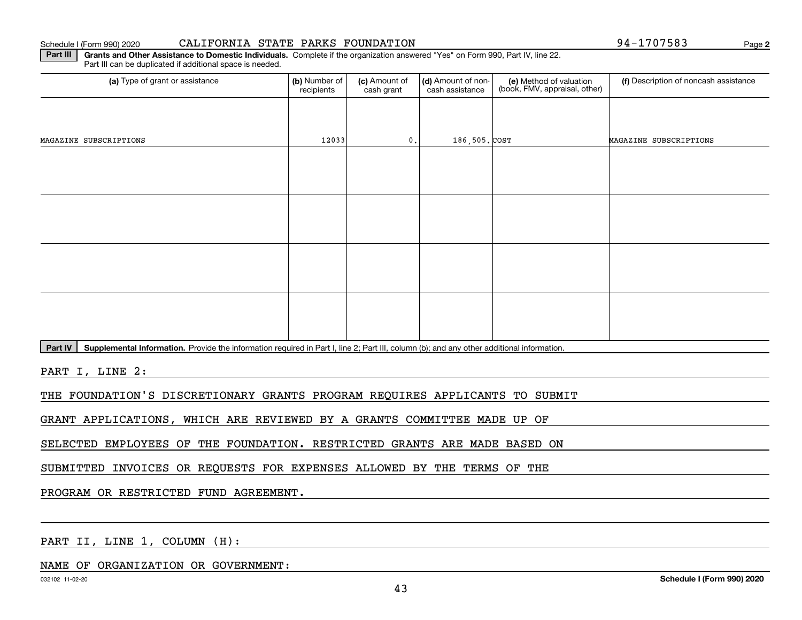### Schedule I (Form 990) 2020

| CALIFORNIA STATE PARKS FOUNDATION |  |  |  |
|-----------------------------------|--|--|--|
|-----------------------------------|--|--|--|

**2**94-1707583

**Part III | Grants and Other Assistance to Domestic Individuals. Complete if the organization answered "Yes" on Form 990, Part IV, line 22.** Part III can be duplicated if additional space is needed.

| (a) Type of grant or assistance | (b) Number of<br>recipients | (c) Amount of<br>cash grant | (d) Amount of non-<br>cash assistance | (e) Method of valuation<br>(book, FMV, appraisal, other) | (f) Description of noncash assistance |
|---------------------------------|-----------------------------|-----------------------------|---------------------------------------|----------------------------------------------------------|---------------------------------------|
|                                 |                             |                             |                                       |                                                          |                                       |
| MAGAZINE SUBSCRIPTIONS          | 12033                       | 0.                          | 186,505. COST                         |                                                          | MAGAZINE SUBSCRIPTIONS                |
|                                 |                             |                             |                                       |                                                          |                                       |
|                                 |                             |                             |                                       |                                                          |                                       |
|                                 |                             |                             |                                       |                                                          |                                       |
|                                 |                             |                             |                                       |                                                          |                                       |
|                                 |                             |                             |                                       |                                                          |                                       |
|                                 |                             |                             |                                       |                                                          |                                       |
|                                 |                             |                             |                                       |                                                          |                                       |
|                                 |                             |                             |                                       |                                                          |                                       |
|                                 |                             |                             |                                       |                                                          |                                       |

Part IV | Supplemental Information. Provide the information required in Part I, line 2; Part III, column (b); and any other additional information.

PART I, LINE 2:

THE FOUNDATION'S DISCRETIONARY GRANTS PROGRAM REQUIRES APPLICANTS TO SUBMIT

GRANT APPLICATIONS, WHICH ARE REVIEWED BY A GRANTS COMMITTEE MADE UP OF

SELECTED EMPLOYEES OF THE FOUNDATION. RESTRICTED GRANTS ARE MADE BASED ON

SUBMITTED INVOICES OR REQUESTS FOR EXPENSES ALLOWED BY THE TERMS OF THE

PROGRAM OR RESTRICTED FUND AGREEMENT.

PART II, LINE 1, COLUMN (H):

### NAME OF ORGANIZATION OR GOVERNMENT: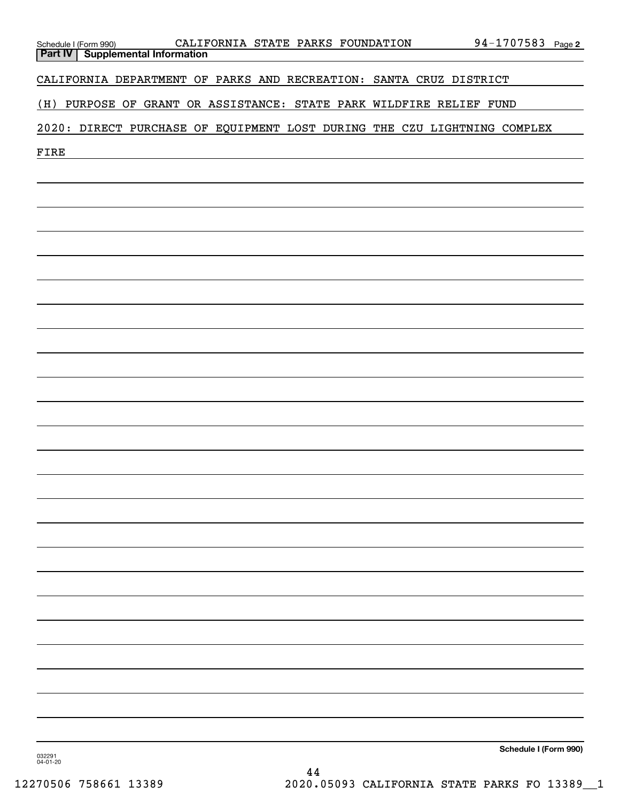| Schedule I (Form 990)<br>Part IV                                         | <b>Supplemental Information</b> |  |  | CALIFORNIA STATE PARKS FOUNDATION |  |                                                                 | 94-1707583 Page 2     |  |
|--------------------------------------------------------------------------|---------------------------------|--|--|-----------------------------------|--|-----------------------------------------------------------------|-----------------------|--|
| CALIFORNIA DEPARTMENT OF PARKS AND RECREATION: SANTA CRUZ DISTRICT       |                                 |  |  |                                   |  |                                                                 |                       |  |
| (H)                                                                      |                                 |  |  |                                   |  | PURPOSE OF GRANT OR ASSISTANCE: STATE PARK WILDFIRE RELIEF FUND |                       |  |
| 2020: DIRECT PURCHASE OF EQUIPMENT LOST DURING THE CZU LIGHTNING COMPLEX |                                 |  |  |                                   |  |                                                                 |                       |  |
| FIRE                                                                     |                                 |  |  |                                   |  |                                                                 |                       |  |
|                                                                          |                                 |  |  |                                   |  |                                                                 |                       |  |
|                                                                          |                                 |  |  |                                   |  |                                                                 |                       |  |
|                                                                          |                                 |  |  |                                   |  |                                                                 |                       |  |
|                                                                          |                                 |  |  |                                   |  |                                                                 |                       |  |
|                                                                          |                                 |  |  |                                   |  |                                                                 |                       |  |
|                                                                          |                                 |  |  |                                   |  |                                                                 |                       |  |
|                                                                          |                                 |  |  |                                   |  |                                                                 |                       |  |
|                                                                          |                                 |  |  |                                   |  |                                                                 |                       |  |
|                                                                          |                                 |  |  |                                   |  |                                                                 |                       |  |
|                                                                          |                                 |  |  |                                   |  |                                                                 |                       |  |
|                                                                          |                                 |  |  |                                   |  |                                                                 |                       |  |
|                                                                          |                                 |  |  |                                   |  |                                                                 |                       |  |
|                                                                          |                                 |  |  |                                   |  |                                                                 |                       |  |
|                                                                          |                                 |  |  |                                   |  |                                                                 |                       |  |
|                                                                          |                                 |  |  |                                   |  |                                                                 |                       |  |
|                                                                          |                                 |  |  |                                   |  |                                                                 |                       |  |
|                                                                          |                                 |  |  |                                   |  |                                                                 |                       |  |
|                                                                          |                                 |  |  |                                   |  |                                                                 |                       |  |
|                                                                          |                                 |  |  |                                   |  |                                                                 |                       |  |
|                                                                          |                                 |  |  |                                   |  |                                                                 |                       |  |
|                                                                          |                                 |  |  |                                   |  |                                                                 |                       |  |
|                                                                          |                                 |  |  |                                   |  |                                                                 |                       |  |
|                                                                          |                                 |  |  |                                   |  |                                                                 |                       |  |
|                                                                          |                                 |  |  |                                   |  |                                                                 | Schedule I (Form 990) |  |

032291 04-01-20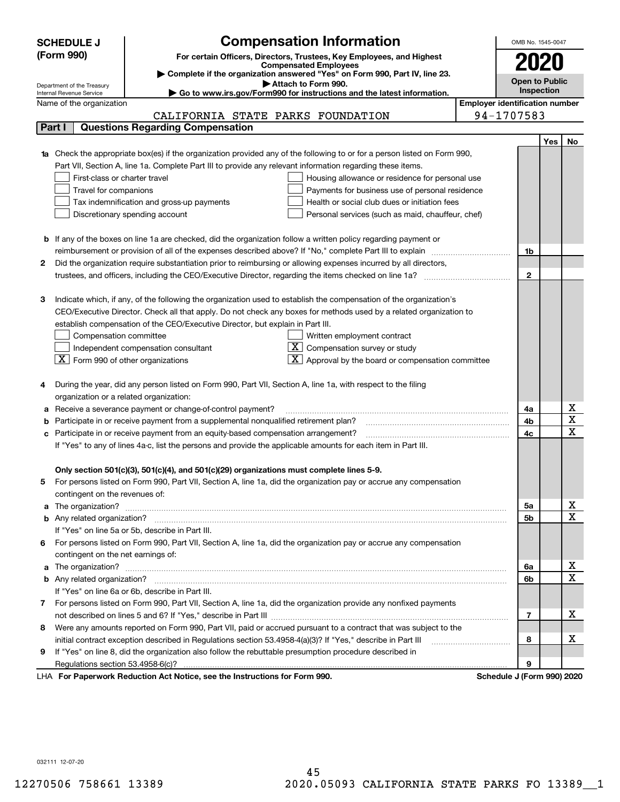|                                                                                                                         | <b>SCHEDULE J</b>                                                                                                                | <b>Compensation Information</b>                                                                                                                                                                                              |  | OMB No. 1545-0047                     |     |                                     |  |  |
|-------------------------------------------------------------------------------------------------------------------------|----------------------------------------------------------------------------------------------------------------------------------|------------------------------------------------------------------------------------------------------------------------------------------------------------------------------------------------------------------------------|--|---------------------------------------|-----|-------------------------------------|--|--|
|                                                                                                                         | (Form 990)<br>For certain Officers, Directors, Trustees, Key Employees, and Highest                                              |                                                                                                                                                                                                                              |  |                                       |     |                                     |  |  |
|                                                                                                                         | <b>Compensated Employees</b>                                                                                                     |                                                                                                                                                                                                                              |  |                                       |     |                                     |  |  |
|                                                                                                                         | Complete if the organization answered "Yes" on Form 990, Part IV, line 23.<br><b>Open to Public</b><br>Attach to Form 990.       |                                                                                                                                                                                                                              |  |                                       |     |                                     |  |  |
|                                                                                                                         | Department of the Treasury<br>Go to www.irs.gov/Form990 for instructions and the latest information.<br>Internal Revenue Service |                                                                                                                                                                                                                              |  |                                       |     |                                     |  |  |
|                                                                                                                         | Name of the organization                                                                                                         |                                                                                                                                                                                                                              |  | <b>Employer identification number</b> |     |                                     |  |  |
|                                                                                                                         |                                                                                                                                  | CALIFORNIA STATE PARKS FOUNDATION                                                                                                                                                                                            |  | 94-1707583                            |     |                                     |  |  |
|                                                                                                                         | Part I                                                                                                                           | <b>Questions Regarding Compensation</b>                                                                                                                                                                                      |  |                                       |     |                                     |  |  |
|                                                                                                                         |                                                                                                                                  |                                                                                                                                                                                                                              |  |                                       | Yes | No                                  |  |  |
|                                                                                                                         |                                                                                                                                  | <b>1a</b> Check the appropriate box(es) if the organization provided any of the following to or for a person listed on Form 990,                                                                                             |  |                                       |     |                                     |  |  |
|                                                                                                                         |                                                                                                                                  | Part VII, Section A, line 1a. Complete Part III to provide any relevant information regarding these items.                                                                                                                   |  |                                       |     |                                     |  |  |
|                                                                                                                         | First-class or charter travel                                                                                                    | Housing allowance or residence for personal use                                                                                                                                                                              |  |                                       |     |                                     |  |  |
|                                                                                                                         | Travel for companions                                                                                                            | Payments for business use of personal residence                                                                                                                                                                              |  |                                       |     |                                     |  |  |
|                                                                                                                         |                                                                                                                                  | Tax indemnification and gross-up payments<br>Health or social club dues or initiation fees                                                                                                                                   |  |                                       |     |                                     |  |  |
|                                                                                                                         |                                                                                                                                  | Discretionary spending account<br>Personal services (such as maid, chauffeur, chef)                                                                                                                                          |  |                                       |     |                                     |  |  |
|                                                                                                                         |                                                                                                                                  |                                                                                                                                                                                                                              |  |                                       |     |                                     |  |  |
|                                                                                                                         |                                                                                                                                  | <b>b</b> If any of the boxes on line 1a are checked, did the organization follow a written policy regarding payment or                                                                                                       |  |                                       |     |                                     |  |  |
| 2                                                                                                                       |                                                                                                                                  | reimbursement or provision of all of the expenses described above? If "No," complete Part III to explain<br>Did the organization require substantiation prior to reimbursing or allowing expenses incurred by all directors, |  | 1b                                    |     |                                     |  |  |
|                                                                                                                         |                                                                                                                                  |                                                                                                                                                                                                                              |  | $\mathbf{2}$                          |     |                                     |  |  |
|                                                                                                                         |                                                                                                                                  |                                                                                                                                                                                                                              |  |                                       |     |                                     |  |  |
| з                                                                                                                       |                                                                                                                                  | Indicate which, if any, of the following the organization used to establish the compensation of the organization's                                                                                                           |  |                                       |     |                                     |  |  |
|                                                                                                                         |                                                                                                                                  | CEO/Executive Director. Check all that apply. Do not check any boxes for methods used by a related organization to                                                                                                           |  |                                       |     |                                     |  |  |
|                                                                                                                         |                                                                                                                                  | establish compensation of the CEO/Executive Director, but explain in Part III.                                                                                                                                               |  |                                       |     |                                     |  |  |
|                                                                                                                         | Compensation committee<br>Written employment contract                                                                            |                                                                                                                                                                                                                              |  |                                       |     |                                     |  |  |
|                                                                                                                         |                                                                                                                                  | Compensation survey or study<br>Independent compensation consultant                                                                                                                                                          |  |                                       |     |                                     |  |  |
|                                                                                                                         | $\boxed{\textbf{X}}$ Form 990 of other organizations                                                                             | Approval by the board or compensation committee                                                                                                                                                                              |  |                                       |     |                                     |  |  |
|                                                                                                                         |                                                                                                                                  |                                                                                                                                                                                                                              |  |                                       |     |                                     |  |  |
|                                                                                                                         |                                                                                                                                  | During the year, did any person listed on Form 990, Part VII, Section A, line 1a, with respect to the filing                                                                                                                 |  |                                       |     |                                     |  |  |
|                                                                                                                         | organization or a related organization:                                                                                          |                                                                                                                                                                                                                              |  |                                       |     |                                     |  |  |
|                                                                                                                         |                                                                                                                                  | Receive a severance payment or change-of-control payment?                                                                                                                                                                    |  | 4a                                    |     | x                                   |  |  |
|                                                                                                                         | Participate in or receive payment from a supplemental nonqualified retirement plan?                                              |                                                                                                                                                                                                                              |  |                                       |     | $\overline{\text{x}}$               |  |  |
| c                                                                                                                       | Participate in or receive payment from an equity-based compensation arrangement?                                                 |                                                                                                                                                                                                                              |  |                                       |     | $\overline{\text{x}}$               |  |  |
| If "Yes" to any of lines 4a-c, list the persons and provide the applicable amounts for each item in Part III.           |                                                                                                                                  |                                                                                                                                                                                                                              |  |                                       |     |                                     |  |  |
|                                                                                                                         |                                                                                                                                  |                                                                                                                                                                                                                              |  |                                       |     |                                     |  |  |
|                                                                                                                         |                                                                                                                                  | Only section 501(c)(3), 501(c)(4), and 501(c)(29) organizations must complete lines 5-9.                                                                                                                                     |  |                                       |     |                                     |  |  |
| For persons listed on Form 990, Part VII, Section A, line 1a, did the organization pay or accrue any compensation<br>5. |                                                                                                                                  |                                                                                                                                                                                                                              |  |                                       |     |                                     |  |  |
|                                                                                                                         | contingent on the revenues of:                                                                                                   |                                                                                                                                                                                                                              |  |                                       |     |                                     |  |  |
|                                                                                                                         |                                                                                                                                  | a The organization? <b>Manual Community Community</b> Community Community Community Community Community Community Community                                                                                                  |  | 5a                                    |     | <u>x</u>                            |  |  |
|                                                                                                                         |                                                                                                                                  |                                                                                                                                                                                                                              |  | 5b                                    |     | $\overline{\mathbf{x}}$             |  |  |
|                                                                                                                         |                                                                                                                                  | If "Yes" on line 5a or 5b, describe in Part III.                                                                                                                                                                             |  |                                       |     |                                     |  |  |
| 6.                                                                                                                      |                                                                                                                                  | For persons listed on Form 990, Part VII, Section A, line 1a, did the organization pay or accrue any compensation                                                                                                            |  |                                       |     |                                     |  |  |
|                                                                                                                         | contingent on the net earnings of:                                                                                               |                                                                                                                                                                                                                              |  | 6a                                    |     |                                     |  |  |
|                                                                                                                         |                                                                                                                                  |                                                                                                                                                                                                                              |  |                                       |     | <u>x</u><br>$\overline{\mathbf{x}}$ |  |  |
|                                                                                                                         |                                                                                                                                  |                                                                                                                                                                                                                              |  | 6b                                    |     |                                     |  |  |
|                                                                                                                         |                                                                                                                                  | If "Yes" on line 6a or 6b, describe in Part III.                                                                                                                                                                             |  |                                       |     |                                     |  |  |
|                                                                                                                         |                                                                                                                                  | 7 For persons listed on Form 990, Part VII, Section A, line 1a, did the organization provide any nonfixed payments                                                                                                           |  |                                       |     |                                     |  |  |
|                                                                                                                         |                                                                                                                                  |                                                                                                                                                                                                                              |  | $\overline{7}$                        |     | х                                   |  |  |
| 8                                                                                                                       |                                                                                                                                  | Were any amounts reported on Form 990, Part VII, paid or accrued pursuant to a contract that was subject to the                                                                                                              |  |                                       |     | х                                   |  |  |
|                                                                                                                         |                                                                                                                                  |                                                                                                                                                                                                                              |  | 8                                     |     |                                     |  |  |
| 9                                                                                                                       |                                                                                                                                  | If "Yes" on line 8, did the organization also follow the rebuttable presumption procedure described in                                                                                                                       |  |                                       |     |                                     |  |  |
|                                                                                                                         |                                                                                                                                  | wwark Deduction Act Notice, ace the Instructions for Form 000                                                                                                                                                                |  | 9<br>Cahadula I (Faun                 |     |                                     |  |  |

LHA For Paperwork Reduction Act Notice, see the Instructions for Form 990. Schedule J (Form 990) 2020

032111 12-07-20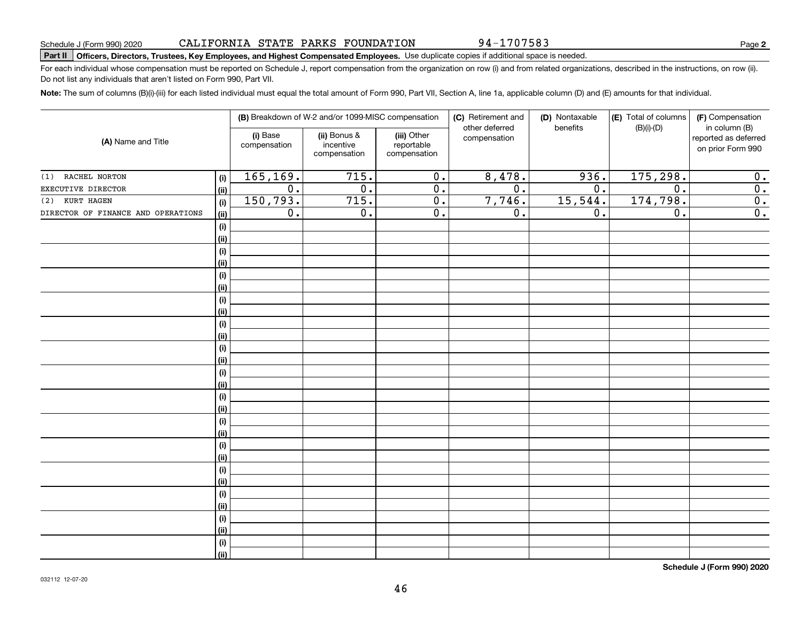**(i) (ii)**

### **(i)** Base **| (ii)** Bonus & **| (iii) (A)**  Name and Title **(i)(ii)(i)(ii)(i) (ii)(i) (ii)(i) (ii)(i) (ii)(i) (ii)(i) (ii)(i) (ii)(i) (ii)(i) (ii)(i)(ii)(i)(ii)(i)(ii)(i) (ii)**other deferred compensationbenefits(B)(i)-(D)in column (B) reported as deferred on prior Form 990 (i) Base compensationincentive compensation(iii) Other reportable compensation165,169. 715. 0. 8,478. 936. 175,298. 0. EXECUTIVE DIRECTOR 0. 0. 0. 0. 0. 0. 0. 150,793. 715. 0. 7,746. 15,544. 174,798. 0. DIRECTOR OF FINANCE AND OPERATIONS  $|_{(ii)}|$  0. 0. 0. 0. 0. 0. 0. 0. 0. 0. 0. 0. 0. (1) RACHEL NORTON (2) KURT HAGEN

46

**Part II Officers, Directors, Trustees, Key Employees, and Highest Compensated Employees.**  Schedule J (Form 990) 2020 Page Use duplicate copies if additional space is needed.

For each individual whose compensation must be reported on Schedule J, report compensation from the organization on row (i) and from related organizations, described in the instructions, on row (ii). Do not list any individuals that aren't listed on Form 990, Part VII.

**Note:**  The sum of columns (B)(i)-(iii) for each listed individual must equal the total amount of Form 990, Part VII, Section A, line 1a, applicable column (D) and (E) amounts for that individual.

(F) Compensation

**Schedule J (Form 990) 2020**

94-1707583

(D) Nontaxable

(E) Total of columns

**(B)** Breakdown of W-2 and/or 1099-MISC compensation | **(C)** Retirement and | **(D)** Nontaxable |**(E)** Total of columns | **(F)**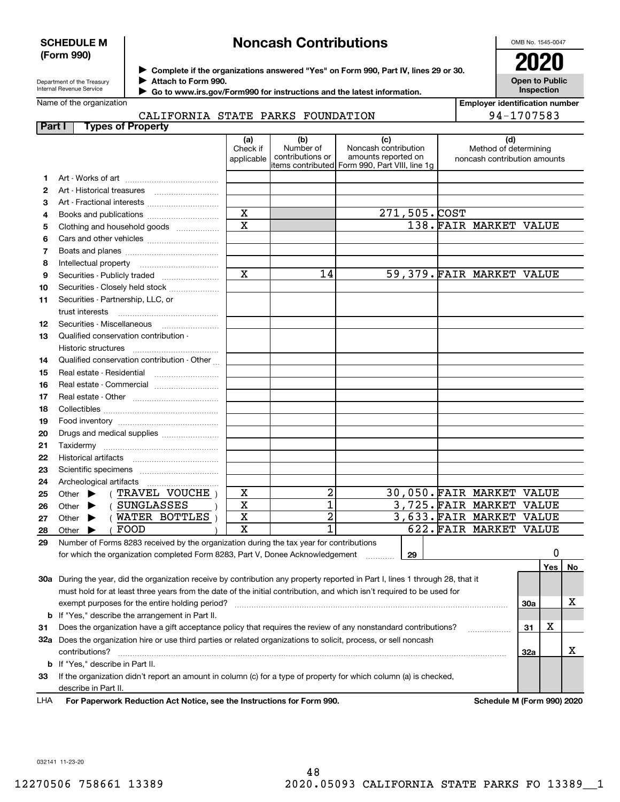### **SCHEDULE M (Form 990)**

# **Noncash Contributions**

OMB No. 1545-0047

**Open to Public Inspection**

| Department of the Treasury |
|----------------------------|
| Internal Revenue Service   |

**Complete if the organizations answered "Yes" on Form 990, Part IV, lines 29 or 30.** <sup>J</sup>**2020**

**Attach to Form 990.** J

 **Go to www.irs.gov/Form990 for instructions and the latest information.** J

Name of the organization

**Employer identification number** 94-1707583

### CALIFORNIA STATE PARKS FOUNDATION

| Part I                                                                                                               | <b>Types of Property</b>                                                                                                       |                               |                                      |                                                                                                      |                                                              |     |     |    |
|----------------------------------------------------------------------------------------------------------------------|--------------------------------------------------------------------------------------------------------------------------------|-------------------------------|--------------------------------------|------------------------------------------------------------------------------------------------------|--------------------------------------------------------------|-----|-----|----|
|                                                                                                                      |                                                                                                                                | (a)<br>Check if<br>applicable | (b)<br>Number of<br>contributions or | (c)<br>Noncash contribution<br>amounts reported on<br>items contributed Form 990, Part VIII, line 1g | (d)<br>Method of determining<br>noncash contribution amounts |     |     |    |
| 1.                                                                                                                   |                                                                                                                                |                               |                                      |                                                                                                      |                                                              |     |     |    |
| 2                                                                                                                    |                                                                                                                                |                               |                                      |                                                                                                      |                                                              |     |     |    |
| 3                                                                                                                    |                                                                                                                                |                               |                                      |                                                                                                      |                                                              |     |     |    |
| 4                                                                                                                    |                                                                                                                                | $\overline{\mathbf{x}}$       |                                      | 271,505.COST                                                                                         |                                                              |     |     |    |
| 5                                                                                                                    | Clothing and household goods                                                                                                   | $\mathbf x$                   |                                      |                                                                                                      | 138. FAIR MARKET VALUE                                       |     |     |    |
| 6                                                                                                                    |                                                                                                                                |                               |                                      |                                                                                                      |                                                              |     |     |    |
| 7                                                                                                                    |                                                                                                                                |                               |                                      |                                                                                                      |                                                              |     |     |    |
| 8                                                                                                                    | Intellectual property                                                                                                          |                               |                                      |                                                                                                      |                                                              |     |     |    |
| 9                                                                                                                    |                                                                                                                                | $\overline{\mathbf{x}}$       | 14                                   |                                                                                                      | 59,379. FAIR MARKET VALUE                                    |     |     |    |
| 10                                                                                                                   | Securities - Closely held stock                                                                                                |                               |                                      |                                                                                                      |                                                              |     |     |    |
| 11                                                                                                                   | Securities - Partnership, LLC, or                                                                                              |                               |                                      |                                                                                                      |                                                              |     |     |    |
|                                                                                                                      | trust interests                                                                                                                |                               |                                      |                                                                                                      |                                                              |     |     |    |
| 12                                                                                                                   |                                                                                                                                |                               |                                      |                                                                                                      |                                                              |     |     |    |
| 13                                                                                                                   | Qualified conservation contribution -                                                                                          |                               |                                      |                                                                                                      |                                                              |     |     |    |
|                                                                                                                      | <b>Historic structures</b>                                                                                                     |                               |                                      |                                                                                                      |                                                              |     |     |    |
| 14                                                                                                                   | Qualified conservation contribution - Other                                                                                    |                               |                                      |                                                                                                      |                                                              |     |     |    |
| 15                                                                                                                   | Real estate - Residential                                                                                                      |                               |                                      |                                                                                                      |                                                              |     |     |    |
| 16                                                                                                                   |                                                                                                                                |                               |                                      |                                                                                                      |                                                              |     |     |    |
| 17                                                                                                                   |                                                                                                                                |                               |                                      |                                                                                                      |                                                              |     |     |    |
| 18                                                                                                                   |                                                                                                                                |                               |                                      |                                                                                                      |                                                              |     |     |    |
| 19                                                                                                                   |                                                                                                                                |                               |                                      |                                                                                                      |                                                              |     |     |    |
| 20                                                                                                                   | Drugs and medical supplies                                                                                                     |                               |                                      |                                                                                                      |                                                              |     |     |    |
| 21                                                                                                                   |                                                                                                                                |                               |                                      |                                                                                                      |                                                              |     |     |    |
| 22                                                                                                                   |                                                                                                                                |                               |                                      |                                                                                                      |                                                              |     |     |    |
| 23                                                                                                                   |                                                                                                                                |                               |                                      |                                                                                                      |                                                              |     |     |    |
| 24                                                                                                                   | Archeological artifacts                                                                                                        |                               |                                      |                                                                                                      |                                                              |     |     |    |
| 25                                                                                                                   | (TRAVEL VOUCHE)<br>Other $\blacktriangleright$                                                                                 | X                             | 2                                    |                                                                                                      | 30,050. FAIR MARKET VALUE                                    |     |     |    |
| 26                                                                                                                   | (SUNGLASSES<br>Other $\blacktriangleright$                                                                                     | X                             | 1                                    |                                                                                                      | 3,725. FAIR MARKET VALUE                                     |     |     |    |
| 27                                                                                                                   | (WATER BOTTLES)<br>Other $\blacktriangleright$                                                                                 | X                             | 2                                    |                                                                                                      | 3,633. FAIR MARKET VALUE                                     |     |     |    |
| 28                                                                                                                   | FOOD<br>Other $\blacktriangleright$                                                                                            | X                             | 1                                    |                                                                                                      | 622. FAIR MARKET VALUE                                       |     |     |    |
| 29                                                                                                                   | Number of Forms 8283 received by the organization during the tax year for contributions                                        |                               |                                      |                                                                                                      |                                                              |     |     |    |
|                                                                                                                      | for which the organization completed Form 8283, Part V, Donee Acknowledgement                                                  |                               |                                      | 29                                                                                                   |                                                              |     | 0   |    |
|                                                                                                                      |                                                                                                                                |                               |                                      |                                                                                                      |                                                              |     | Yes | No |
|                                                                                                                      | 30a During the year, did the organization receive by contribution any property reported in Part I, lines 1 through 28, that it |                               |                                      |                                                                                                      |                                                              |     |     |    |
|                                                                                                                      | must hold for at least three years from the date of the initial contribution, and which isn't required to be used for          |                               |                                      |                                                                                                      |                                                              |     |     |    |
|                                                                                                                      | exempt purposes for the entire holding period?                                                                                 |                               |                                      |                                                                                                      |                                                              | 30a |     | х  |
|                                                                                                                      | <b>b</b> If "Yes," describe the arrangement in Part II.                                                                        |                               |                                      |                                                                                                      |                                                              |     |     |    |
| Does the organization have a gift acceptance policy that requires the review of any nonstandard contributions?<br>31 |                                                                                                                                |                               |                                      |                                                                                                      |                                                              |     | X   |    |
| 32a Does the organization hire or use third parties or related organizations to solicit, process, or sell noncash    |                                                                                                                                |                               |                                      |                                                                                                      |                                                              |     |     |    |
|                                                                                                                      | contributions?                                                                                                                 |                               |                                      |                                                                                                      |                                                              | 32a |     | х  |
|                                                                                                                      | <b>b</b> If "Yes," describe in Part II.                                                                                        |                               |                                      |                                                                                                      |                                                              |     |     |    |
| 33                                                                                                                   | If the organization didn't report an amount in column (c) for a type of property for which column (a) is checked,              |                               |                                      |                                                                                                      |                                                              |     |     |    |
|                                                                                                                      | describe in Part II.                                                                                                           |                               |                                      |                                                                                                      |                                                              |     |     |    |

For Paperwork Reduction Act Notice, see the Instructions for Form 990. Schedule M (Form 990) 2020 LHA

032141 11-23-20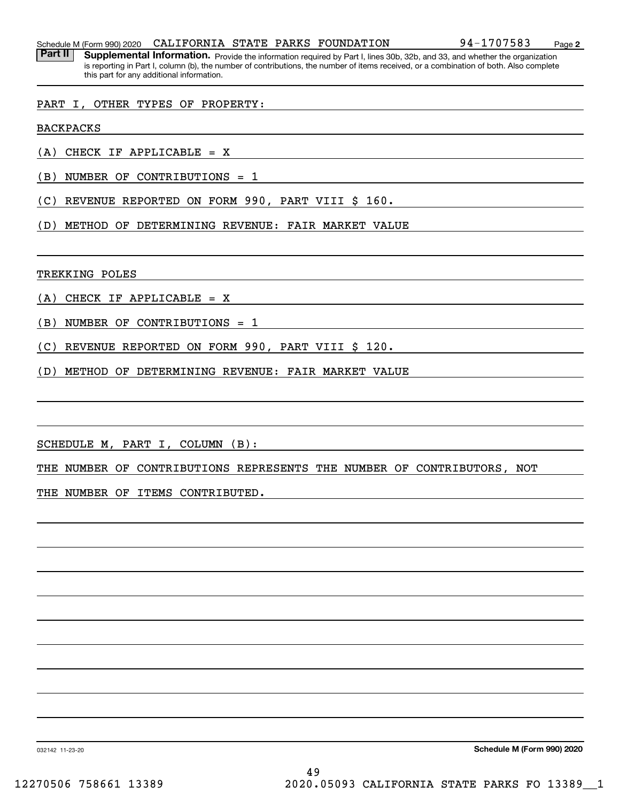Schedule M (Form 990) 2020  ${\tt CALIFORNIA}$   ${\tt STATE}$   ${\tt PARKS}$   ${\tt FOUNDATION}$  9 ${\tt 4-1707583}$   ${\tt Page}$ 

Part II | Supplemental Information. Provide the information required by Part I, lines 30b, 32b, and 33, and whether the organization is reporting in Part I, column (b), the number of contributions, the number of items received, or a combination of both. Also complete this part for any additional information.

### PART I, OTHER TYPES OF PROPERTY:

BACKPACKS

(A) CHECK IF APPLICABLE = X

(B) NUMBER OF CONTRIBUTIONS = 1

(C) REVENUE REPORTED ON FORM 990, PART VIII \$ 160.

(D) METHOD OF DETERMINING REVENUE: FAIR MARKET VALUE

TREKKING POLES

(A) CHECK IF APPLICABLE = X

(B) NUMBER OF CONTRIBUTIONS = 1

(C) REVENUE REPORTED ON FORM 990, PART VIII \$ 120.

(D) METHOD OF DETERMINING REVENUE: FAIR MARKET VALUE

SCHEDULE M, PART I, COLUMN (B):

THE NUMBER OF CONTRIBUTIONS REPRESENTS THE NUMBER OF CONTRIBUTORS, NOT

THE NUMBER OF ITEMS CONTRIBUTED.

**Schedule M (Form 990) 2020**

032142 11-23-20

49 12270506 758661 13389 2020.05093 CALIFORNIA STATE PARKS FO 13389\_\_1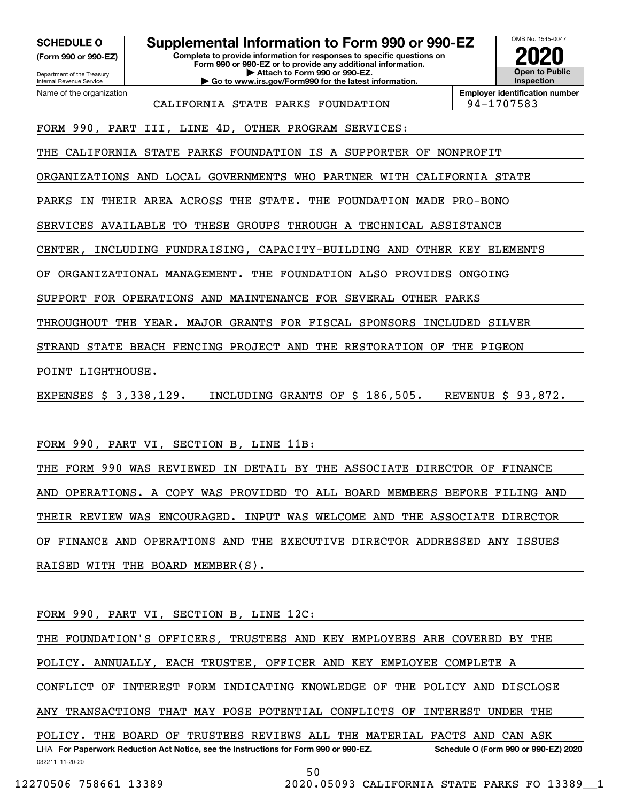**(Form 990 or 990-EZ)**

Department of the Treasury Internal Revenue Service Name of the organization

**SCHEDULE O Supplemental Information to Form 990 or 990-EZ**

**Complete to provide information for responses to specific questions on Form 990 or 990-EZ or to provide any additional information. | Attach to Form 990 or 990-EZ. | Go to www.irs.gov/Form990 for the latest information.**



**Employer identification number**

CALIFORNIA STATE PARKS FOUNDATION 94-1707583

FORM 990, PART III, LINE 4D, OTHER PROGRAM SERVICES:

THE CALIFORNIA STATE PARKS FOUNDATION IS A SUPPORTER OF NONPROFIT

ORGANIZATIONS AND LOCAL GOVERNMENTS WHO PARTNER WITH CALIFORNIA STATE

PARKS IN THEIR AREA ACROSS THE STATE. THE FOUNDATION MADE PRO-BONO

SERVICES AVAILABLE TO THESE GROUPS THROUGH A TECHNICAL ASSISTANCE

CENTER, INCLUDING FUNDRAISING, CAPACITY-BUILDING AND OTHER KEY ELEMENTS

OF ORGANIZATIONAL MANAGEMENT. THE FOUNDATION ALSO PROVIDES ONGOING

SUPPORT FOR OPERATIONS AND MAINTENANCE FOR SEVERAL OTHER PARKS

THROUGHOUT THE YEAR. MAJOR GRANTS FOR FISCAL SPONSORS INCLUDED SILVER

STRAND STATE BEACH FENCING PROJECT AND THE RESTORATION OF THE PIGEON

POINT LIGHTHOUSE.

EXPENSES \$ 3,338,129. INCLUDING GRANTS OF \$ 186,505. REVENUE \$ 93,872.

FORM 990, PART VI, SECTION B, LINE 11B:

THE FORM 990 WAS REVIEWED IN DETAIL BY THE ASSOCIATE DIRECTOR OF FINANCE AND OPERATIONS. A COPY WAS PROVIDED TO ALL BOARD MEMBERS BEFORE FILING AND THEIR REVIEW WAS ENCOURAGED. INPUT WAS WELCOME AND THE ASSOCIATE DIRECTOR OF FINANCE AND OPERATIONS AND THE EXECUTIVE DIRECTOR ADDRESSED ANY ISSUES RAISED WITH THE BOARD MEMBER(S).

FORM 990, PART VI, SECTION B, LINE 12C:

032211 11-20-20 LHA For Paperwork Reduction Act Notice, see the Instructions for Form 990 or 990-EZ. Schedule O (Form 990 or 990-EZ) 2020 THE FOUNDATION'S OFFICERS, TRUSTEES AND KEY EMPLOYEES ARE COVERED BY THE POLICY. ANNUALLY, EACH TRUSTEE, OFFICER AND KEY EMPLOYEE COMPLETE A CONFLICT OF INTEREST FORM INDICATING KNOWLEDGE OF THE POLICY AND DISCLOSE ANY TRANSACTIONS THAT MAY POSE POTENTIAL CONFLICTS OF INTEREST UNDER THE POLICY. THE BOARD OF TRUSTEES REVIEWS ALL THE MATERIAL FACTS AND CAN ASK

50